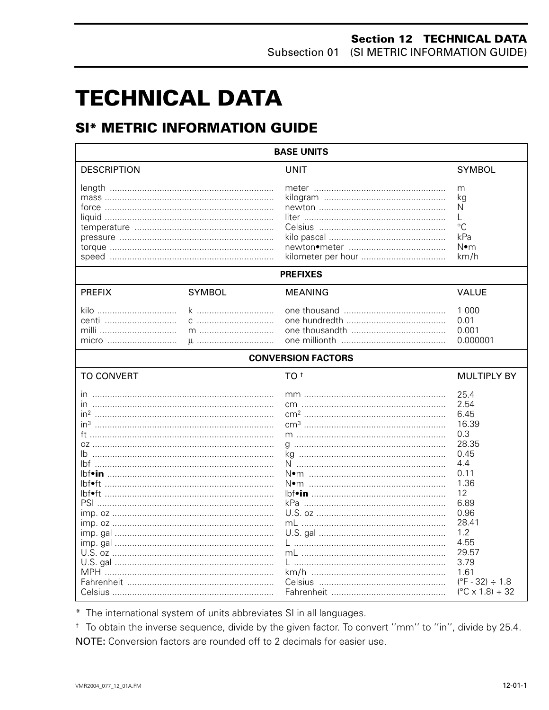# **TECHNICAL DATA**

## **SI\* METRIC INFORMATION GUIDE**

| <b>BASE UNITS</b>                                                                                |                 |                           |                                                                                                                                                                                                                     |  |  |
|--------------------------------------------------------------------------------------------------|-----------------|---------------------------|---------------------------------------------------------------------------------------------------------------------------------------------------------------------------------------------------------------------|--|--|
| <b>DESCRIPTION</b>                                                                               |                 | <b>UNIT</b>               | <b>SYMBOL</b>                                                                                                                                                                                                       |  |  |
|                                                                                                  |                 |                           | m<br>kg<br>N<br>L<br>$^{\circ}C$<br>kPa<br>N∙m<br>km/h                                                                                                                                                              |  |  |
|                                                                                                  |                 | <b>PREFIXES</b>           |                                                                                                                                                                                                                     |  |  |
| <b>PREFIX</b>                                                                                    | <b>SYMBOL</b>   | <b>MEANING</b>            | <b>VALUE</b>                                                                                                                                                                                                        |  |  |
| kilo<br>centi<br>milli                                                                           | k<br>m<br>$\mu$ |                           | 1 000<br>0.01<br>0.001<br>0.000001                                                                                                                                                                                  |  |  |
|                                                                                                  |                 | <b>CONVERSION FACTORS</b> |                                                                                                                                                                                                                     |  |  |
| <b>TO CONVERT</b>                                                                                |                 | TO <sup>t</sup>           | <b>MULTIPLY BY</b>                                                                                                                                                                                                  |  |  |
| ın<br>in <sup>3</sup> ……………………………………………………………………<br>lh.<br><u> bf•ft ……………………………………………………………</u> |                 | kPa …………………………………………………   | 25.4<br>2.54<br>6.45<br>16.39<br>0.3<br>28.35<br>0.45<br>4.4<br>0.11<br>1.36<br>12<br>6.89<br>0.96<br>28.41<br>1.2<br>4.55<br>29.57<br>3.79<br>1.61<br>$(^{\circ}F - 32) \div 1.8$<br>$(^{\circ}C \times 1.8) + 32$ |  |  |

\* The international system of units abbreviates SI in all languages.

<sup>+</sup> To obtain the inverse sequence, divide by the given factor. To convert "mm" to "in", divide by 25.4. NOTE: Conversion factors are rounded off to 2 decimals for easier use.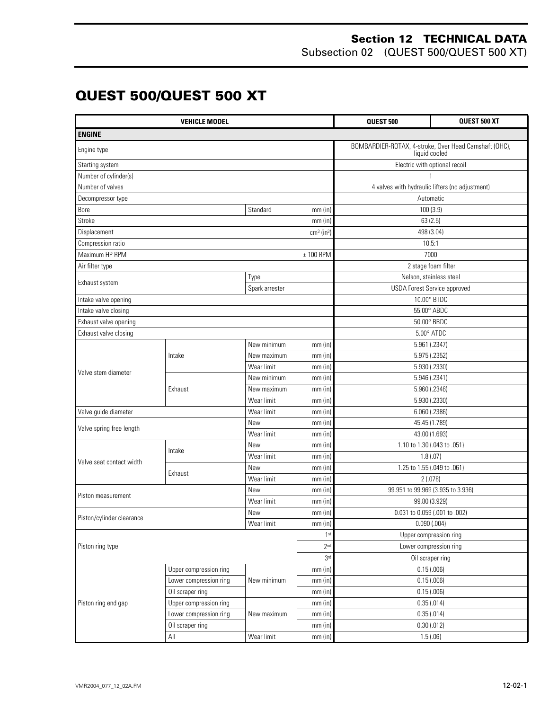Subsection 02 (QUEST 500/QUEST 500 XT)

## **QUEST 500/QUEST 500 XT**

| <b>VEHICLE MODEL</b>          |                        |                                       | QUEST 500                | <b>QUEST 500 XT</b>                                                    |  |  |
|-------------------------------|------------------------|---------------------------------------|--------------------------|------------------------------------------------------------------------|--|--|
| <b>ENGINE</b>                 |                        |                                       |                          |                                                                        |  |  |
| Engine type                   |                        |                                       |                          | BOMBARDIER-ROTAX, 4-stroke, Over Head Camshaft (OHC),<br>liquid cooled |  |  |
| Starting system               |                        |                                       |                          | Electric with optional recoil                                          |  |  |
| Number of cylinder(s)         |                        |                                       |                          |                                                                        |  |  |
| Number of valves              |                        |                                       |                          | 4 valves with hydraulic lifters (no adjustment)                        |  |  |
| Decompressor type             |                        |                                       |                          | Automatic                                                              |  |  |
| Bore<br>Standard<br>$mm$ (in) |                        |                                       | 100(3.9)                 |                                                                        |  |  |
| Stroke                        |                        |                                       | mm(in)                   | 63(2.5)                                                                |  |  |
| Displacement                  |                        |                                       | $cm3$ (in <sup>3</sup> ) | 498 (3.04)                                                             |  |  |
| Compression ratio             |                        |                                       |                          | 10.5:1                                                                 |  |  |
| Maximum HP RPM                |                        |                                       | $± 100$ RPM              | 7000                                                                   |  |  |
| Air filter type               |                        |                                       |                          | 2 stage foam filter                                                    |  |  |
| Exhaust system                |                        | Type                                  |                          | Nelson, stainless steel                                                |  |  |
|                               |                        | Spark arrester                        |                          | USDA Forest Service approved                                           |  |  |
| Intake valve opening          |                        |                                       |                          | 10.00° BTDC                                                            |  |  |
| Intake valve closing          |                        |                                       |                          | 55.00° ABDC                                                            |  |  |
| Exhaust valve opening         |                        |                                       |                          | 50.00° BBDC                                                            |  |  |
| Exhaust valve closing         |                        |                                       |                          | $5.00^\circ$ ATDC                                                      |  |  |
|                               |                        | New minimum                           | mm(in)                   | 5.961 (.2347)                                                          |  |  |
|                               | Intake                 | New maximum                           | $mm$ (in)                | 5.975 (.2352)                                                          |  |  |
| Valve stem diameter           |                        | Wear limit                            | $mm$ (in)                | 5.930 (.2330)                                                          |  |  |
|                               |                        | New minimum                           | mm(in)                   | 5.946 (.2341)                                                          |  |  |
|                               | Exhaust                | New maximum                           | $mm$ (in)                | 5.960 (.2346)                                                          |  |  |
|                               |                        | Wear limit<br>mm(in)<br>5.930 (.2330) |                          |                                                                        |  |  |
| Valve guide diameter          |                        | Wear limit<br>6.060 (.2386)<br>mm(in) |                          |                                                                        |  |  |
|                               |                        | New<br>mm(in)                         |                          | 45.45 (1.789)                                                          |  |  |
| Valve spring free length      |                        | Wear limit<br>mm(in)                  |                          | 43.00 (1.693)                                                          |  |  |
|                               |                        | New<br>$mm$ (in)                      |                          | 1.10 to 1.30 (.043 to .051)                                            |  |  |
|                               | Intake                 | Wear limit                            | $mm$ (in)                | 1.8(0.07)                                                              |  |  |
| Valve seat contact width      |                        | New<br>mm(in)                         |                          | 1.25 to 1.55 (.049 to .061)                                            |  |  |
|                               | Exhaust                | Wear limit<br>mm(in)                  |                          | 2(.078)                                                                |  |  |
|                               |                        | New<br>mm(in)                         |                          | 99.951 to 99.969 (3.935 to 3.936)                                      |  |  |
| Piston measurement            |                        | Wear limit<br>$mm$ (in)               |                          | 99.80 (3.929)                                                          |  |  |
|                               |                        | New                                   | $mm$ (in)                | 0.031 to 0.059 (.001 to .002)                                          |  |  |
| Piston/cylinder clearance     |                        | Wear limit                            | mm(in)                   | 0.090(.004)                                                            |  |  |
|                               |                        |                                       | 1 <sup>st</sup>          | Upper compression ring                                                 |  |  |
| Piston ring type              |                        |                                       | 2 <sub>nd</sub>          | Lower compression ring                                                 |  |  |
|                               |                        |                                       | 3 <sup>rd</sup>          | Oil scraper ring                                                       |  |  |
|                               | Upper compression ring |                                       | $mm$ (in)                | 0.15(.006)                                                             |  |  |
| Lower compression ring        |                        | New minimum                           | $mm$ (in)                | 0.15(.006)                                                             |  |  |
|                               | Oil scraper ring       |                                       | $mm$ (in)                | 0.15(.006)                                                             |  |  |
| Piston ring end gap           | Upper compression ring |                                       | $mm$ (in)                | 0.35(.014)                                                             |  |  |
|                               | Lower compression ring | New maximum                           | $mm$ (in)                | 0.35(.014)                                                             |  |  |
|                               | Oil scraper ring       |                                       | $mm$ (in)                | 0.30(.012)                                                             |  |  |
| All                           |                        | Wear limit                            | mm (in)                  | 1.5(.06)                                                               |  |  |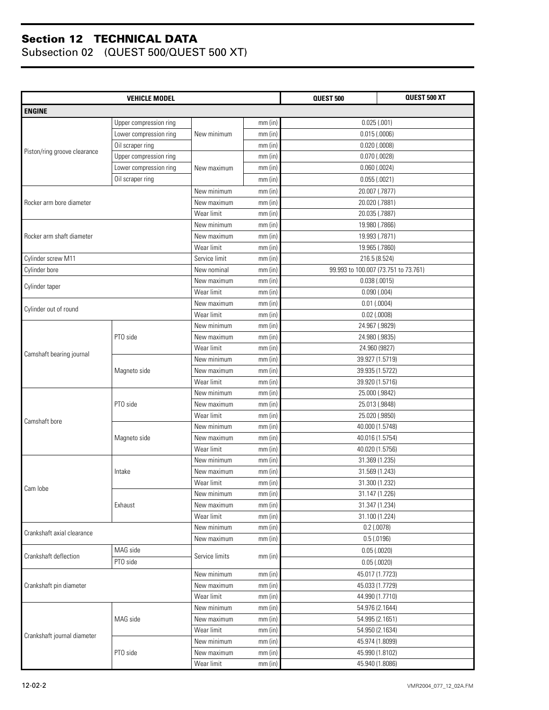|                              | <b>VEHICLE MODEL</b>   |                                         | QUEST 500 | QUEST 500 XT                         |                                   |  |
|------------------------------|------------------------|-----------------------------------------|-----------|--------------------------------------|-----------------------------------|--|
| <b>ENGINE</b>                |                        |                                         |           |                                      |                                   |  |
|                              | Upper compression ring |                                         | $mm$ (in) | 0.025(.001)                          |                                   |  |
|                              | Lower compression ring | New minimum                             | $mm$ (in) | 0.015(.0006)                         |                                   |  |
|                              | Oil scraper ring       |                                         | $mm$ (in) | $0.020$ (.0008)                      |                                   |  |
| Piston/ring groove clearance | Upper compression ring |                                         | $mm$ (in) | $0.070$ $(.0028)$                    |                                   |  |
|                              | Lower compression ring | New maximum                             | $mm$ (in) |                                      |                                   |  |
|                              | Oil scraper ring       |                                         |           |                                      | $0.060$ $(.0024)$<br>0.055(.0021) |  |
|                              |                        |                                         | $mm$ (in) |                                      |                                   |  |
|                              |                        | New minimum                             | $mm$ (in) | 20.007 (.7877)                       |                                   |  |
| Rocker arm bore diameter     |                        | New maximum<br>Wear limit               | mm(in)    | 20.020 (.7881)                       |                                   |  |
|                              |                        |                                         | $mm$ (in) | 20.035 (.7887)                       |                                   |  |
|                              |                        | New minimum                             | $mm$ (in) | 19.980 (.7866)                       |                                   |  |
| Rocker arm shaft diameter    |                        | New maximum                             | $mm$ (in) | 19.993 (.7871)                       |                                   |  |
|                              |                        | Wear limit                              | $mm$ (in) | 19.965 (.7860)                       |                                   |  |
| Cylinder screw M11           |                        | Service limit                           | $mm$ (in) | 216.5 (8.524)                        |                                   |  |
| Cylinder bore                |                        | New nominal                             | mm(in)    | 99.993 to 100.007 (73.751 to 73.761) |                                   |  |
| Cylinder taper               |                        | New maximum                             | mm(in)    | 0.038(.0015)                         |                                   |  |
|                              |                        | Wear limit                              | mm(in)    | 0.090(.004)                          |                                   |  |
| Cylinder out of round        |                        | New maximum                             | mm(in)    | $0.01$ (.0004)                       |                                   |  |
|                              |                        | Wear limit                              | $mm$ (in) | $0.02$ (.0008)                       |                                   |  |
|                              |                        | New minimum                             | $mm$ (in) | 24.967 (.9829)                       |                                   |  |
|                              | PTO side               | New maximum                             | $mm$ (in) | 24.980 (.9835)                       |                                   |  |
| Camshaft bearing journal     |                        | Wear limit                              | $mm$ (in) | 24.960 (9827)                        |                                   |  |
|                              |                        | New minimum                             | $mm$ (in) | 39.927 (1.5719)                      |                                   |  |
|                              | Magneto side           | New maximum                             | $mm$ (in) | 39.935 (1.5722)                      |                                   |  |
|                              |                        | Wear limit                              | mm(in)    | 39.920 (1.5716)                      |                                   |  |
|                              |                        | New minimum                             | $mm$ (in) | 25.000 (.9842)                       |                                   |  |
|                              | PTO side               | New maximum<br>mm(in)<br>25.013 (.9848) |           |                                      |                                   |  |
| Camshaft bore                |                        | Wear limit                              | $mm$ (in) | 25.020 (.9850)                       |                                   |  |
|                              |                        | New minimum                             | $mm$ (in) | 40.000 (1.5748)                      |                                   |  |
|                              | Magneto side           | New maximum                             | $mm$ (in) | 40.016 (1.5754)                      |                                   |  |
|                              |                        | Wear limit                              | $mm$ (in) | 40.020 (1.5756)                      |                                   |  |
|                              |                        | New minimum                             | $mm$ (in) | 31.369 (1.235)                       |                                   |  |
|                              | Intake                 | New maximum                             | $mm$ (in) | 31.569 (1.243)                       |                                   |  |
| Cam lobe                     |                        | Wear limit                              | $mm$ (in) | 31.300 (1.232)                       |                                   |  |
|                              |                        | New minimum                             | $mm$ (in) | 31.147 (1.226)                       |                                   |  |
|                              | Exhaust                | New maximum                             | $mm$ (in) | 31.347 (1.234)                       |                                   |  |
|                              |                        | Wear limit                              | $mm$ (in) | 31.100 (1.224)                       |                                   |  |
| Crankshaft axial clearance   |                        | New minimum                             | $mm$ (in) | $0.2$ (.0078)                        |                                   |  |
|                              |                        | New maximum                             | $mm$ (in) | 0.5(0.0196)                          |                                   |  |
| Crankshaft deflection        | MAG side               | Service limits                          | $mm$ (in) | 0.05(0.0020)                         |                                   |  |
|                              | PTO side               |                                         |           | 0.05(0.0020)                         |                                   |  |
|                              |                        | New minimum                             | $mm$ (in) | 45.017 (1.7723)                      |                                   |  |
| Crankshaft pin diameter      |                        | New maximum                             | $mm$ (in) | 45.033 (1.7729)                      |                                   |  |
|                              |                        | Wear limit                              | $mm$ (in) | 44.990 (1.7710)                      |                                   |  |
|                              |                        | New minimum                             | $mm$ (in) | 54.976 (2.1644)                      |                                   |  |
|                              | MAG side               | New maximum                             | $mm$ (in) | 54.995 (2.1651)                      |                                   |  |
|                              |                        | Wear limit                              | $mm$ (in) | 54.950 (2.1634)                      |                                   |  |
| Crankshaft journal diameter  |                        | New minimum                             | $mm$ (in) | 45.974 (1.8099)                      |                                   |  |
|                              | PTO side               | New maximum                             | $mm$ (in) | 45.990 (1.8102)                      |                                   |  |
|                              |                        | Wear limit                              | $mm$ (in) | 45.940 (1.8086)                      |                                   |  |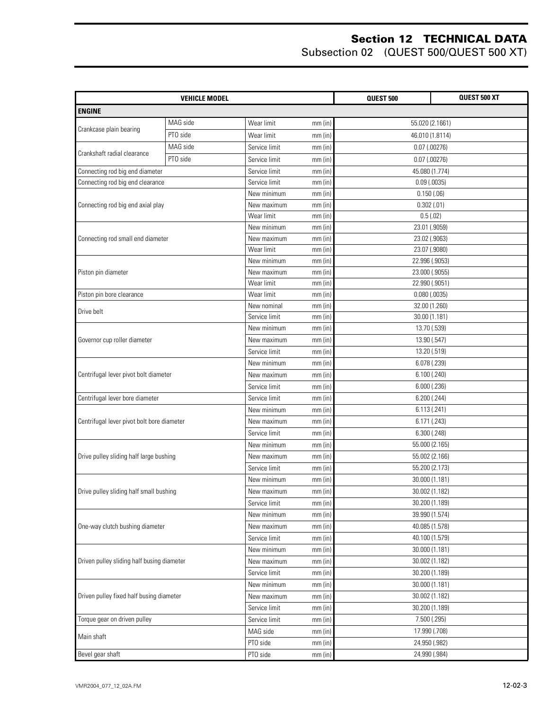|                                            | <b>VEHICLE MODEL</b> |               | QUEST 500 | QUEST 500 XT      |  |
|--------------------------------------------|----------------------|---------------|-----------|-------------------|--|
| <b>ENGINE</b>                              |                      |               |           |                   |  |
|                                            | MAG side             | Wear limit    | $mm$ (in) | 55.020 (2.1661)   |  |
| Crankcase plain bearing                    | PTO side             | Wear limit    | $mm$ (in) | 46.010 (1.8114)   |  |
|                                            | MAG side             | Service limit | $mm$ (in) | $0.07$ (.00276)   |  |
| Crankshaft radial clearance                | PTO side             | Service limit | $mm$ (in) | $0.07$ (.00276)   |  |
| Connecting rod big end diameter            |                      | Service limit | mm(in)    | 45.080 (1.774)    |  |
| Connecting rod big end clearance           |                      | Service limit | mm(in)    | $0.09$ (.0035)    |  |
|                                            |                      | New minimum   | mm(in)    | 0.150(.06)        |  |
| Connecting rod big end axial play          |                      | New maximum   | $mm$ (in) | 0.302(.01)        |  |
|                                            |                      | Wear limit    | mm(in)    | 0.5(.02)          |  |
|                                            |                      | New minimum   | $mm$ (in) | 23.01 (.9059)     |  |
| Connecting rod small end diameter          |                      | New maximum   | $mm$ (in) | 23.02 (.9063)     |  |
|                                            |                      | Wear limit    | $mm$ (in) | 23.07 (.9080)     |  |
|                                            |                      | New minimum   | $mm$ (in) | 22.996 (.9053)    |  |
| Piston pin diameter                        |                      | New maximum   | $mm$ (in) | 23.000 (.9055)    |  |
|                                            |                      | Wear limit    | $mm$ (in) | 22.990 (.9051)    |  |
| Piston pin bore clearance                  |                      | Wear limit    | $mm$ (in) | $0.080$ $(.0035)$ |  |
| Drive belt                                 |                      | New nominal   | $mm$ (in) | 32.00 (1.260)     |  |
|                                            |                      | Service limit | mm(in)    | 30.00 (1.181)     |  |
|                                            |                      | New minimum   | $mm$ (in) | 13.70 (.539)      |  |
| Governor cup roller diameter               |                      | New maximum   | mm(in)    | 13.90 (.547)      |  |
|                                            |                      | Service limit | $mm$ (in) | 13.20 (.519)      |  |
|                                            |                      | New minimum   | $mm$ (in) | 6.078 (.239)      |  |
| Centrifugal lever pivot bolt diameter      |                      | New maximum   | $mm$ (in) | 6.100(.240)       |  |
|                                            |                      | Service limit | mm(in)    | $6.000$ $(.236)$  |  |
| Centrifugal lever bore diameter            |                      | Service limit | $mm$ (in) | 6.200(.244)       |  |
|                                            |                      | New minimum   | mm(in)    | 6.113(.241)       |  |
| Centrifugal lever pivot bolt bore diameter |                      | New maximum   | $mm$ (in) | 6.171 (.243)      |  |
|                                            |                      | Service limit | $mm$ (in) | 6.300(.248)       |  |
|                                            |                      | New minimum   | $mm$ (in) | 55.000 (2.165)    |  |
| Drive pulley sliding half large bushing    |                      | New maximum   | $mm$ (in) | 55.002 (2.166)    |  |
|                                            |                      | Service limit | $mm$ (in) | 55.200 (2.173)    |  |
|                                            |                      | New minimum   | $mm$ (in) | 30.000 (1.181)    |  |
| Drive pulley sliding half small bushing    |                      | New maximum   | mm (in)   | 30.002 (1.182)    |  |
|                                            |                      | Service limit | $mm$ (in) | 30.200 (1.189)    |  |
|                                            |                      | New minimum   | $mm$ (in) | 39.990 (1.574)    |  |
| One-way clutch bushing diameter            |                      | New maximum   | $mm$ (in) | 40.085 (1.578)    |  |
|                                            |                      | Service limit | $mm$ (in) | 40.100 (1.579)    |  |
|                                            |                      | New minimum   | $mm$ (in) | 30.000 (1.181)    |  |
| Driven pulley sliding half busing diameter |                      | New maximum   | $mm$ (in) | 30.002 (1.182)    |  |
|                                            |                      | Service limit | $mm$ (in) | 30.200 (1.189)    |  |
|                                            |                      | New minimum   | $mm$ (in) | 30.000 (1.181)    |  |
| Driven pulley fixed half busing diameter   |                      | New maximum   | $mm$ (in) | 30.002 (1.182)    |  |
|                                            |                      | Service limit | $mm$ (in) | 30.200 (1.189)    |  |
| Torque gear on driven pulley               |                      | Service limit | $mm$ (in) | 7.500 (.295)      |  |
| Main shaft                                 |                      | MAG side      | $mm$ (in) | 17.990 (.708)     |  |
|                                            |                      | PTO side      | $mm$ (in) | 24.950 (.982)     |  |
| Bevel gear shaft                           |                      | PTO side      | mm (in)   | 24.990 (.984)     |  |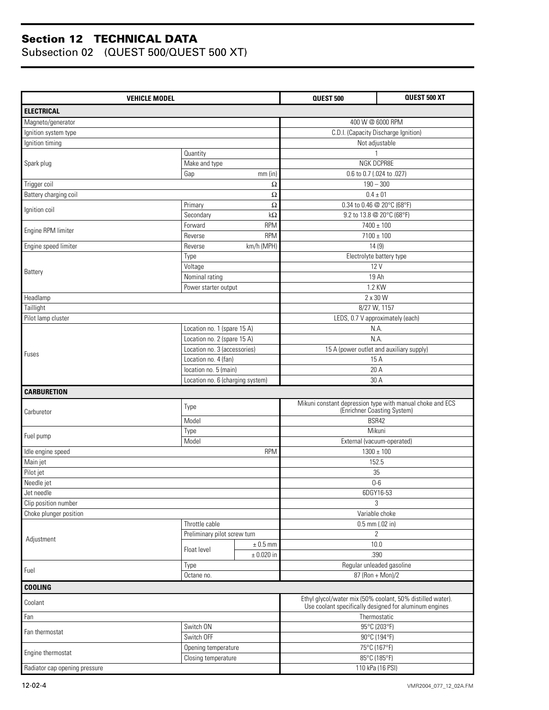| <b>VEHICLE MODEL</b>          |                                  |                | QUEST 500                                                                                | QUEST 500 XT                                           |
|-------------------------------|----------------------------------|----------------|------------------------------------------------------------------------------------------|--------------------------------------------------------|
| <b>ELECTRICAL</b>             |                                  |                |                                                                                          |                                                        |
| Magneto/generator             |                                  |                | 400 W @ 6000 RPM                                                                         |                                                        |
| Ignition system type          |                                  |                | C.D.I. (Capacity Discharge Ignition)                                                     |                                                        |
| Ignition timing               |                                  |                | Not adjustable                                                                           |                                                        |
|                               | Quantity                         |                |                                                                                          |                                                        |
| Spark plug                    | Make and type                    |                | NGK DCPR8E                                                                               |                                                        |
|                               | Gap<br>mm(in)                    |                | 0.6 to 0.7 (.024 to .027)                                                                |                                                        |
| Trigger coil                  |                                  | Ω              | $190 - 300$                                                                              |                                                        |
| Battery charging coil         |                                  | Ω              | $0.4 \pm 01$                                                                             |                                                        |
| Ignition coil                 | Primary                          | Ω              | 0.34 to 0.46 @ 20°C (68°F)                                                               |                                                        |
|                               | Secondary                        | $k\Omega$      | 9.2 to 13.8 @ 20°C (68°F)                                                                |                                                        |
| Engine RPM limiter            | Forward                          | <b>RPM</b>     | $7400 \pm 100$                                                                           |                                                        |
|                               | Reverse                          | <b>RPM</b>     | $7100 \pm 100$                                                                           |                                                        |
| Engine speed limiter          | Reverse                          | km/h (MPH)     |                                                                                          | 14(9)                                                  |
|                               | Type                             |                |                                                                                          | Electrolyte battery type                               |
| Battery                       | Voltage                          |                |                                                                                          | 12 V                                                   |
|                               | Nominal rating                   |                | 19 Ah                                                                                    |                                                        |
|                               | Power starter output             |                | 1.2 KW                                                                                   |                                                        |
| Headlamp                      |                                  |                | 2 x 30 W                                                                                 |                                                        |
| Taillight                     |                                  |                | 8/27 W, 1157                                                                             |                                                        |
| Pilot lamp cluster            |                                  |                | LEDS, 0.7 V approximately (each)                                                         |                                                        |
|                               | Location no. 1 (spare 15 A)      |                | N.A.                                                                                     |                                                        |
| Fuses                         | Location no. 2 (spare 15 A)      |                | N.A                                                                                      |                                                        |
|                               | Location no. 3 (accessories)     |                | 15 A (power outlet and auxiliary supply)                                                 |                                                        |
|                               | Location no. 4 (fan)             |                | 15 A                                                                                     |                                                        |
|                               | location no. 5 (main)            |                |                                                                                          | 20 A                                                   |
|                               | Location no. 6 (charging system) |                |                                                                                          | 30 A                                                   |
| <b>CARBURETION</b>            |                                  |                |                                                                                          |                                                        |
|                               | Type                             |                | Mikuni constant depression type with manual choke and ECS<br>(Enrichner Coasting System) |                                                        |
| Carburetor                    | Model                            |                | BSR42                                                                                    |                                                        |
|                               | Type                             |                | Mikuni                                                                                   |                                                        |
| Fuel pump                     | Model                            |                | External (vacuum-operated)                                                               |                                                        |
| Idle engine speed             |                                  | <b>RPM</b>     | $1300 \pm 100$                                                                           |                                                        |
| Main jet                      |                                  |                |                                                                                          | 152.5                                                  |
| Pilot jet                     |                                  |                | 35                                                                                       |                                                        |
| Needle jet                    |                                  |                | $0-6$                                                                                    |                                                        |
| Jet needle                    |                                  |                | 6DGY16-53                                                                                |                                                        |
| Clip position number          |                                  |                |                                                                                          | 3                                                      |
| Choke plunger position        |                                  |                | Variable choke                                                                           |                                                        |
|                               | Throttle cable                   |                | 0.5 mm (.02 in)                                                                          |                                                        |
|                               | Preliminary pilot screw turn     |                | $\overline{2}$                                                                           |                                                        |
| Adjustment                    |                                  | $\pm$ 0.5 mm   |                                                                                          | 10.0                                                   |
|                               | Float level                      | $\pm$ 0.020 in |                                                                                          | .390                                                   |
|                               | Type                             |                | Regular unleaded gasoline                                                                |                                                        |
| Fuel                          | Octane no.                       |                | 87 (Ron + Mon)/2                                                                         |                                                        |
| <b>COOLING</b>                |                                  |                |                                                                                          |                                                        |
| Coolant                       |                                  |                | Ethyl glycol/water mix (50% coolant, 50% distilled water).                               | Use coolant specifically designed for aluminum engines |
| Fan                           |                                  |                | Thermostatic                                                                             |                                                        |
|                               | Switch ON                        |                |                                                                                          | 95°C (203°F)                                           |
| Fan thermostat                | Switch OFF                       |                |                                                                                          | $\overline{90^{\circ}}$ C (194°F)                      |
|                               | Opening temperature              |                | 75°C (167°F)                                                                             |                                                        |
| Engine thermostat             | Closing temperature              |                | 85°C (185°F)                                                                             |                                                        |
| Radiator cap opening pressure |                                  |                | 110 kPa (16 PSI)                                                                         |                                                        |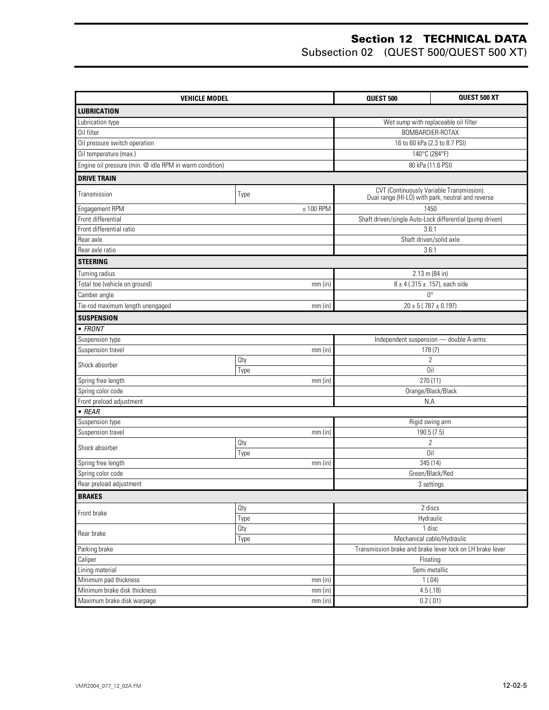| <b>VEHICLE MODEL</b>                                    | QUEST 500                 | QUEST 500 XT                                              |                                                          |  |
|---------------------------------------------------------|---------------------------|-----------------------------------------------------------|----------------------------------------------------------|--|
| <b>LUBRICATION</b>                                      |                           |                                                           |                                                          |  |
| Lubrication type                                        |                           |                                                           | Wet sump with replaceable oil filter                     |  |
| Oil filter                                              |                           | BOMBARDIER-ROTAX                                          |                                                          |  |
| Oil pressure switch operation                           |                           |                                                           | 16 to 60 kPa (2.3 to 8.7 PSI)                            |  |
| Oil temperature (max.)                                  |                           | 140°C (284°F)                                             |                                                          |  |
| Engine oil pressure (min. @ idle RPM in warm condition) |                           |                                                           | 80 kPa (11.6 PSI)                                        |  |
| <b>DRIVE TRAIN</b>                                      |                           |                                                           |                                                          |  |
|                                                         |                           |                                                           | CVT (Continuously Variable Transmission).                |  |
| Transmission                                            | Type                      |                                                           | Dual range (HI-LO) with park, neutral and reverse        |  |
| Engagement RPM                                          | $± 100$ RPM               |                                                           | 1450                                                     |  |
| Front differential                                      |                           |                                                           | Shaft driven/single Auto-Lock differential (pump driven) |  |
| Front differential ratio                                |                           |                                                           | 3.6:1                                                    |  |
| Rear axle                                               |                           |                                                           | Shaft driven/solid axle                                  |  |
| Rear axle ratio                                         |                           |                                                           | 3.6:1                                                    |  |
| <b>STEERING</b>                                         |                           |                                                           |                                                          |  |
| Turning radius                                          |                           |                                                           | $2.13$ m (84 in)                                         |  |
| Total toe (vehicle on ground)                           | $mm$ (in)                 |                                                           | $8 \pm 4$ (.315 $\pm$ .157), each side                   |  |
| Camber angle                                            |                           |                                                           | $0^{\circ}$                                              |  |
| Tie-rod maximum length unengaged                        | $mm$ (in)                 | $20 \pm 5$ (.787 $\pm$ 0.197)                             |                                                          |  |
| <b>SUSPENSION</b>                                       |                           |                                                           |                                                          |  |
| $\bullet$ FRONT                                         |                           |                                                           |                                                          |  |
| Suspension type                                         |                           |                                                           | Independent suspension - double A-arms                   |  |
| Suspension travel                                       | mm(in)                    |                                                           | 178(7)                                                   |  |
| Shock absorber                                          | Qty                       |                                                           | $\overline{2}$                                           |  |
|                                                         | Type                      |                                                           | Oil                                                      |  |
| Spring free length                                      | $mm$ (in)                 |                                                           | 270 (11)                                                 |  |
| Spring color code                                       |                           |                                                           | Orange/Black/Black                                       |  |
| Front preload adjustment                                |                           |                                                           | N.A.                                                     |  |
| $\bullet$ REAR                                          |                           |                                                           |                                                          |  |
| Suspension type                                         |                           |                                                           | Rigid swing arm                                          |  |
| Suspension travel                                       | $mm$ (in)                 | 190.5 (7.5)                                               |                                                          |  |
| Shock absorber                                          | Oty                       |                                                           | $\overline{2}$                                           |  |
|                                                         | Type                      |                                                           | Oil                                                      |  |
| Spring free length                                      | $mm$ (in)                 |                                                           | 345 (14)                                                 |  |
| Spring color code                                       |                           |                                                           | Green/Black/Red                                          |  |
| Rear preload adjustment                                 |                           |                                                           | 3 settings                                               |  |
| <b>BRAKES</b>                                           |                           |                                                           |                                                          |  |
| Front brake                                             | Oty                       |                                                           | 2 discs                                                  |  |
|                                                         | Type                      |                                                           | Hydraulic                                                |  |
| Rear brake                                              | Oty                       |                                                           | 1 disc                                                   |  |
| Type                                                    |                           |                                                           | Mechanical cable/Hydraulic                               |  |
| Parking brake                                           |                           | Transmission brake and brake lever lock on LH brake lever |                                                          |  |
| Caliper<br>Lining material                              | Floating<br>Semi metallic |                                                           |                                                          |  |
| Minimum pad thickness                                   |                           |                                                           |                                                          |  |
| Minimum brake disk thickness                            | mm(in)                    | 1(.04)<br>4.5(.18)                                        |                                                          |  |
| Maximum brake disk warpage                              | $mm$ (in)<br>$mm$ (in)    |                                                           | $0.2$ (.01)                                              |  |
|                                                         |                           |                                                           |                                                          |  |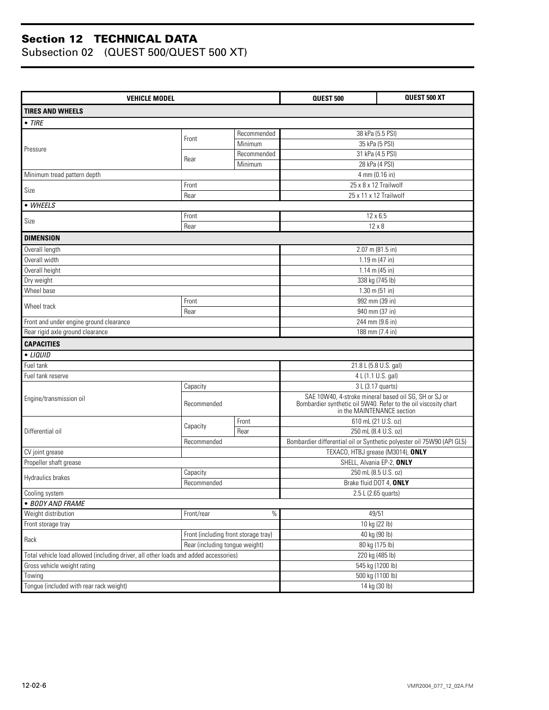| <b>VEHICLE MODEL</b>                                                                 |                                      |                  | QUEST 500                                                                                     | <b>QUEST 500 XT</b> |
|--------------------------------------------------------------------------------------|--------------------------------------|------------------|-----------------------------------------------------------------------------------------------|---------------------|
| <b>TIRES AND WHEELS</b>                                                              |                                      |                  |                                                                                               |                     |
| $\bullet$ TIRE                                                                       |                                      |                  |                                                                                               |                     |
|                                                                                      |                                      | Recommended      | 38 kPa (5.5 PSI)                                                                              |                     |
|                                                                                      | Front                                | Minimum          | 35 kPa (5 PSI)                                                                                |                     |
| Pressure                                                                             |                                      | Recommended      | 31 kPa (4.5 PSI)                                                                              |                     |
|                                                                                      | Rear                                 | Minimum          | 28 kPa (4 PSI)                                                                                |                     |
| Minimum tread pattern depth                                                          |                                      |                  | 4 mm (0.16 in)                                                                                |                     |
| Size                                                                                 | Front                                |                  | 25 x 8 x 12 Trailwolf                                                                         |                     |
|                                                                                      | Rear                                 |                  | 25 x 11 x 12 Trailwolf                                                                        |                     |
| • WHEELS                                                                             |                                      |                  |                                                                                               |                     |
| Size                                                                                 | Front                                |                  | $12 \times 6.5$                                                                               |                     |
|                                                                                      | Rear                                 |                  | $12 \times 8$                                                                                 |                     |
| <b>DIMENSION</b>                                                                     |                                      |                  |                                                                                               |                     |
| Overall length                                                                       |                                      |                  | 2.07 m (81.5 in)                                                                              |                     |
| Overall width                                                                        |                                      |                  | 1.19 m (47 in)                                                                                |                     |
| Overall height                                                                       |                                      |                  | 1.14 m (45 in)                                                                                |                     |
| Dry weight                                                                           |                                      |                  | 338 kg (745 lb)                                                                               |                     |
| Wheel base                                                                           |                                      |                  | $1.30$ m (51 in)                                                                              |                     |
| Wheel track                                                                          | Front                                |                  | 992 mm (39 in)                                                                                |                     |
|                                                                                      | Rear                                 |                  | 940 mm (37 in)                                                                                |                     |
| Front and under engine ground clearance                                              |                                      |                  | 244 mm (9.6 in)<br>188 mm (7.4 in)                                                            |                     |
| Rear rigid axle ground clearance                                                     |                                      |                  |                                                                                               |                     |
| <b>CAPACITIES</b>                                                                    |                                      |                  |                                                                                               |                     |
| • LIQUID                                                                             |                                      |                  |                                                                                               |                     |
| Fuel tank                                                                            |                                      |                  | 21.8 L (5.8 U.S. gal)                                                                         |                     |
| Fuel tank reserve                                                                    |                                      |                  | 4 L (1.1 U.S. gal)                                                                            |                     |
|                                                                                      | Capacity                             |                  | 3 L (3.17 quarts)<br>SAE 10W40, 4-stroke mineral based oil SG, SH or SJ or                    |                     |
| Engine/transmission oil                                                              | Recommended                          |                  | Bombardier synthetic oil 5W40. Refer to the oil viscosity chart<br>in the MAINTENANCE section |                     |
|                                                                                      | Capacity                             | Front            | 610 mL (21 U.S. oz)                                                                           |                     |
| Differential oil                                                                     |                                      | Rear             | 250 mL (8.4 U.S. oz)                                                                          |                     |
|                                                                                      | Recommended                          |                  | Bombardier differential oil or Synthetic polyester oil 75W90 (API GL5)                        |                     |
| CV joint grease                                                                      |                                      |                  | TEXACO, HTBJ grease (M3014), ONLY                                                             |                     |
| Propeller shaft grease                                                               |                                      |                  | SHELL, Alvania EP-2, ONLY                                                                     |                     |
| Hydraulics brakes                                                                    | Capacity                             |                  | 250 mL (8.5 U.S. oz)                                                                          |                     |
|                                                                                      | Recommended                          |                  | Brake fluid DOT 4, ONLY                                                                       |                     |
| Cooling system                                                                       |                                      |                  | 2.5 L (2.65 quarts)                                                                           |                     |
| · BODY AND FRAME<br>Weight distribution                                              | Front/rear                           | $\%$             | 49/51                                                                                         |                     |
| Front storage tray                                                                   |                                      |                  | 10 kg (22 lb)                                                                                 |                     |
|                                                                                      | Front (including front storage tray) |                  | 40 kg (90 lb)                                                                                 |                     |
| Rack                                                                                 | Rear (including tongue weight)       |                  |                                                                                               |                     |
| Total vehicle load allowed (including driver, all other loads and added accessories) |                                      |                  | 80 kg (175 lb)<br>220 kg (485 lb)                                                             |                     |
| Gross vehicle weight rating                                                          |                                      | 545 kg (1200 lb) |                                                                                               |                     |
| Towing                                                                               |                                      |                  | 500 kg (1100 lb)                                                                              |                     |
| Tongue (included with rear rack weight)                                              |                                      |                  | 14 kg (30 lb)                                                                                 |                     |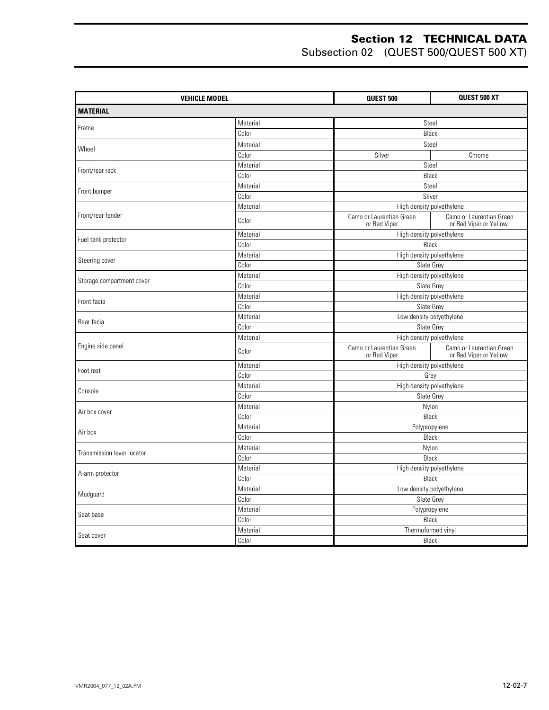| <b>VEHICLE MODEL</b>       |          | <b>QUEST 500</b>                         | <b>QUEST 500 XT</b>                                |  |  |
|----------------------------|----------|------------------------------------------|----------------------------------------------------|--|--|
| <b>MATERIAL</b>            |          |                                          |                                                    |  |  |
| Frame                      | Material | Steel                                    |                                                    |  |  |
|                            | Color    | Black                                    |                                                    |  |  |
|                            | Material | Steel                                    |                                                    |  |  |
| Wheel                      | Color    | Silver                                   | Chrome                                             |  |  |
|                            | Material | Steel                                    |                                                    |  |  |
| Front/rear rack            | Color    | Black                                    |                                                    |  |  |
|                            | Material | Steel                                    |                                                    |  |  |
| Front bumper               | Color    | Silver                                   |                                                    |  |  |
|                            | Material | High density polyethylene                |                                                    |  |  |
| Front/rear fender          | Color    | Camo or Laurentian Green<br>or Red Viper | Camo or Laurentian Green<br>or Red Viper or Yellow |  |  |
|                            | Material | High density polyethylene                |                                                    |  |  |
| Fuel tank protector        | Color    | Black                                    |                                                    |  |  |
|                            | Material | High density polyethylene                |                                                    |  |  |
| Steering cover             | Color    | Slate Grey                               |                                                    |  |  |
|                            | Material | High density polyethylene                |                                                    |  |  |
| Storage compartment cover  | Color    | Slate Grey                               |                                                    |  |  |
| Front facia                | Material | High density polyethylene                |                                                    |  |  |
|                            | Color    | Slate Grey                               |                                                    |  |  |
| Rear facia                 | Material | Low density polyethylene                 |                                                    |  |  |
|                            | Color    | Slate Grey                               |                                                    |  |  |
|                            | Material | High density polyethylene                |                                                    |  |  |
| Engine side panel          | Color    | Camo or Laurentian Green<br>or Red Viper | Camo or Laurentian Green<br>or Red Viper or Yellow |  |  |
| Foot rest                  | Material | High density polyethylene                |                                                    |  |  |
|                            | Color    | Grey                                     |                                                    |  |  |
| Console                    | Material | High density polyethylene                |                                                    |  |  |
|                            | Color    | Slate Grey                               |                                                    |  |  |
| Air box cover              | Material | Nylon                                    |                                                    |  |  |
|                            | Color    | <b>Black</b>                             |                                                    |  |  |
| Air box                    | Material | Polypropylene                            |                                                    |  |  |
|                            | Color    | Black                                    |                                                    |  |  |
| Transmission lever locator | Material | Nylon                                    |                                                    |  |  |
|                            | Color    | Black                                    |                                                    |  |  |
| A-arm protector            | Material | High density polyethylene                |                                                    |  |  |
|                            | Color    | Black                                    |                                                    |  |  |
| Mudguard                   | Material | Low density polyethylene                 |                                                    |  |  |
|                            | Color    | Slate Grey                               |                                                    |  |  |
| Seat base                  | Material | Polypropylene                            |                                                    |  |  |
|                            | Color    | <b>Black</b>                             |                                                    |  |  |
| Seat cover                 | Material | Thermoformed vinyl                       |                                                    |  |  |
|                            | Color    |                                          | Black                                              |  |  |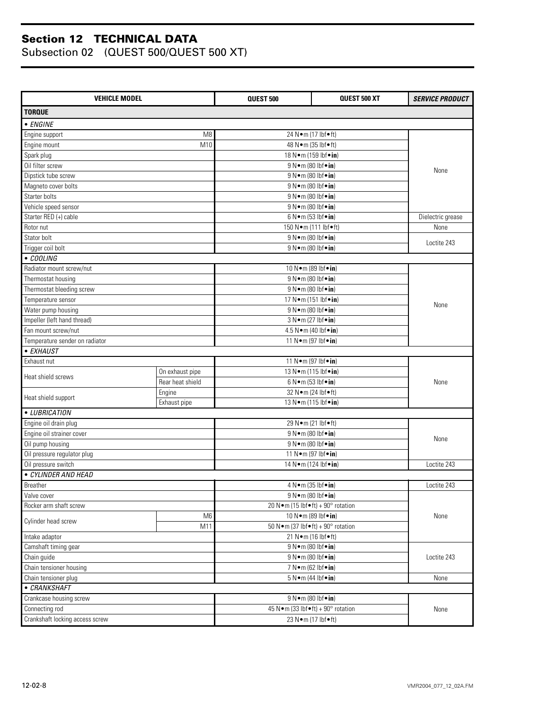| <b>VEHICLE MODEL</b>            |                  | <b>QUEST 500</b>                                | QUEST 500 XT           | <b>SERVICE PRODUCT</b> |  |
|---------------------------------|------------------|-------------------------------------------------|------------------------|------------------------|--|
| <b>TORQUE</b>                   |                  |                                                 |                        |                        |  |
| • ENGINE                        |                  |                                                 |                        |                        |  |
| Engine support                  | M <sub>8</sub>   | 24 Nom (17 lbfoft)                              |                        |                        |  |
| Engine mount                    | M10              | 48 N • m (35 lbf • ft)                          |                        |                        |  |
| Spark plug                      |                  | 18 N · m (159 lbf · in)                         |                        |                        |  |
| Oil filter screw                |                  | 9 N • m (80 lbf • in)                           |                        |                        |  |
| Dipstick tube screw             |                  | 9 N • m (80 lbf • in)                           |                        | None                   |  |
| Magneto cover bolts             |                  | 9 N · m (80 lbf · in)                           |                        |                        |  |
| Starter bolts                   |                  |                                                 |                        |                        |  |
|                                 |                  | 9 N • m (80 lbf • in)                           |                        |                        |  |
| Vehicle speed sensor            |                  | 9 N • m (80 lbf • in)                           |                        |                        |  |
| Starter RED (+) cable           |                  | 6 N•m (53 lbf•in)                               |                        | Dielectric grease      |  |
| Rotor nut                       |                  | 150 N•m (111 lbf•ft)                            |                        | None                   |  |
| Stator bolt                     |                  | 9 N • m (80 lbf • in)                           |                        | Loctite 243            |  |
| Trigger coil bolt               |                  | 9 N • m (80 lbf • in)                           |                        |                        |  |
| • COOLING                       |                  |                                                 |                        |                        |  |
| Radiator mount screw/nut        |                  | 10 N · m (89 lbf · in)                          |                        |                        |  |
| Thermostat housing              |                  | 9 N • m (80 lbf • in)                           |                        |                        |  |
| Thermostat bleeding screw       |                  | 9 N · m (80 lbf · in)                           |                        |                        |  |
| Temperature sensor              |                  | 17 N · m (151 lbf · in)                         |                        | None                   |  |
| Water pump housing              |                  | 9 N•m (80 lbf•in)                               |                        |                        |  |
| Impeller (left hand thread)     |                  | 3 N•m (27 lbf•in)                               |                        |                        |  |
| Fan mount screw/nut             |                  | 4.5 N•m (40 lbf•in)                             |                        |                        |  |
| Temperature sender on radiator  |                  | 11 N · m (97 lbf · in)                          |                        |                        |  |
| • EXHAUST                       |                  |                                                 |                        |                        |  |
| Exhaust nut                     |                  | 11 N · m (97 lbf · in)                          |                        |                        |  |
|                                 | On exhaust pipe  | 13 N · m (115 lbf · in)                         |                        |                        |  |
| Heat shield screws              | Rear heat shield | 6 N • m (53 lbf • in)                           |                        | None                   |  |
|                                 | Engine           |                                                 | 32 N · m (24 lbf · ft) |                        |  |
| Heat shield support             | Exhaust pipe     | 13 N • m (115 lbf • in)                         |                        |                        |  |
| • LUBRICATION                   |                  |                                                 |                        |                        |  |
| Engine oil drain plug           |                  | 29 N • m (21 lbf • ft)                          |                        |                        |  |
| Engine oil strainer cover       |                  | 9 N•m (80 lbf•in)                               |                        |                        |  |
| Oil pump housing                |                  | 9 N · m (80 lbf · in)                           |                        | None                   |  |
| Oil pressure regulator plug     |                  | 11 N•m (97 lbf•in)                              |                        |                        |  |
| Oil pressure switch             |                  | 14 N · m (124 lbf · in)                         |                        | Loctite 243            |  |
| · CYLINDER AND HEAD             |                  |                                                 |                        |                        |  |
| Breather                        |                  | 4 N•m (35 lbf•in)                               |                        | Loctite 243            |  |
| Valve cover                     |                  | 9 N•m (80 lbf•in)                               |                        |                        |  |
| Rocker arm shaft screw          |                  | 20 N•m (15 lbf•ft) + 90° rotation               |                        |                        |  |
|                                 | M <sub>6</sub>   | 10 N • m (89 lbf • in)                          |                        | None                   |  |
| Cylinder head screw             | M11              | 50 N · m (37 lbf • ft) + 90 $^{\circ}$ rotation |                        |                        |  |
| Intake adaptor                  |                  | 21 N•m (16 lbf•ft)                              |                        |                        |  |
| Camshaft timing gear            |                  |                                                 |                        |                        |  |
| Chain guide                     |                  | 9 N•m (80 lbf•in)<br>9 N • m (80 lbf • in)      |                        | Loctite 243            |  |
| Chain tensioner housing         |                  | 7 N • m (62 lbf • in)                           |                        |                        |  |
| Chain tensioner plug            |                  | $5 N \cdot m$ (44 lbf $\cdot$ in)               |                        | None                   |  |
| • CRANKSHAFT                    |                  |                                                 |                        |                        |  |
|                                 |                  | 9 N•m (80 lbf•in)                               |                        |                        |  |
| Crankcase housing screw         |                  |                                                 |                        |                        |  |
| Connecting rod                  |                  | 45 N · m (33 lbf · ft) + 90° rotation           | None                   |                        |  |
| Crankshaft locking access screw |                  | 23 N • m (17 lbf • ft)                          |                        |                        |  |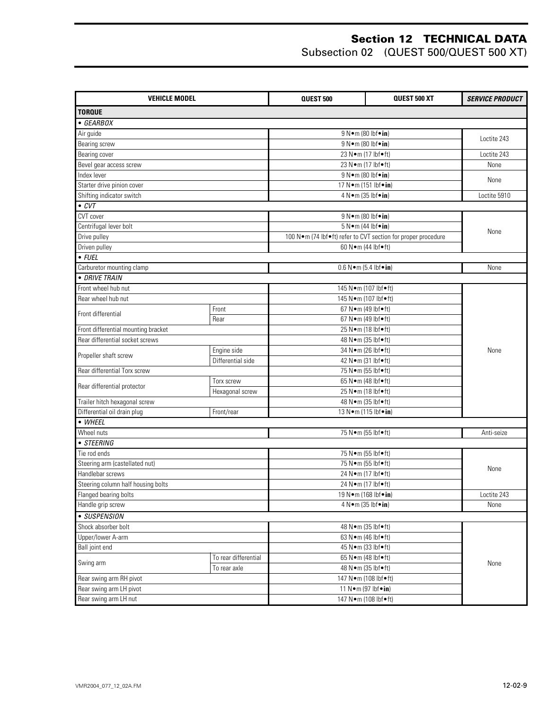| <b>VEHICLE MODEL</b>                |                      | <b>QUEST 500</b>                                              | QUEST 500 XT | <b>SERVICE PRODUCT</b> |
|-------------------------------------|----------------------|---------------------------------------------------------------|--------------|------------------------|
| <b>TORQUE</b>                       |                      |                                                               |              |                        |
| $\bullet$ GEARBOX                   |                      |                                                               |              |                        |
| Air guide                           |                      | 9 N • m (80 lbf • in)                                         |              |                        |
| <b>Bearing screw</b>                |                      | 9 N•m (80 lbf•in)                                             |              | Loctite 243            |
| Bearing cover                       |                      | 23 N · m (17 lbf · ft)                                        |              | Loctite 243            |
| Bevel gear access screw             |                      | 23 N • m (17 lbf • ft)                                        |              | None                   |
| Index lever                         |                      | 9 N • m (80 lbf • in)                                         |              |                        |
| Starter drive pinion cover          |                      | 17 N · m (151 lbf · in)                                       |              | None                   |
| Shifting indicator switch           |                      | 4 N • m (35 lbf • in)                                         |              | Loctite 5910           |
| $\bullet$ CVT                       |                      |                                                               |              |                        |
| CVT cover                           |                      | 9 N • m (80 lbf • in)                                         |              |                        |
| Centrifugal lever bolt              |                      | $5 N \cdot m$ (44 lbf $\cdot$ in)                             |              |                        |
| Drive pulley                        |                      | 100 N·m (74 lbf•ft) refer to CVT section for proper procedure |              | None                   |
| Driven pulley                       |                      | 60 N•m (44 lbf•ft)                                            |              |                        |
| $\bullet$ FUEL                      |                      |                                                               |              |                        |
| Carburetor mounting clamp           |                      | $0.6 N \cdot m (5.4 lbf \cdot in)$                            |              | None                   |
| · DRIVE TRAIN                       |                      |                                                               |              |                        |
| Front wheel hub nut                 |                      | 145 N·m (107 lbf•ft)                                          |              |                        |
| Rear wheel hub nut                  |                      | 145 N•m (107 lbf•ft)                                          |              |                        |
| Front differential                  | Front                | 67 N · m (49 lbf • ft)                                        |              |                        |
| Rear                                |                      | 67 N · m (49 lbf • ft)                                        |              |                        |
| Front differential mounting bracket |                      | 25 N•m (18 lbf•ft)                                            |              |                        |
| Rear differential socket screws     |                      | 48 N • m (35 lbf • ft)                                        |              |                        |
| Propeller shaft screw               | Engine side          | 34 N · m (26 lbf · ft)                                        |              | None                   |
|                                     | Differential side    | 42 N • m (31 lbf • ft)                                        |              |                        |
| Rear differential Torx screw        |                      | 75 N•m (55 lbf•ft)                                            |              |                        |
| Rear differential protector         | Torx screw           | 65 N•m (48 lbf•ft)                                            |              |                        |
|                                     | Hexagonal screw      | 25 N•m (18 lbf•ft)                                            |              |                        |
| Trailer hitch hexagonal screw       |                      | 48 N • m (35 lbf • ft)                                        |              |                        |
| Differential oil drain plug         | Front/rear           | 13 N • m (115 lbf • in)                                       |              |                        |
| • WHEEL                             |                      |                                                               |              |                        |
| Wheel nuts                          |                      | 75 N•m (55 lbf•ft)                                            |              | Anti-seize             |
| • STEERING                          |                      |                                                               |              |                        |
| Tie rod ends                        |                      | 75 N•m (55 lbf•ft)                                            |              |                        |
| Steering arm (castellated nut)      |                      | 75 N•m (55 lbf•ft)                                            |              | None                   |
| Handlebar screws                    |                      | 24 N•m (17 lbf•ft)                                            |              |                        |
| Steering column half housing bolts  |                      | 24 N•m (17 lbf•ft)                                            |              |                        |
| Flanged bearing bolts               |                      | 19 N • m (168 lbf • in)                                       |              | Loctite 243            |
| Handle grip screw                   |                      | $4 N \cdot m (35 lbf \cdot in)$                               |              | None                   |
| • SUSPENSION                        |                      |                                                               |              |                        |
| Shock absorber bolt                 |                      | 48 N • m (35 lbf • ft)                                        |              |                        |
| Upper/lower A-arm                   |                      | $\sqrt{63 \text{ N} \cdot \text{m}}$ (46 lbf $\bullet$ ft)    |              | None                   |
| Ball joint end                      |                      | 45 N • m (33 lbf • ft)                                        |              |                        |
| Swing arm                           | To rear differential | 65 N•m (48 lbf•ft)                                            |              |                        |
|                                     | To rear axle         | 48 N • m (35 lbf • ft)                                        |              |                        |
| Rear swing arm RH pivot             |                      | 147 N·m (108 lbf•ft)                                          |              |                        |
| Rear swing arm LH pivot             |                      | 11 N · m (97 lbf · in)                                        |              |                        |
| Rear swing arm LH nut               |                      | 147 N·m (108 lbf•ft)                                          |              |                        |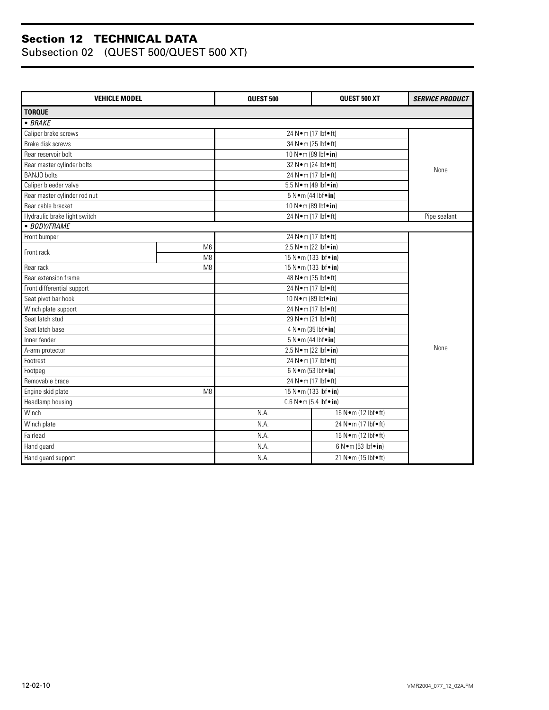| <b>VEHICLE MODEL</b>                |                | <b>QUEST 500</b>                        | QUEST 500 XT                    | <b>SERVICE PRODUCT</b> |
|-------------------------------------|----------------|-----------------------------------------|---------------------------------|------------------------|
| <b>TORQUE</b>                       |                |                                         |                                 |                        |
| $-BRAKE$                            |                |                                         |                                 |                        |
| Caliper brake screws                |                | 24 Nom (17 lbfoft)                      |                                 |                        |
| Brake disk screws                   |                | 34 N · m (25 lbf · ft)                  |                                 |                        |
| Rear reservoir bolt                 |                | 10 N • m (89 lbf • in)                  |                                 |                        |
| Rear master cylinder bolts          |                | 32 Nom (24 lbfoft)                      |                                 | None                   |
| <b>BANJO</b> bolts                  |                | 24 Nom (17 lbfoft)                      |                                 |                        |
| Caliper bleeder valve               |                | 5.5 N • m (49 lbf • in)                 |                                 |                        |
| Rear master cylinder rod nut        |                | $5 N \cdot m$ (44 lbf $\cdot$ in)       |                                 |                        |
| Rear cable bracket                  |                | 10 N · m (89 lbf · in)                  |                                 |                        |
| Hydraulic brake light switch        |                | 24 Nom (17 lbfoft)                      |                                 | Pipe sealant           |
| • BODY/FRAME                        |                |                                         |                                 |                        |
| Front bumper                        |                | 24 N•m (17 lbf•ft)                      |                                 |                        |
| Front rack                          | M <sub>6</sub> | 2.5 N $\bullet$ m (22 lbf $\bullet$ in) |                                 |                        |
|                                     | M <sub>8</sub> | 15 N•m (133 lbf•in)                     |                                 |                        |
| Rear rack                           | M <sub>8</sub> | 15 N•m (133 lbf•in)                     |                                 |                        |
| Rear extension frame                |                | 48 N • m (35 lbf • ft)                  |                                 |                        |
| Front differential support          |                | 24 N•m (17 lbf•ft)                      |                                 |                        |
| Seat pivot bar hook                 |                | 10 N · m (89 lbf · in)                  |                                 |                        |
| Winch plate support                 |                | 24 N•m (17 lbf•ft)                      |                                 |                        |
| Seat latch stud                     |                | 29 Nom (21 lbfoft)                      |                                 |                        |
| Seat latch base                     |                | 4 N • m (35 lbf • in)                   |                                 |                        |
| Inner fender                        |                | 5 N · m (44 lbf · in)                   |                                 |                        |
| A-arm protector                     |                | 2.5 N • m (22 lbf • in)                 |                                 | None                   |
| Footrest                            |                | 24 Nom (17 lbfoft)                      |                                 |                        |
| Footpeg                             |                | $6 N \cdot m$ (53 lbf $\cdot$ in)       |                                 |                        |
| Removable brace                     |                | 24 Nom (17 lbfoft)                      |                                 |                        |
| Engine skid plate<br>M <sub>8</sub> |                | 15 N · m (133 lbf · in)                 |                                 |                        |
| Headlamp housing                    |                | $0.6 N \cdot m (5.4 lbf \cdot in)$      |                                 |                        |
| Winch                               |                | N.A.                                    | 16 N•m (12 lbf•ft)              |                        |
| Winch plate                         |                | N.A.<br>24 N•m (17 lbf•ft)              |                                 |                        |
| Fairlead                            |                | N.A.                                    | 16 N•m (12 lbf•ft)              |                        |
| Hand guard                          |                | N.A.                                    | $6 N \cdot m (53 lbf \cdot in)$ |                        |
| Hand guard support                  |                | N.A.                                    | 21 Nom (15 lbfoft)              |                        |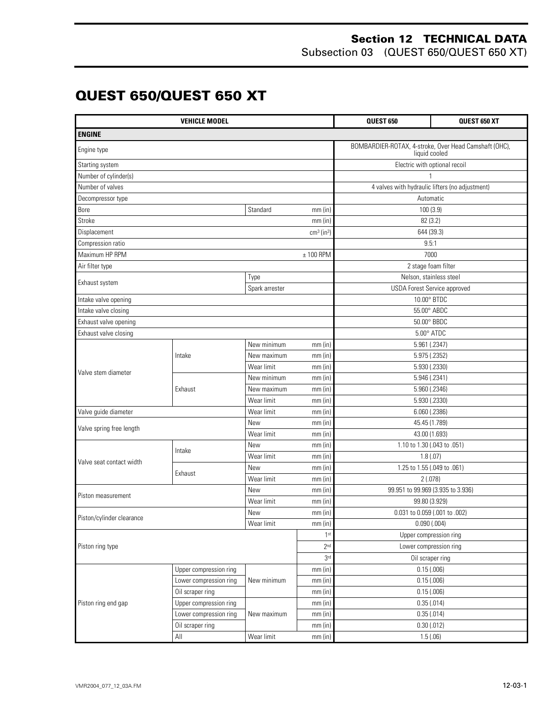#### **Section 12 TECHNICAL DATA** Subsection 03 (QUEST 650/QUEST 650 XT)

### **QUEST 650/QUEST 650 XT**

| <b>VEHICLE MODEL</b>      |                        |                         |                                                 | QUEST 650                                                              | QUEST 650 XT |
|---------------------------|------------------------|-------------------------|-------------------------------------------------|------------------------------------------------------------------------|--------------|
| <b>ENGINE</b>             |                        |                         |                                                 |                                                                        |              |
| Engine type               |                        |                         |                                                 | BOMBARDIER-ROTAX, 4-stroke, Over Head Camshaft (OHC),<br>liquid cooled |              |
| Starting system           |                        |                         |                                                 | Electric with optional recoil                                          |              |
| Number of cylinder(s)     |                        |                         |                                                 |                                                                        |              |
| Number of valves          |                        |                         | 4 valves with hydraulic lifters (no adjustment) |                                                                        |              |
| Decompressor type         |                        |                         | Automatic                                       |                                                                        |              |
| Bore                      |                        | Standard                | $mm$ (in)                                       | 100 (3.9)                                                              |              |
| Stroke                    |                        |                         | $mm$ (in)                                       | 82 (3.2)                                                               |              |
| Displacement              |                        |                         | $cm3$ (in <sup>3</sup> )                        | 644 (39.3)                                                             |              |
| Compression ratio         |                        |                         |                                                 | 9.5:1                                                                  |              |
| Maximum HP RPM            |                        |                         | $± 100$ RPM                                     | 7000                                                                   |              |
| Air filter type           |                        |                         |                                                 | 2 stage foam filter                                                    |              |
| Exhaust system            |                        | Type                    |                                                 | Nelson, stainless steel                                                |              |
|                           |                        | Spark arrester          |                                                 | USDA Forest Service approved                                           |              |
| Intake valve opening      |                        |                         |                                                 | 10.00° BTDC                                                            |              |
| Intake valve closing      |                        |                         |                                                 | 55.00° ABDC                                                            |              |
| Exhaust valve opening     |                        |                         |                                                 | 50.00° BBDC                                                            |              |
| Exhaust valve closing     |                        |                         |                                                 | $5.00^\circ$ ATDC                                                      |              |
|                           |                        | New minimum             | mm(in)                                          | 5.961 (.2347)                                                          |              |
|                           | Intake                 | New maximum             | mm(in)                                          | 5.975 (.2352)                                                          |              |
| Valve stem diameter       |                        | Wear limit              | $mm$ (in)                                       | 5.930 (.2330)                                                          |              |
|                           |                        | New minimum             | $mm$ (in)                                       | 5.946 (.2341)                                                          |              |
|                           | Exhaust                | New maximum             | $mm$ (in)                                       | 5.960 (.2346)                                                          |              |
|                           |                        | Wear limit              | 5.930 (.2330)<br>$mm$ (in)                      |                                                                        |              |
| Valve guide diameter      |                        | Wear limit<br>$mm$ (in) |                                                 | $6.060$ $(.2386)$                                                      |              |
| Valve spring free length  |                        | New<br>$mm$ (in)        |                                                 | 45.45 (1.789)                                                          |              |
|                           |                        | Wear limit<br>$mm$ (in) |                                                 | 43.00 (1.693)                                                          |              |
|                           | Intake                 | New<br>mm(in)           |                                                 | 1.10 to 1.30 (.043 to .051)                                            |              |
| Valve seat contact width  |                        | Wear limit<br>$mm$ (in) |                                                 | 1.8(0.07)                                                              |              |
|                           | Exhaust                | New<br>mm(in)           |                                                 | 1.25 to 1.55 (.049 to .061)                                            |              |
|                           |                        | Wear limit<br>$mm$ (in) |                                                 | 2(.078)                                                                |              |
| Piston measurement        |                        | New                     | $mm$ (in)                                       | 99.951 to 99.969 (3.935 to 3.936)                                      |              |
|                           |                        | Wear limit              | $mm$ (in)                                       | 99.80 (3.929)                                                          |              |
| Piston/cylinder clearance |                        | New                     | $mm$ (in)                                       | 0.031 to 0.059 (.001 to .002)                                          |              |
|                           |                        | Wear limit              | mm (in)                                         | 0.090(.004)                                                            |              |
|                           |                        |                         | 1 <sup>st</sup>                                 | Upper compression ring                                                 |              |
| Piston ring type          |                        |                         | 2 <sup>nd</sup>                                 | Lower compression ring                                                 |              |
|                           |                        | 3rd                     | Oil scraper ring                                |                                                                        |              |
|                           | Upper compression ring |                         | mm (in)                                         | 0.15(0.006)                                                            |              |
|                           | Lower compression ring | New minimum             | mm(in)                                          | 0.15(.006)                                                             |              |
|                           | Oil scraper ring       |                         | $mm$ (in)                                       | 0.15(.006)                                                             |              |
| Piston ring end gap       | Upper compression ring |                         | $mm$ (in)                                       | 0.35(.014)                                                             |              |
|                           | Lower compression ring | New maximum             | mm (in)                                         | 0.35(.014)                                                             |              |
|                           | Oil scraper ring       |                         | $mm$ (in)                                       | $0.30$ $(.012)$                                                        |              |
|                           | $\mathsf{All}$         | Wear limit              | $mm$ (in)                                       | 1.5(.06)                                                               |              |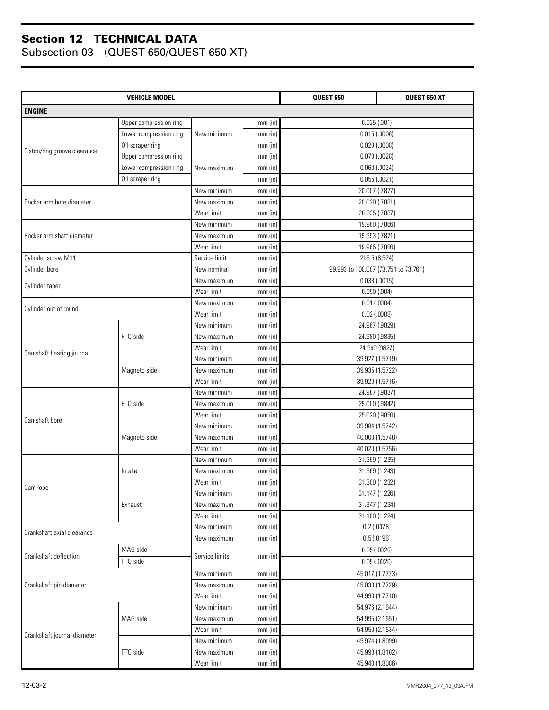| <b>VEHICLE MODEL</b>         |                        |                |           | <b>QUEST 650</b>                     | <b>QUEST 650 XT</b> |
|------------------------------|------------------------|----------------|-----------|--------------------------------------|---------------------|
| <b>ENGINE</b>                |                        |                |           |                                      |                     |
|                              | Upper compression ring |                | $mm$ (in) | 0.025(.001)                          |                     |
|                              | Lower compression ring | New minimum    | $mm$ (in) | $0.015$ (.0006)                      |                     |
|                              | Oil scraper ring       |                | $mm$ (in) | $0.020$ $(.0008)$                    |                     |
| Piston/ring groove clearance | Upper compression ring |                | $mm$ (in) | $0.070$ $(.0028)$                    |                     |
|                              | Lower compression ring | New maximum    | $mm$ (in) | $0.060$ (.0024)                      |                     |
|                              | Oil scraper ring       |                | $mm$ (in) | 0.055(.0021)                         |                     |
|                              |                        | New minimum    | $mm$ (in) | 20.007 (.7877)                       |                     |
| Rocker arm bore diameter     |                        | New maximum    | mm(in)    | 20.020 (.7881)                       |                     |
|                              |                        | Wear limit     | $mm$ (in) | 20.035 (.7887)                       |                     |
|                              |                        | New minimum    | mm(in)    | 19.980 (.7866)                       |                     |
| Rocker arm shaft diameter    |                        | New maximum    | mm(in)    | 19.993 (.7871)                       |                     |
|                              |                        | Wear limit     | $mm$ (in) | 19.965 (.7860)                       |                     |
| Cylinder screw M11           |                        | Service limit  | $mm$ (in) | 216.5 (8.524)                        |                     |
| Cylinder bore                |                        | New nominal    | $mm$ (in) | 99.993 to 100.007 (73.751 to 73.761) |                     |
|                              |                        | New maximum    | $mm$ (in) | 0.038(.0015)                         |                     |
| Cylinder taper               |                        | Wear limit     | $mm$ (in) | $0.090$ $(.004)$                     |                     |
| Cylinder out of round        |                        | New maximum    | $mm$ (in) | $0.01$ (.0004)                       |                     |
|                              |                        | Wear limit     | $mm$ (in) | $0.02$ (.0008)                       |                     |
|                              |                        | New minimum    | $mm$ (in) | 24.967 (.9829)                       |                     |
|                              | PTO side               | New maximum    | $mm$ (in) | 24.980 (.9835)                       |                     |
|                              |                        | Wear limit     | $mm$ (in) | 24.960 (9827)                        |                     |
| Camshaft bearing journal     |                        | New minimum    | mm(in)    | 39.927 (1.5719)                      |                     |
|                              | Magneto side           | New maximum    | mm(in)    | 39.935 (1.5722)                      |                     |
|                              |                        | Wear limit     | $mm$ (in) | 39.920 (1.5716)                      |                     |
|                              |                        | New minimum    | $mm$ (in) | 24.987 (.9837)                       |                     |
|                              | PTO side               | New maximum    | $mm$ (in) | 25.000 (.9842)                       |                     |
|                              |                        | Wear limit     | $mm$ (in) | 25.020 (.9850)                       |                     |
| Camshaft bore                |                        | New minimum    | $mm$ (in) | 39.984 (1.5742)                      |                     |
|                              | Magneto side           | New maximum    | $mm$ (in) | 40.000 (1.5748)                      |                     |
|                              |                        | Wear limit     | $mm$ (in) | 40.020 (1.5756)                      |                     |
|                              |                        | New minimum    | $mm$ (in) | 31.369 (1.235)                       |                     |
|                              | Intake                 | New maximum    | $mm$ (in) | 31.569 (1.243)                       |                     |
|                              |                        | Wear limit     | $mm$ (in) | 31.300 (1.232)                       |                     |
| Cam lobe                     |                        | New minimum    | mm (in)   | 31.147 (1.226)                       |                     |
|                              | Exhaust                | New maximum    | $mm$ (in) | 31.347 (1.234)                       |                     |
|                              |                        | Wear limit     | $mm$ (in) | 31.100 (1.224)                       |                     |
| Crankshaft axial clearance   |                        | New minimum    | $mm$ (in) | $0.2$ (.0078)                        |                     |
|                              |                        | New maximum    | $mm$ (in) | 0.5(0.0196)                          |                     |
|                              | MAG side               |                |           | 0.05(0.0020)                         |                     |
| Crankshaft deflection        | PTO side               | Service limits | $mm$ (in) | 0.05(.0020)                          |                     |
|                              |                        | New minimum    | $mm$ (in) | 45.017 (1.7723)                      |                     |
| Crankshaft pin diameter      |                        | New maximum    | $mm$ (in) | 45.033 (1.7729)                      |                     |
|                              |                        | Wear limit     | $mm$ (in) | 44.990 (1.7710)                      |                     |
|                              |                        | New minimum    | $mm$ (in) | 54.976 (2.1644)                      |                     |
|                              | MAG side               | New maximum    | $mm$ (in) | 54.995 (2.1651)                      |                     |
|                              |                        | Wear limit     | $mm$ (in) | 54.950 (2.1634)                      |                     |
| Crankshaft journal diameter  |                        | New minimum    | $mm$ (in) | 45.974 (1.8099)                      |                     |
|                              | PTO side               | New maximum    | $mm$ (in) | 45.990 (1.8102)                      |                     |
|                              |                        | Wear limit     | $mm$ (in) | 45.940 (1.8086)                      |                     |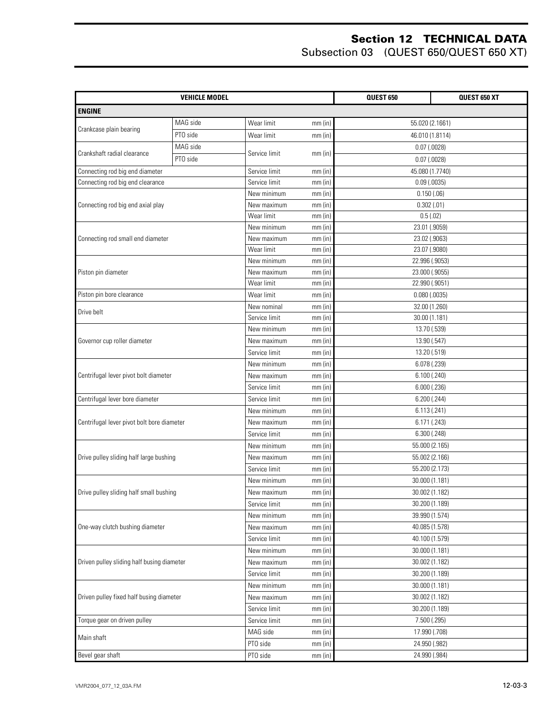| <b>VEHICLE MODEL</b>                       |          |               |           | QUEST 650         | QUEST 650 XT |
|--------------------------------------------|----------|---------------|-----------|-------------------|--------------|
| <b>ENGINE</b>                              |          |               |           |                   |              |
|                                            | MAG side | Wear limit    | $mm$ (in) | 55.020 (2.1661)   |              |
| Crankcase plain bearing                    | PTO side | Wear limit    | $mm$ (in) | 46.010 (1.8114)   |              |
|                                            | MAG side |               |           | $0.07$ (.0028)    |              |
| Crankshaft radial clearance                | PTO side | Service limit | $mm$ (in) | $0.07$ (.0028)    |              |
| Connecting rod big end diameter            |          | Service limit | $mm$ (in) | 45.080 (1.7740)   |              |
| Connecting rod big end clearance           |          | Service limit | $mm$ (in) | $0.09$ (.0035)    |              |
|                                            |          | New minimum   | $mm$ (in) | 0.150(.06)        |              |
| Connecting rod big end axial play          |          | New maximum   | $mm$ (in) | 0.302(.01)        |              |
|                                            |          |               | $mm$ (in) | 0.5(.02)          |              |
|                                            |          | New minimum   | $mm$ (in) | 23.01 (.9059)     |              |
| Connecting rod small end diameter          |          | New maximum   | $mm$ (in) | 23.02 (.9063)     |              |
|                                            |          | Wear limit    | mm (in)   | 23.07 (.9080)     |              |
|                                            |          | New minimum   | $mm$ (in) | 22.996 (.9053)    |              |
| Piston pin diameter                        |          | New maximum   | $mm$ (in) | 23.000 (.9055)    |              |
|                                            |          | Wear limit    | $mm$ (in) | 22.990 (.9051)    |              |
| Piston pin bore clearance                  |          | Wear limit    | $mm$ (in) | $0.080$ $(.0035)$ |              |
|                                            |          | New nominal   | mm (in)   | 32.00 (1.260)     |              |
| Drive belt                                 |          | Service limit | $mm$ (in) | 30.00 (1.181)     |              |
|                                            |          | New minimum   | $mm$ (in) | 13.70 (.539)      |              |
| Governor cup roller diameter               |          | New maximum   | mm (in)   | 13.90 (.547)      |              |
|                                            |          | Service limit | $mm$ (in) | 13.20 (.519)      |              |
|                                            |          | New minimum   | $mm$ (in) | 6.078 (.239)      |              |
| Centrifugal lever pivot bolt diameter      |          | New maximum   | $mm$ (in) | 6.100(.240)       |              |
|                                            |          | Service limit | $mm$ (in) | 6.000(.236)       |              |
| Centrifugal lever bore diameter            |          | Service limit | $mm$ (in) | 6.200(.244)       |              |
|                                            |          | New minimum   | mm (in)   | 6.113(.241)       |              |
| Centrifugal lever pivot bolt bore diameter |          | New maximum   | $mm$ (in) | 6.171 (.243)      |              |
|                                            |          | Service limit | $mm$ (in) | 6.300(.248)       |              |
|                                            |          | New minimum   | $mm$ (in) | 55.000 (2.165)    |              |
| Drive pulley sliding half large bushing    |          | New maximum   | $mm$ (in) | 55.002 (2.166)    |              |
|                                            |          | Service limit | $mm$ (in) | 55.200 (2.173)    |              |
|                                            |          | New minimum   | $mm$ (in) | 30.000 (1.181)    |              |
| Drive pulley sliding half small bushing    |          | New maximum   | $mm$ (in) | 30.002 (1.182)    |              |
|                                            |          | Service limit | $mm$ (in) | 30.200 (1.189)    |              |
|                                            |          | New minimum   | $mm$ (in) | 39.990 (1.574)    |              |
| One-way clutch bushing diameter            |          | New maximum   | $mm$ (in) | 40.085 (1.578)    |              |
|                                            |          | Service limit | $mm$ (in) | 40.100 (1.579)    |              |
|                                            |          | New minimum   | $mm$ (in) | 30.000 (1.181)    |              |
| Driven pulley sliding half busing diameter |          | New maximum   | $mm$ (in) | 30.002 (1.182)    |              |
|                                            |          | Service limit | $mm$ (in) | 30.200 (1.189)    |              |
|                                            |          | New minimum   | $mm$ (in) | 30.000 (1.181)    |              |
| Driven pulley fixed half busing diameter   |          | New maximum   | $mm$ (in) | 30.002 (1.182)    |              |
|                                            |          | Service limit | $mm$ (in) | 30.200 (1.189)    |              |
| Torque gear on driven pulley               |          | Service limit | $mm$ (in) | 7.500 (.295)      |              |
|                                            |          | MAG side      | $mm$ (in) | 17.990 (.708)     |              |
| Main shaft                                 |          | PTO side      | $mm$ (in) | 24.950 (.982)     |              |
| Bevel gear shaft                           |          | PTO side      | mm (in)   | 24.990 (.984)     |              |
|                                            |          |               |           |                   |              |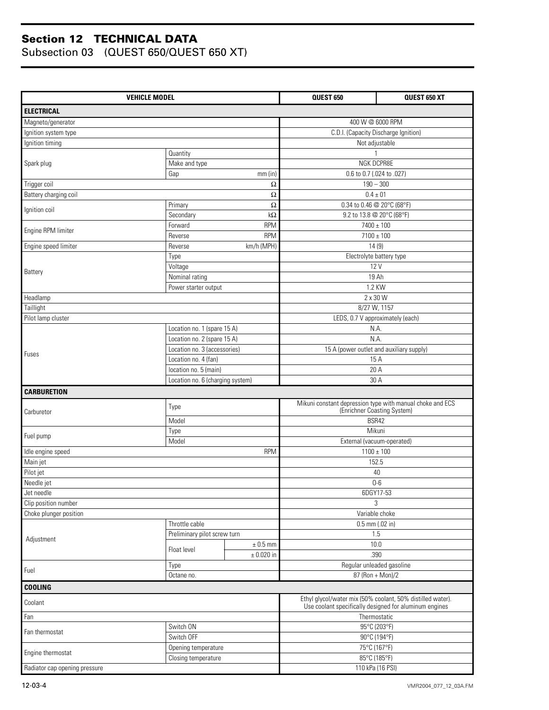| <b>VEHICLE MODEL</b>      |                                                             |                | QUEST 650                                                  | QUEST 650 XT                         |  |
|---------------------------|-------------------------------------------------------------|----------------|------------------------------------------------------------|--------------------------------------|--|
| <b>ELECTRICAL</b>         |                                                             |                |                                                            |                                      |  |
| Magneto/generator         |                                                             |                | 400 W @ 6000 RPM                                           |                                      |  |
| Ignition system type      |                                                             |                |                                                            | C.D.I. (Capacity Discharge Ignition) |  |
| Ignition timing           |                                                             |                | Not adjustable                                             |                                      |  |
|                           | Quantity                                                    |                |                                                            |                                      |  |
| Spark plug                | Make and type                                               |                | NGK DCPR8E                                                 |                                      |  |
|                           | Gap                                                         | mm(in)         | 0.6 to 0.7 (.024 to .027)                                  |                                      |  |
| Trigger coil              |                                                             | $\Omega$       | $190 - 300$                                                |                                      |  |
| Battery charging coil     |                                                             | $\Omega$       | $0.4 \pm 01$                                               |                                      |  |
| Ignition coil             | Primary                                                     | $\Omega$       | 0.34 to 0.46 @ 20°C (68°F)                                 |                                      |  |
|                           | Secondary                                                   | $k\Omega$      | 9.2 to 13.8 @ 20°C (68°F)                                  |                                      |  |
| Engine RPM limiter        | Forward                                                     | <b>RPM</b>     | $7400 \pm 100$                                             |                                      |  |
|                           | Reverse                                                     | <b>RPM</b>     | $7100 \pm 100$                                             |                                      |  |
| Engine speed limiter      | Reverse                                                     | km/h (MPH)     | 14(9)                                                      |                                      |  |
|                           | Type                                                        |                | Electrolyte battery type                                   |                                      |  |
| Battery                   | Voltage                                                     |                | 12 V                                                       |                                      |  |
|                           | Nominal rating                                              |                | 19 Ah                                                      |                                      |  |
|                           | Power starter output                                        |                | 1.2 KW                                                     |                                      |  |
| Headlamp                  |                                                             |                | 2 x 30 W                                                   |                                      |  |
| Taillight                 |                                                             |                | 8/27 W, 1157                                               |                                      |  |
| Pilot lamp cluster        |                                                             |                | LEDS, 0.7 V approximately (each)                           |                                      |  |
|                           | Location no. 1 (spare 15 A)                                 |                | N.A.                                                       |                                      |  |
|                           | Location no. 2 (spare 15 A)<br>Location no. 3 (accessories) |                | N.A.<br>15 A (power outlet and auxiliary supply)           |                                      |  |
| Fuses                     |                                                             |                | 15 A                                                       |                                      |  |
|                           | Location no. 4 (fan)<br>location no. 5 (main)               |                | 20 A                                                       |                                      |  |
|                           | Location no. 6 (charging system)                            |                | 30 A                                                       |                                      |  |
| <b>CARBURETION</b>        |                                                             |                |                                                            |                                      |  |
|                           |                                                             |                | Mikuni constant depression type with manual choke and ECS  |                                      |  |
| Carburetor                | Type                                                        |                | (Enrichner Coasting System)                                |                                      |  |
|                           | Model                                                       |                | BSR42                                                      |                                      |  |
| Fuel pump                 | Type                                                        |                | Mikuni                                                     |                                      |  |
|                           | Model                                                       |                | External (vacuum-operated)                                 |                                      |  |
| Idle engine speed         |                                                             | <b>RPM</b>     | $1100 \pm 100$                                             |                                      |  |
| Main jet                  |                                                             |                | 152.5                                                      |                                      |  |
| Pilot jet                 |                                                             |                | 40                                                         |                                      |  |
| Needle jet                |                                                             |                | $0-6$                                                      |                                      |  |
| Jet needle                |                                                             |                |                                                            | 6DGY17-53                            |  |
| Clip position number      |                                                             |                |                                                            |                                      |  |
|                           |                                                             |                |                                                            | 3                                    |  |
| Choke plunger position    |                                                             |                | Variable choke                                             |                                      |  |
|                           | Throttle cable                                              |                | $0.5$ mm $(.02$ in)                                        |                                      |  |
| Adjustment                | Preliminary pilot screw turn                                |                | 1.5                                                        |                                      |  |
|                           | Float level                                                 | $\pm$ 0.5 mm   | 10.0                                                       |                                      |  |
|                           |                                                             | $\pm$ 0.020 in |                                                            | .390                                 |  |
| Fuel                      | Type                                                        |                | Regular unleaded gasoline                                  |                                      |  |
|                           | Octane no.                                                  |                | 87 (Ron + Mon)/2                                           |                                      |  |
| <b>COOLING</b><br>Coolant |                                                             |                | Ethyl glycol/water mix (50% coolant, 50% distilled water). |                                      |  |
|                           |                                                             |                | Use coolant specifically designed for aluminum engines     |                                      |  |
| Fan                       |                                                             |                | Thermostatic                                               |                                      |  |
| Fan thermostat            | Switch ON                                                   |                |                                                            | 95°C (203°F)                         |  |
|                           | Switch OFF                                                  |                |                                                            | 90°C (194°F)                         |  |
| Engine thermostat         | Opening temperature<br>Closing temperature                  |                | 75°C (167°F)<br>85°C (185°F)                               |                                      |  |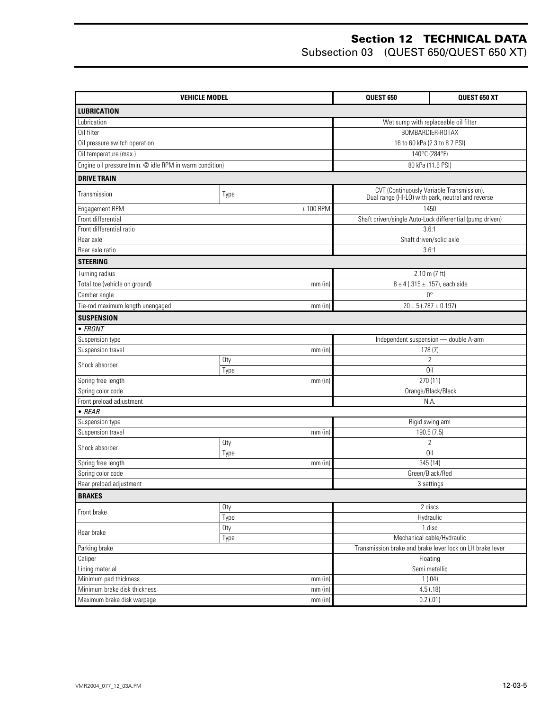| <b>VEHICLE MODEL</b>                                    |             |  | QUEST 650                                 | QUEST 650 XT                                              |
|---------------------------------------------------------|-------------|--|-------------------------------------------|-----------------------------------------------------------|
| <b>LUBRICATION</b>                                      |             |  |                                           |                                                           |
| Lubrication                                             |             |  | Wet sump with replaceable oil filter      |                                                           |
| Oil filter                                              |             |  | BOMBARDIER-ROTAX                          |                                                           |
| Oil pressure switch operation                           |             |  | 16 to 60 kPa (2.3 to 8.7 PSI)             |                                                           |
| Oil temperature (max.)                                  |             |  | 140°C (284°F)                             |                                                           |
| Engine oil pressure (min. @ idle RPM in warm condition) |             |  | 80 kPa (11.6 PSI)                         |                                                           |
| <b>DRIVE TRAIN</b>                                      |             |  |                                           |                                                           |
|                                                         |             |  | CVT (Continuously Variable Transmission). |                                                           |
| Transmission                                            | Type        |  |                                           | Dual range (HI-LO) with park, neutral and reverse         |
| Engagement RPM                                          | $± 100$ RPM |  | 1450                                      |                                                           |
| Front differential                                      |             |  |                                           | Shaft driven/single Auto-Lock differential (pump driven)  |
| Front differential ratio                                |             |  | 3.6:1                                     |                                                           |
| Rear axle                                               |             |  | Shaft driven/solid axle                   |                                                           |
| Rear axle ratio                                         |             |  | 3.6:1                                     |                                                           |
| <b>STEERING</b>                                         |             |  |                                           |                                                           |
| Turning radius                                          |             |  | $2.10$ m (7 ft)                           |                                                           |
| Total toe (vehicle on ground)                           | $mm$ (in)   |  | $8 \pm 4$ (.315 ± .157), each side        |                                                           |
| Camber angle                                            |             |  | $0^{\circ}$                               |                                                           |
| Tie-rod maximum length unengaged<br>$mm$ (in)           |             |  | $20 \pm 5$ (.787 $\pm$ 0.197)             |                                                           |
| <b>SUSPENSION</b>                                       |             |  |                                           |                                                           |
| $\bullet$ FRONT                                         |             |  |                                           |                                                           |
| Suspension type                                         |             |  | Independent suspension - double A-arm     |                                                           |
| Suspension travel<br>mm(in)                             |             |  | 178(7)                                    |                                                           |
| Shock absorber                                          | Oty         |  | $\overline{2}$                            |                                                           |
|                                                         | Type        |  | Oil                                       |                                                           |
| Spring free length                                      | $mm$ (in)   |  | 270 (11)                                  |                                                           |
| Spring color code                                       |             |  | Orange/Black/Black                        |                                                           |
| Front preload adjustment<br>$\bullet$ REAR              |             |  | N.A.                                      |                                                           |
| Suspension type                                         |             |  |                                           |                                                           |
| Suspension travel                                       | mm(in)      |  | Rigid swing arm<br>190.5 (7.5)            |                                                           |
|                                                         | Oty         |  | $\overline{2}$                            |                                                           |
| Shock absorber                                          | Type        |  | Oil                                       |                                                           |
| Spring free length                                      | $mm$ (in)   |  | 345 (14)                                  |                                                           |
| Spring color code                                       |             |  | Green/Black/Red                           |                                                           |
| Rear preload adjustment                                 |             |  | 3 settings                                |                                                           |
| <b>BRAKES</b>                                           |             |  |                                           |                                                           |
| Front brake                                             | Oty         |  | 2 discs                                   |                                                           |
|                                                         | Type        |  | Hydraulic                                 |                                                           |
| Rear brake                                              | Oty         |  | 1 disc                                    |                                                           |
| Type                                                    |             |  | Mechanical cable/Hydraulic                |                                                           |
| Parking brake                                           |             |  |                                           | Transmission brake and brake lever lock on LH brake lever |
| Caliper                                                 |             |  | Floating                                  |                                                           |
| Lining material                                         |             |  | Semi metallic                             |                                                           |
| Minimum pad thickness                                   | mm(in)      |  | 1(.04)                                    |                                                           |
| Minimum brake disk thickness                            | mm(in)      |  | 4.5(.18)                                  |                                                           |
| Maximum brake disk warpage<br>mm (in)                   |             |  | 0.2(.01)                                  |                                                           |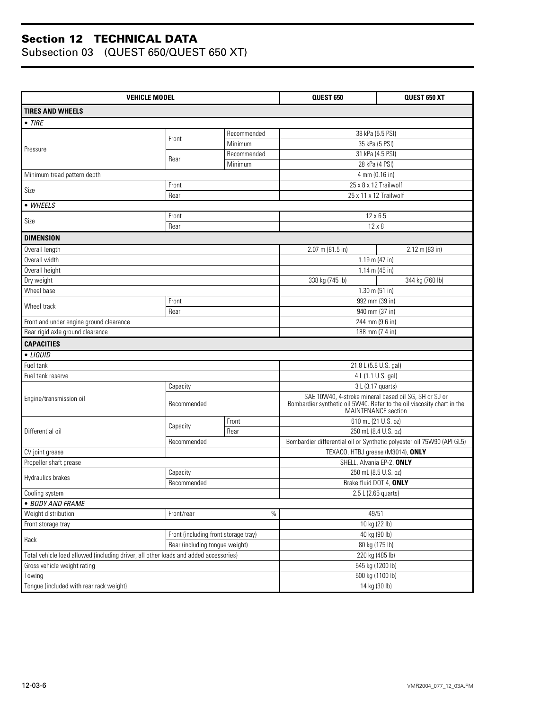| <b>VEHICLE MODEL</b>                                                                 |                                      |             | QUEST 650                                                                                     | QUEST 650 XT    |  |
|--------------------------------------------------------------------------------------|--------------------------------------|-------------|-----------------------------------------------------------------------------------------------|-----------------|--|
| <b>TIRES AND WHEELS</b>                                                              |                                      |             |                                                                                               |                 |  |
| $\bullet$ TIRE                                                                       |                                      |             |                                                                                               |                 |  |
|                                                                                      |                                      | Recommended | 38 kPa (5.5 PSI)                                                                              |                 |  |
|                                                                                      | Front                                | Minimum     | 35 kPa (5 PSI)                                                                                |                 |  |
| Pressure                                                                             |                                      | Recommended | 31 kPa (4.5 PSI)                                                                              |                 |  |
|                                                                                      | Rear                                 | Minimum     | 28 kPa (4 PSI)                                                                                |                 |  |
| Minimum tread pattern depth                                                          |                                      |             | 4 mm (0.16 in)                                                                                |                 |  |
|                                                                                      | Front                                |             | 25 x 8 x 12 Trailwolf                                                                         |                 |  |
| Size                                                                                 | Rear                                 |             | 25 x 11 x 12 Trailwolf                                                                        |                 |  |
| • WHEELS                                                                             |                                      |             |                                                                                               |                 |  |
| Front                                                                                |                                      | 12 x 6.5    |                                                                                               |                 |  |
| Size                                                                                 | Rear                                 |             | $12 \times 8$                                                                                 |                 |  |
| <b>DIMENSION</b>                                                                     |                                      |             |                                                                                               |                 |  |
| Overall length                                                                       |                                      |             | 2.07 m (81.5 in)                                                                              | 2.12 m (83 in)  |  |
| Overall width                                                                        |                                      |             | 1.19 m (47 in)                                                                                |                 |  |
| Overall height                                                                       |                                      |             | $1.14$ m (45 in)                                                                              |                 |  |
| Dry weight                                                                           |                                      |             | 338 kg (745 lb)                                                                               | 344 kg (760 lb) |  |
| Wheel base                                                                           |                                      |             | $1.30$ m (51 in)                                                                              |                 |  |
| Front<br>Wheel track                                                                 |                                      |             | 992 mm (39 in)                                                                                |                 |  |
|                                                                                      | Rear                                 |             | 940 mm (37 in)                                                                                |                 |  |
| Front and under engine ground clearance                                              |                                      |             | 244 mm (9.6 in)                                                                               |                 |  |
| Rear rigid axle ground clearance                                                     |                                      |             | 188 mm (7.4 in)                                                                               |                 |  |
| <b>CAPACITIES</b>                                                                    |                                      |             |                                                                                               |                 |  |
| • LIQUID                                                                             |                                      |             |                                                                                               |                 |  |
| Fuel tank                                                                            |                                      |             | 21.8 L (5.8 U.S. gal)                                                                         |                 |  |
| Fuel tank reserve                                                                    |                                      |             | 4 L (1.1 U.S. gal)                                                                            |                 |  |
|                                                                                      | Capacity                             |             | 3 L (3.17 quarts)                                                                             |                 |  |
| Engine/transmission oil                                                              | Recommended                          |             | SAE 10W40, 4-stroke mineral based oil SG, SH or SJ or                                         |                 |  |
|                                                                                      |                                      |             | Bombardier synthetic oil 5W40. Refer to the oil viscosity chart in the<br>MAINTENANCE section |                 |  |
|                                                                                      |                                      | Front       | 610 mL (21 U.S. oz)                                                                           |                 |  |
| Differential oil                                                                     | Capacity                             | Rear        | 250 mL (8.4 U.S. oz)                                                                          |                 |  |
|                                                                                      | Recommended                          |             | Bombardier differential oil or Synthetic polyester oil 75W90 (API GL5)                        |                 |  |
| CV joint grease                                                                      |                                      |             | TEXACO, HTBJ grease (M3014), ONLY                                                             |                 |  |
| Propeller shaft grease                                                               |                                      |             | SHELL, Alvania EP-2, ONLY                                                                     |                 |  |
|                                                                                      | Capacity                             |             | 250 mL (8.5 U.S. oz)                                                                          |                 |  |
| Hydraulics brakes                                                                    | Recommended                          |             | Brake fluid DOT 4, ONLY                                                                       |                 |  |
| Cooling system                                                                       |                                      |             | 2.5 L (2.65 quarts)                                                                           |                 |  |
| · BODY AND FRAME                                                                     |                                      |             |                                                                                               |                 |  |
| Weight distribution                                                                  | Front/rear                           | $\%$        | 49/51                                                                                         |                 |  |
| Front storage tray                                                                   |                                      |             | 10 kg (22 lb)                                                                                 |                 |  |
| Rack                                                                                 | Front (including front storage tray) |             | 40 kg (90 lb)                                                                                 |                 |  |
|                                                                                      | Rear (including tongue weight)       |             | 80 kg (175 lb)                                                                                |                 |  |
| Total vehicle load allowed (including driver, all other loads and added accessories) |                                      |             | 220 kg (485 lb)                                                                               |                 |  |
| Gross vehicle weight rating                                                          |                                      |             | 545 kg (1200 lb)                                                                              |                 |  |
| Towing                                                                               |                                      |             | 500 kg (1100 lb)                                                                              |                 |  |
| Tongue (included with rear rack weight)                                              |                                      |             | 14 kg (30 lb)                                                                                 |                 |  |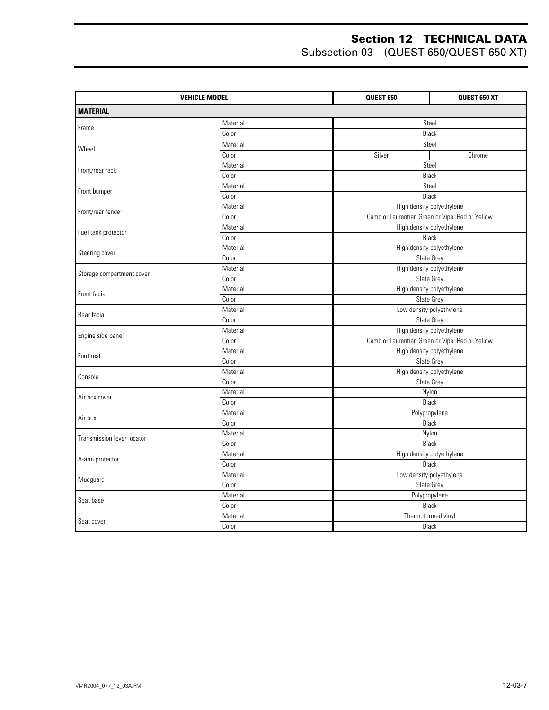|                            | <b>VEHICLE MODEL</b> | QUEST 650 | QUEST 650 XT                                    |  |  |
|----------------------------|----------------------|-----------|-------------------------------------------------|--|--|
| <b>MATERIAL</b>            |                      |           |                                                 |  |  |
| Frame                      | Material             |           | Steel                                           |  |  |
|                            | Color                |           | Black                                           |  |  |
|                            | Material             |           | Steel                                           |  |  |
| Wheel                      | Color                | Silver    | Chrome                                          |  |  |
|                            | Material             |           | Steel                                           |  |  |
| Front/rear rack            | Color                |           | Black                                           |  |  |
| Front bumper               | Material             |           | Steel                                           |  |  |
|                            | Color                |           | Black                                           |  |  |
| Front/rear fender          | Material             |           | High density polyethylene                       |  |  |
|                            | Color                |           | Camo or Laurentian Green or Viper Red or Yellow |  |  |
|                            | Material             |           | High density polyethylene                       |  |  |
| Fuel tank protector        | Color                |           | Black                                           |  |  |
| Steering cover             | Material             |           | High density polyethylene                       |  |  |
|                            | Color                |           | Slate Grey                                      |  |  |
| Storage compartment cover  | Material             |           | High density polyethylene                       |  |  |
|                            | Color                |           | Slate Grey                                      |  |  |
| Front facia                | Material             |           | High density polyethylene                       |  |  |
|                            | Color                |           | Slate Grey                                      |  |  |
| Rear facia                 | Material             |           | Low density polyethylene                        |  |  |
|                            | Color                |           | Slate Grey                                      |  |  |
| Engine side panel          | Material             |           | High density polyethylene                       |  |  |
|                            | Color                |           | Camo or Laurentian Green or Viper Red or Yellow |  |  |
| Foot rest                  | Material             |           | High density polyethylene                       |  |  |
|                            | Color                |           | Slate Grey                                      |  |  |
| Console                    | Material             |           | High density polyethylene                       |  |  |
|                            | Color                |           | Slate Grey                                      |  |  |
| Air box cover              | Material             |           | Nylon                                           |  |  |
|                            | Color                |           | Black                                           |  |  |
| Air box                    | Material             |           | Polypropylene                                   |  |  |
|                            | Color                |           | Black                                           |  |  |
| Transmission lever locator | Material             |           | Nylon                                           |  |  |
|                            | Color                |           | Black                                           |  |  |
| A-arm protector            | Material             |           | High density polyethylene                       |  |  |
|                            | Color                |           | <b>Black</b>                                    |  |  |
| Mudguard                   | Material             |           | Low density polyethylene                        |  |  |
|                            | Color                |           | Slate Grey                                      |  |  |
| Seat base                  | Material             |           | Polypropylene                                   |  |  |
|                            | Color                |           | Black                                           |  |  |
| Seat cover                 | Material             |           | Thermoformed vinyl                              |  |  |
|                            | Color                |           | Black                                           |  |  |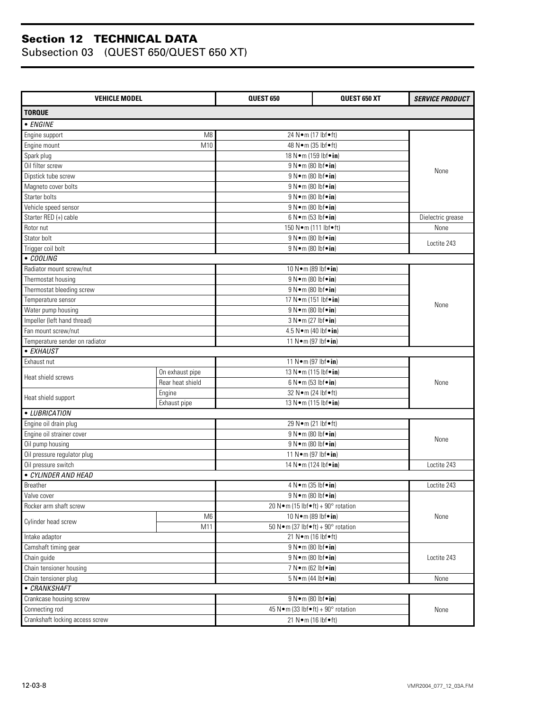| <b>VEHICLE MODEL</b>            |                  | <b>QUEST 650</b>                                         | <b>QUEST 650 XT</b>                                         | <b>SERVICE PRODUCT</b> |  |
|---------------------------------|------------------|----------------------------------------------------------|-------------------------------------------------------------|------------------------|--|
| <b>TORQUE</b>                   |                  |                                                          |                                                             |                        |  |
| • ENGINE                        |                  |                                                          |                                                             |                        |  |
| Engine support                  | M <sub>8</sub>   | 24 N•m (17 lbf•ft)                                       |                                                             |                        |  |
| Engine mount                    | M10              | 48 N • m (35 lbf • ft)                                   |                                                             |                        |  |
| Spark plug                      |                  | 18 N · m (159 lbf · in)                                  |                                                             |                        |  |
| Oil filter screw                |                  | 9 N • m (80 lbf • in)                                    |                                                             |                        |  |
| Dipstick tube screw             |                  | 9 N•m (80 lbf•in)                                        |                                                             | None                   |  |
| Magneto cover bolts             |                  | 9 N•m (80 lbf•in)                                        |                                                             |                        |  |
| Starter bolts                   |                  | 9 N•m (80 lbf•in)                                        |                                                             |                        |  |
| Vehicle speed sensor            |                  | 9 N • m (80 lbf • in)                                    |                                                             |                        |  |
| Starter RED (+) cable           |                  | $6 N \cdot m$ (53 lbf $\cdot in$ )                       |                                                             | Dielectric grease      |  |
| Rotor nut                       |                  | 150 N · m (111 lbf · ft)                                 |                                                             | None                   |  |
| Stator bolt                     |                  | 9 N•m (80 lbf•in)                                        |                                                             |                        |  |
| Trigger coil bolt               |                  | 9 N•m (80 lbf•in)                                        |                                                             | Loctite 243            |  |
| • COOLING                       |                  |                                                          |                                                             |                        |  |
| Radiator mount screw/nut        |                  | 10 N · m (89 lbf · in)                                   |                                                             |                        |  |
| Thermostat housing              |                  | 9 N • m (80 lbf • in)                                    |                                                             |                        |  |
| Thermostat bleeding screw       |                  | 9 N • m (80 lbf • in)                                    |                                                             |                        |  |
| Temperature sensor              |                  | 17 N · m (151 lbf · in)                                  |                                                             |                        |  |
| Water pump housing              |                  | $9 N \cdot m (80 lbf \cdot in)$                          |                                                             | None                   |  |
| Impeller (left hand thread)     |                  | 3 N • m (27 lbf • in)                                    |                                                             |                        |  |
| Fan mount screw/nut             |                  | 4.5 N•m (40 lbf•in)                                      |                                                             |                        |  |
| Temperature sender on radiator  |                  | 11 N•m (97 lbf•in)                                       |                                                             |                        |  |
| • EXHAUST                       |                  |                                                          |                                                             |                        |  |
| Exhaust nut                     |                  | 11 N • m (97 lbf • in)                                   |                                                             |                        |  |
|                                 | On exhaust pipe  | 13 N · m (115 lbf · in)                                  |                                                             |                        |  |
| Heat shield screws              | Rear heat shield |                                                          | $6 N \cdot m$ (53 lbf $\cdot$ in)<br>32 N · m (24 lbf · ft) |                        |  |
|                                 | Engine           |                                                          |                                                             |                        |  |
| Heat shield support             | Exhaust pipe     | 13 N · m (115 lbf · in)                                  |                                                             |                        |  |
| • LUBRICATION                   |                  |                                                          |                                                             |                        |  |
| Engine oil drain plug           |                  | 29 N•m (21 lbf•ft)                                       |                                                             |                        |  |
| Engine oil strainer cover       |                  | 9 N • m (80 lbf • in)                                    |                                                             |                        |  |
| Oil pump housing                |                  | 9 N • m (80 lbf • in)                                    |                                                             | None                   |  |
| Oil pressure regulator plug     |                  | 11 N • m (97 lbf • in)                                   |                                                             |                        |  |
| Oil pressure switch             |                  | 14 N · m (124 lbf · in)                                  |                                                             | Loctite 243            |  |
| · CYLINDER AND HEAD             |                  |                                                          |                                                             |                        |  |
| Breather                        |                  | 4 N • m (35 lbf • in)                                    |                                                             | Loctite 243            |  |
| Valve cover                     |                  | $9 N \cdot m (80 lbf \cdot in)$                          |                                                             |                        |  |
| Rocker arm shaft screw          |                  | 20 N · m (15 lbf • ft) + 90 $^{\circ}$ rotation          |                                                             |                        |  |
|                                 | M <sub>6</sub>   | 10 N · m (89 lbf · in)                                   |                                                             | None                   |  |
| Cylinder head screw             | M11              | 50 N · m (37 lbf • ft) + 90 $^{\circ}$ rotation          |                                                             |                        |  |
| Intake adaptor                  |                  | 21 N•m (16 lbf•ft)                                       |                                                             |                        |  |
| Camshaft timing gear            |                  | 9 N•m (80 lbf•in)                                        |                                                             |                        |  |
| Chain guide                     |                  |                                                          |                                                             | Loctite 243            |  |
| Chain tensioner housing         |                  | $9 N \cdot m (80 lbf \cdot in)$<br>7 N • m (62 lbf • in) |                                                             |                        |  |
| Chain tensioner plug            |                  | $5 N \cdot m$ (44 lbf $\cdot$ in)                        |                                                             | None                   |  |
| • CRANKSHAFT                    |                  |                                                          |                                                             |                        |  |
| Crankcase housing screw         |                  | $9 N \cdot m (80 lbf \cdot in)$                          |                                                             |                        |  |
| Connecting rod                  |                  | 45 N · m (33 lbf • ft) + $90^\circ$ rotation             |                                                             | None                   |  |
| Crankshaft locking access screw |                  | 21 N•m (16 lbf•ft)                                       |                                                             |                        |  |
|                                 |                  |                                                          |                                                             |                        |  |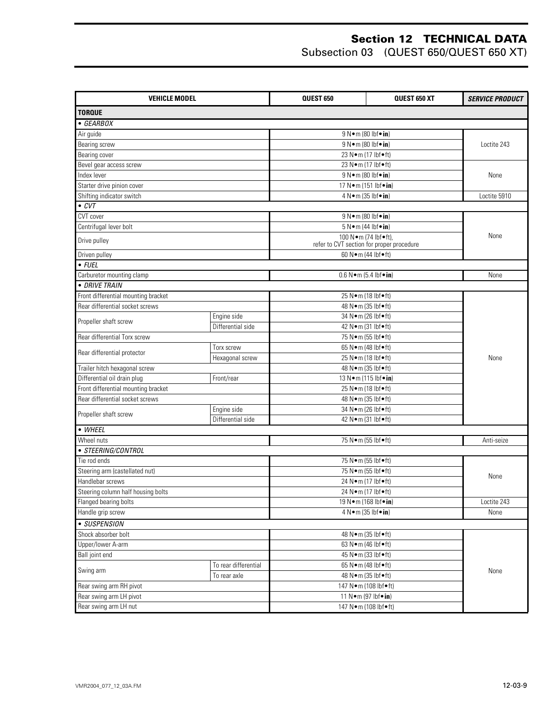| <b>VEHICLE MODEL</b>                |                      | <b>QUEST 650</b>                               | <b>QUEST 650 XT</b> | <b>SERVICE PRODUCT</b> |
|-------------------------------------|----------------------|------------------------------------------------|---------------------|------------------------|
| <b>TORQUE</b>                       |                      |                                                |                     |                        |
| • GEARBOX                           |                      |                                                |                     |                        |
| Air guide                           |                      | 9 N • m (80 lbf • in)                          |                     |                        |
| Bearing screw                       |                      | $\overline{9 N \cdot m}$ (80 lbf $\bullet$ in) |                     | Loctite 243            |
| Bearing cover                       |                      | 23 N•m (17 lbf•ft)                             |                     |                        |
| Bevel gear access screw             |                      | 23 N•m (17 lbf•ft)                             |                     |                        |
| Index lever                         |                      | 9 N • m (80 lbf • in)                          |                     | None                   |
| Starter drive pinion cover          |                      | 17 N · m (151 lbf · in)                        |                     |                        |
| Shifting indicator switch           |                      | 4 N · m (35 lbf · in)                          |                     | Loctite 5910           |
| $\bullet$ CVT                       |                      |                                                |                     |                        |
| CVT cover                           |                      | 9 N•m (80 lbf•in)                              |                     |                        |
| Centrifugal lever bolt              |                      | $5 N \cdot m (44 lbf \cdot in)$                |                     |                        |
|                                     |                      | 100 N.m (74 lbf•ft),                           |                     | None                   |
| Drive pulley                        |                      | refer to CVT section for proper procedure      |                     |                        |
| Driven pulley                       |                      | 60 N · m (44 lbf • ft)                         |                     |                        |
| $\overline{FUEL}$                   |                      |                                                |                     |                        |
| Carburetor mounting clamp           |                      | $0.6 N \cdot m$ (5.4 lbf $\cdot in$ )          |                     | None                   |
| · DRIVE TRAIN                       |                      |                                                |                     |                        |
| Front differential mounting bracket |                      | 25 N•m (18 lbf•ft)                             |                     |                        |
| Rear differential socket screws     |                      | 48 N • m (35 lbf • ft)                         |                     |                        |
| Propeller shaft screw               | Engine side          | 34 N•m (26 lbf•ft)                             |                     |                        |
| Differential side                   |                      | 42 N • m (31 lbf • ft)                         |                     |                        |
| Rear differential Torx screw        |                      | 75 N•m (55 lbf•ft)                             |                     |                        |
| Rear differential protector         | Torx screw           | 65 N•m (48 lbf•ft)                             |                     |                        |
|                                     | Hexagonal screw      | 25 N•m (18 lbf•ft)                             |                     | None                   |
| Trailer hitch hexagonal screw       |                      | 48 N • m (35 lbf • ft)                         |                     |                        |
| Differential oil drain plug         | Front/rear           | 13 N · m (115 lbf · in)                        |                     |                        |
| Front differential mounting bracket |                      | 25 N•m (18 lbf•ft)                             |                     |                        |
| Rear differential socket screws     |                      | 48 N • m (35 lbf • ft)                         |                     |                        |
| Propeller shaft screw               | Engine side          | 34 N•m (26 lbf•ft)                             |                     |                        |
|                                     | Differential side    | 42 N · m (31 lbf · ft)                         |                     |                        |
| • WHEEL                             |                      |                                                |                     |                        |
| Wheel nuts                          |                      | 75 N•m (55 lbf•ft)                             |                     | Anti-seize             |
| · STEERING/CONTROL                  |                      |                                                |                     |                        |
| Tie rod ends                        |                      | 75 N•m (55 lbf•ft)                             |                     |                        |
| Steering arm (castellated nut)      |                      | 75 N•m (55 lbf•ft)                             |                     | None                   |
| Handlebar screws                    |                      | 24 N•m (17 lbf•ft)                             |                     |                        |
| Steering column half housing bolts  |                      | 24 N•m (17 lbf•ft)                             |                     |                        |
| Flanged bearing bolts               |                      | 19 N · m (168 lbf · in)                        |                     | Loctite 243            |
| Handle grip screw                   |                      | 4 N • m (35 lbf • in)                          |                     | None                   |
| • SUSPENSION                        |                      |                                                |                     |                        |
| Shock absorber bolt                 |                      | 48 N · m (35 lbf · ft)                         |                     |                        |
| Upper/lower A-arm                   |                      | 63 N•m (46 lbf•ft)                             |                     |                        |
| Ball joint end                      |                      | 45 N•m (33 lbf•ft)                             |                     |                        |
|                                     | To rear differential | 65 N•m (48 lbf•ft)                             |                     |                        |
| Swing arm                           | To rear axle         | 48 N • m (35 lbf • ft)                         |                     | None                   |
| Rear swing arm RH pivot             |                      | 147 Nom (108 lbfoft)                           |                     |                        |
| Rear swing arm LH pivot             |                      | 11 N•m (97 lbf•in)                             |                     |                        |
| Rear swing arm LH nut               |                      | 147 N·m (108 lbf•ft)                           |                     |                        |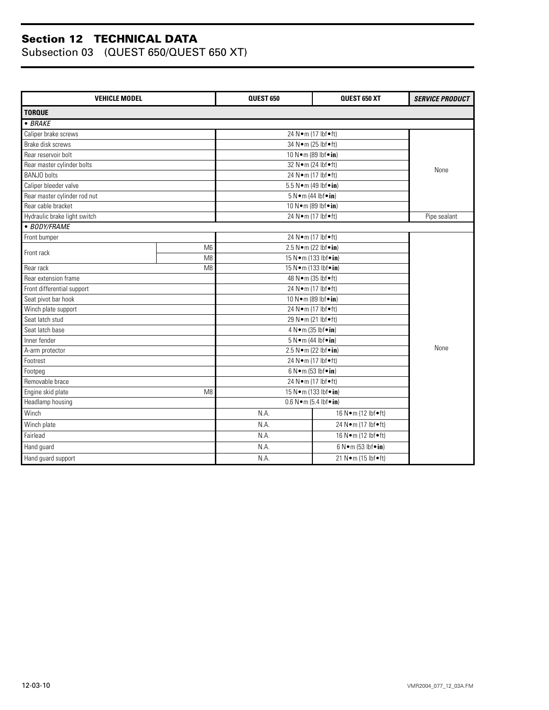| <b>VEHICLE MODEL</b>         |                | <b>QUEST 650</b>                      | QUEST 650 XT                       | <b>SERVICE PRODUCT</b> |  |
|------------------------------|----------------|---------------------------------------|------------------------------------|------------------------|--|
| <b>TORQUE</b>                |                |                                       |                                    |                        |  |
| $-BRAKE$                     |                |                                       |                                    |                        |  |
| Caliper brake screws         |                | 24 N•m (17 lbf•ft)                    |                                    |                        |  |
| Brake disk screws            |                | 34 N · m (25 lbf · ft)                |                                    |                        |  |
| Rear reservoir bolt          |                | 10 N•m (89 lbf•in)                    |                                    |                        |  |
| Rear master cylinder bolts   |                | 32 N • m (24 lbf • ft)                |                                    | None                   |  |
| <b>BANJO</b> bolts           |                | 24 N•m (17 lbf•ft)                    |                                    |                        |  |
| Caliper bleeder valve        |                | 5.5 N•m (49 lbf•in)                   |                                    |                        |  |
| Rear master cylinder rod nut |                | 5 N · m (44 lbf · in)                 |                                    |                        |  |
| Rear cable bracket           |                | 10 N · m (89 lbf · in)                |                                    |                        |  |
| Hydraulic brake light switch |                | 24 N•m (17 lbf•ft)                    |                                    | Pipe sealant           |  |
| • BODY/FRAME                 |                |                                       |                                    |                        |  |
| Front bumper                 |                | 24 N•m (17 lbf•ft)                    |                                    |                        |  |
| Front rack                   | M <sub>6</sub> | 2.5 N•m (22 lbf•in)                   |                                    |                        |  |
|                              | M <sub>8</sub> | 15 N · m (133 lbf · in)               |                                    |                        |  |
| Rear rack                    | M <sub>8</sub> |                                       | 15 N · m (133 lbf · in)            |                        |  |
| Rear extension frame         |                | 48 N · m (35 lbf • ft)                |                                    |                        |  |
| Front differential support   |                | 24 N•m (17 lbf•ft)                    |                                    |                        |  |
| Seat pivot bar hook          |                | 10 N•m (89 lbf•in)                    |                                    |                        |  |
| Winch plate support          |                | 24 N•m (17 lbf•ft)                    |                                    |                        |  |
| Seat latch stud              |                | 29 N•m (21 lbf•ft)                    |                                    |                        |  |
| Seat latch base              |                | 4 N • m (35 lbf • in)                 |                                    |                        |  |
| Inner fender                 |                | $5 N \cdot m$ (44 lbf $\cdot$ in)     |                                    |                        |  |
| A-arm protector              |                | 2.5 N•m (22 lbf•in)                   |                                    | None                   |  |
| Footrest                     |                | 24 N•m (17 lbf•ft)                    |                                    |                        |  |
| Footpeg                      |                | $6 N \cdot m$ (53 lbf $\cdot in$ )    |                                    |                        |  |
| Removable brace              |                | 24 N•m (17 lbf•ft)                    |                                    |                        |  |
| Engine skid plate<br>M8      |                | 15 N · m (133 lbf · in)               |                                    |                        |  |
| Headlamp housing             |                | $0.6 N \cdot m$ (5.4 lbf $\cdot in$ ) |                                    |                        |  |
| Winch                        |                | N.A.<br>16 N•m (12 lbf•ft)            |                                    |                        |  |
| Winch plate                  |                | N.A.                                  | 24 N•m (17 lbf•ft)                 |                        |  |
| Fairlead                     |                | N.A.                                  | 16 N•m (12 lbf•ft)                 |                        |  |
| Hand guard                   |                | N.A.                                  | $6 N \cdot m$ (53 lbf $\cdot in$ ) |                        |  |
| Hand guard support           |                | N.A.                                  | 21 N•m (15 lbf•ft)                 |                        |  |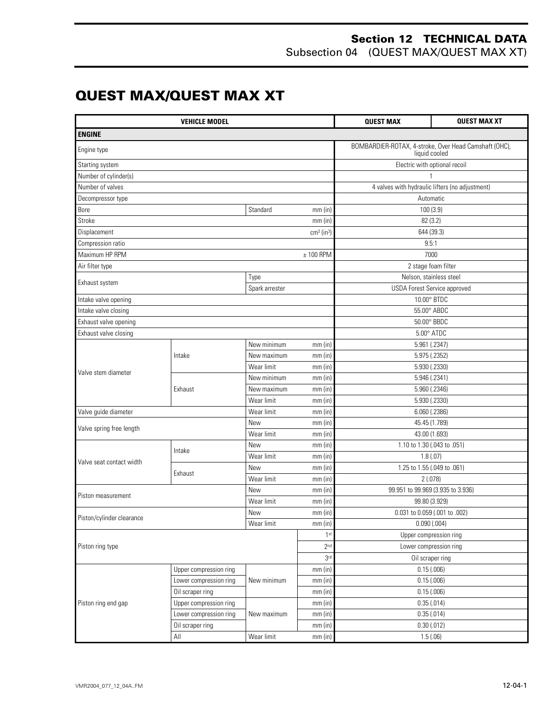#### **Section 12 TECHNICAL DATA** Subsection 04 (QUEST MAX/QUEST MAX XT)

## **QUEST MAX/QUEST MAX XT**

| <b>VEHICLE MODEL</b>      |                        |                                                 | <b>QUEST MAX</b>         | <b>QUEST MAX XT</b>                             |                                                       |
|---------------------------|------------------------|-------------------------------------------------|--------------------------|-------------------------------------------------|-------------------------------------------------------|
| <b>ENGINE</b>             |                        |                                                 |                          |                                                 |                                                       |
| Engine type               |                        |                                                 |                          | liquid cooled                                   | BOMBARDIER-ROTAX, 4-stroke, Over Head Camshaft (OHC), |
| Starting system           |                        |                                                 |                          | Electric with optional recoil                   |                                                       |
| Number of cylinder(s)     |                        |                                                 |                          |                                                 |                                                       |
| Number of valves          |                        |                                                 |                          | 4 valves with hydraulic lifters (no adjustment) |                                                       |
| Decompressor type         |                        |                                                 |                          |                                                 | Automatic                                             |
| Bore                      |                        | Standard                                        | $mm$ (in)                |                                                 | 100 (3.9)                                             |
| Stroke                    |                        |                                                 | $mm$ (in)                |                                                 | 82 (3.2)                                              |
| Displacement              |                        |                                                 | $cm3$ (in <sup>3</sup> ) |                                                 | 644 (39.3)                                            |
| Compression ratio         |                        |                                                 |                          |                                                 | 9.5:1                                                 |
| Maximum HP RPM            |                        |                                                 | $± 100$ RPM              |                                                 | 7000                                                  |
| Air filter type           |                        |                                                 |                          |                                                 | 2 stage foam filter                                   |
| Exhaust system            |                        | Type                                            |                          | Nelson, stainless steel                         |                                                       |
|                           |                        | Spark arrester                                  |                          |                                                 | <b>USDA Forest Service approved</b>                   |
| Intake valve opening      |                        |                                                 |                          |                                                 | 10.00° BTDC                                           |
| Intake valve closing      |                        |                                                 |                          |                                                 | 55.00° ABDC                                           |
| Exhaust valve opening     |                        |                                                 |                          |                                                 | 50.00° BBDC                                           |
| Exhaust valve closing     |                        |                                                 |                          |                                                 | $5.00^\circ$ ATDC                                     |
|                           | Intake                 | New minimum                                     | $mm$ (in)                | 5.961 (.2347)                                   |                                                       |
|                           |                        | New maximum                                     | $mm$ (in)                |                                                 | 5.975 (.2352)                                         |
| Valve stem diameter       |                        | Wear limit                                      | $mm$ (in)                | 5.930 (.2330)                                   |                                                       |
|                           | Exhaust                | New minimum                                     | $mm$ (in)                |                                                 | 5.946 (.2341)                                         |
|                           |                        | New maximum                                     | $mm$ (in)                | 5.960 (.2346)                                   |                                                       |
|                           |                        | Wear limit                                      | $mm$ (in)                | 5.930 (.2330)                                   |                                                       |
| Valve guide diameter      |                        | Wear limit                                      | $mm$ (in)                |                                                 | 6.060 (.2386)                                         |
|                           |                        | New<br>$mm$ (in)                                |                          | 45.45 (1.789)                                   |                                                       |
| Valve spring free length  |                        | Wear limit<br>$mm$ (in)                         |                          |                                                 | 43.00 (1.693)                                         |
|                           | Intake                 | New<br>1.10 to 1.30 (.043 to .051)<br>$mm$ (in) |                          |                                                 |                                                       |
|                           |                        | Wear limit                                      | $mm$ (in)<br>1.8(0.07)   |                                                 |                                                       |
| Valve seat contact width  |                        | New<br>$mm$ (in)                                |                          | 1.25 to 1.55 (.049 to .061)                     |                                                       |
|                           | Exhaust                | Wear limit<br>$mm$ (in)                         |                          | 2(.078)                                         |                                                       |
|                           |                        | New                                             | $mm$ (in)                | 99.951 to 99.969 (3.935 to 3.936)               |                                                       |
| Piston measurement        |                        | Wear limit                                      | $mm$ (in)                |                                                 | 99.80 (3.929)                                         |
|                           |                        | New                                             | mm (in)                  |                                                 | 0.031 to 0.059 (.001 to .002)                         |
| Piston/cylinder clearance |                        | Wear limit                                      | $mm$ (in)                |                                                 | 0.090(.004)                                           |
|                           |                        |                                                 | 1 <sub>st</sub>          |                                                 | Upper compression ring                                |
| Piston ring type          |                        |                                                 | 2 <sub>nd</sub>          |                                                 | Lower compression ring                                |
|                           |                        |                                                 | 3 <sup>rd</sup>          |                                                 | Oil scraper ring                                      |
|                           | Upper compression ring |                                                 | $mm$ (in)                |                                                 | 0.15(.006)                                            |
|                           | Lower compression ring | New minimum                                     | mm(in)                   |                                                 | 0.15(.006)                                            |
|                           | Oil scraper ring       |                                                 | $mm$ (in)                |                                                 | 0.15(.006)                                            |
| Piston ring end gap       | Upper compression ring |                                                 | $mm$ (in)                |                                                 | 0.35(.014)                                            |
|                           | Lower compression ring | New maximum                                     | mm (in)                  |                                                 | 0.35(.014)                                            |
|                           | Oil scraper ring       |                                                 | $mm$ (in)                |                                                 | $0.30$ $(.012)$                                       |
|                           | All                    | Wear limit                                      | $mm$ (in)                |                                                 | 1.5(.06)                                              |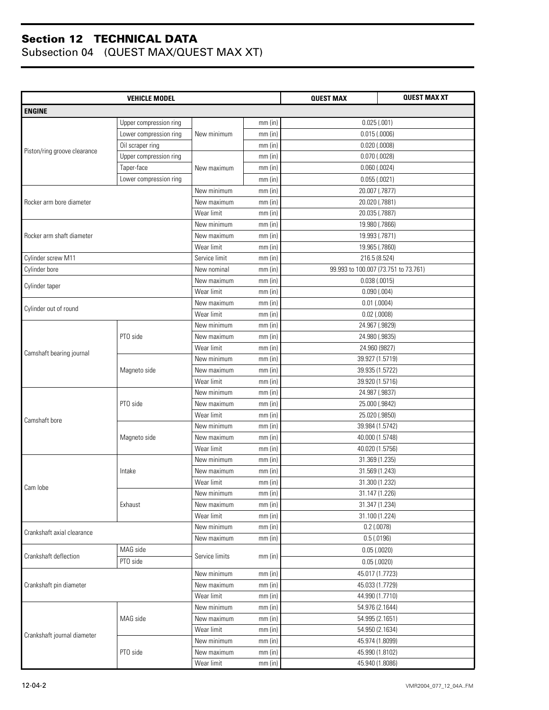| <b>VEHICLE MODEL</b>         |                        |                |           | <b>QUEST MAX</b>                     | <b>QUEST MAX XT</b> |
|------------------------------|------------------------|----------------|-----------|--------------------------------------|---------------------|
| <b>ENGINE</b>                |                        |                |           |                                      |                     |
|                              | Upper compression ring |                | $mm$ (in) | 0.025(.001)                          |                     |
|                              | Lower compression ring | New minimum    | $mm$ (in) | 0.015(.0006)                         |                     |
|                              | Oil scraper ring       |                | $mm$ (in) | $0.020$ $(.0008)$                    |                     |
| Piston/ring groove clearance | Upper compression ring |                | $mm$ (in) | $0.070$ (.0028)                      |                     |
|                              | Taper-face             | New maximum    | $mm$ (in) | $0.060$ $(.0024)$                    |                     |
|                              | Lower compression ring |                | $mm$ (in) | $0.055$ $(.0021)$                    |                     |
|                              |                        | New minimum    | $mm$ (in) | 20.007 (.7877)                       |                     |
| Rocker arm bore diameter     |                        | New maximum    | $mm$ (in) | 20.020 (.7881)                       |                     |
|                              |                        | Wear limit     | $mm$ (in) | 20.035 (.7887)                       |                     |
|                              |                        | New minimum    | $mm$ (in) | 19.980 (.7866)                       |                     |
| Rocker arm shaft diameter    |                        | New maximum    | $mm$ (in) | 19.993 (.7871)                       |                     |
|                              |                        | Wear limit     | $mm$ (in) | 19.965 (.7860)                       |                     |
| Cylinder screw M11           |                        | Service limit  | $mm$ (in) | 216.5 (8.524)                        |                     |
| Cylinder bore                |                        | New nominal    | $mm$ (in) | 99.993 to 100.007 (73.751 to 73.761) |                     |
|                              |                        | New maximum    | $mm$ (in) | 0.038(.0015)                         |                     |
| Cylinder taper               |                        | Wear limit     | $mm$ (in) | 0.090(.004)                          |                     |
|                              |                        | New maximum    | $mm$ (in) | $0.01$ (.0004)                       |                     |
| Cylinder out of round        |                        | Wear limit     | $mm$ (in) | $0.02$ (.0008)                       |                     |
|                              |                        | New minimum    | $mm$ (in) | 24.967 (.9829)                       |                     |
|                              | PTO side               | New maximum    | mm (in)   | 24.980 (.9835)                       |                     |
|                              |                        | Wear limit     | $mm$ (in) | 24.960 (9827)                        |                     |
| Camshaft bearing journal     | Magneto side           | New minimum    | $mm$ (in) | 39.927 (1.5719)                      |                     |
|                              |                        | New maximum    | $mm$ (in) | 39.935 (1.5722)                      |                     |
|                              |                        | Wear limit     | $mm$ (in) | 39.920 (1.5716)                      |                     |
|                              | PTO side               | New minimum    | $mm$ (in) | 24.987 (.9837)                       |                     |
|                              |                        | New maximum    | $mm$ (in) | 25.000 (.9842)                       |                     |
|                              |                        | Wear limit     | $mm$ (in) | 25.020 (.9850)                       |                     |
| Camshaft bore                | Magneto side           | New minimum    | $mm$ (in) | 39.984 (1.5742)                      |                     |
|                              |                        | New maximum    | $mm$ (in) | 40.000 (1.5748)                      |                     |
|                              |                        | Wear limit     | $mm$ (in) | 40.020 (1.5756)                      |                     |
|                              |                        | New minimum    | $mm$ (in) | 31.369 (1.235)                       |                     |
|                              | Intake                 | New maximum    | mm (in)   | 31.569 (1.243)                       |                     |
|                              |                        | Wear limit     | mm (in)   | 31.300 (1.232)                       |                     |
| Cam lobe                     |                        | New minimum    | mm (in)   | 31.147 (1.226)                       |                     |
|                              | Exhaust                | New maximum    | $mm$ (in) | 31.347 (1.234)                       |                     |
|                              |                        | Wear limit     | $mm$ (in) | 31.100 (1.224)                       |                     |
| Crankshaft axial clearance   |                        | New minimum    | $mm$ (in) | $0.2$ (.0078)                        |                     |
|                              |                        | New maximum    | $mm$ (in) | 0.5(0.0196)                          |                     |
|                              | MAG side               |                |           | 0.05(.0020)                          |                     |
| Crankshaft deflection        | PTO side               | Service limits | $mm$ (in) | 0.05(.0020)                          |                     |
|                              |                        | New minimum    | $mm$ (in) | 45.017 (1.7723)                      |                     |
| Crankshaft pin diameter      |                        | New maximum    | $mm$ (in) | 45.033 (1.7729)                      |                     |
|                              |                        | Wear limit     | $mm$ (in) | 44.990 (1.7710)                      |                     |
|                              |                        | New minimum    | $mm$ (in) | 54.976 (2.1644)                      |                     |
|                              | MAG side               | New maximum    | $mm$ (in) | 54.995 (2.1651)                      |                     |
|                              |                        | Wear limit     | $mm$ (in) | 54.950 (2.1634)                      |                     |
| Crankshaft journal diameter  |                        | New minimum    | $mm$ (in) | 45.974 (1.8099)                      |                     |
|                              | PTO side               | New maximum    | $mm$ (in) | 45.990 (1.8102)                      |                     |
|                              |                        | Wear limit     | $mm$ (in) | 45.940 (1.8086)                      |                     |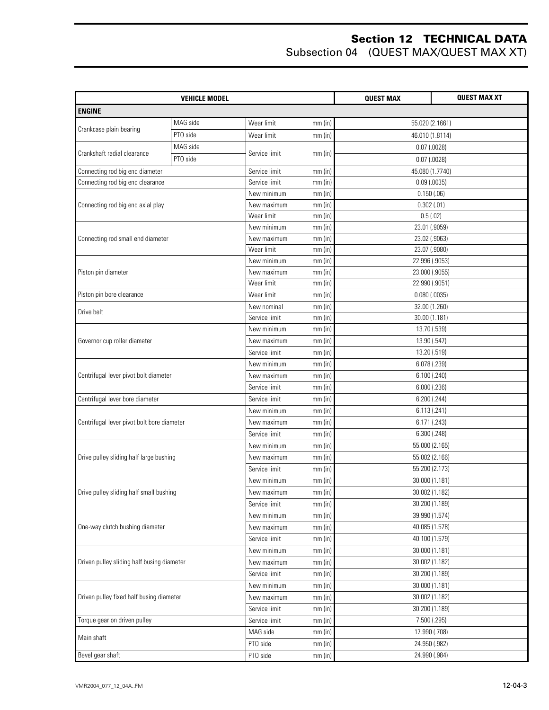| <b>VEHICLE MODEL</b>                       |          |               |           | <b>QUEST MAX</b> | <b>QUEST MAX XT</b> |
|--------------------------------------------|----------|---------------|-----------|------------------|---------------------|
| <b>ENGINE</b>                              |          |               |           |                  |                     |
|                                            | MAG side | Wear limit    | $mm$ (in) | 55.020 (2.1661)  |                     |
| Crankcase plain bearing                    | PTO side | Wear limit    | $mm$ (in) | 46.010 (1.8114)  |                     |
|                                            | MAG side |               |           | $0.07$ $(.0028)$ |                     |
| Crankshaft radial clearance                | PTO side | Service limit | $mm$ (in) | $0.07$ $(.0028)$ |                     |
| Connecting rod big end diameter            |          | Service limit | $mm$ (in) | 45.080 (1.7740)  |                     |
| Connecting rod big end clearance           |          | Service limit | $mm$ (in) | $0.09$ (.0035)   |                     |
|                                            |          | New minimum   | $mm$ (in) | 0.150(.06)       |                     |
| Connecting rod big end axial play          |          | New maximum   | $mm$ (in) | 0.302(.01)       |                     |
|                                            |          | Wear limit    | $mm$ (in) | 0.5(0.02)        |                     |
|                                            |          | New minimum   | $mm$ (in) | 23.01 (.9059)    |                     |
| Connecting rod small end diameter          |          | New maximum   | $mm$ (in) | 23.02 (.9063)    |                     |
|                                            |          | Wear limit    | $mm$ (in) | 23.07 (.9080)    |                     |
|                                            |          | New minimum   | $mm$ (in) | 22.996 (.9053)   |                     |
| Piston pin diameter                        |          | New maximum   | $mm$ (in) | 23.000 (.9055)   |                     |
|                                            |          | Wear limit    | $mm$ (in) | 22.990 (.9051)   |                     |
| Piston pin bore clearance                  |          | Wear limit    | $mm$ (in) | $0.080$ (.0035)  |                     |
| Drive belt                                 |          | New nominal   | $mm$ (in) | 32.00 (1.260)    |                     |
|                                            |          | Service limit | $mm$ (in) | 30.00 (1.181)    |                     |
|                                            |          | New minimum   | $mm$ (in) | 13.70 (.539)     |                     |
| Governor cup roller diameter               |          | New maximum   | $mm$ (in) | 13.90 (.547)     |                     |
|                                            |          | Service limit | $mm$ (in) | 13.20 (.519)     |                     |
|                                            |          | New minimum   | $mm$ (in) | 6.078 (.239)     |                     |
| Centrifugal lever pivot bolt diameter      |          | New maximum   | $mm$ (in) | 6.100 (.240)     |                     |
|                                            |          | Service limit | $mm$ (in) | 6.000(.236)      |                     |
| Centrifugal lever bore diameter            |          | Service limit | $mm$ (in) | 6.200(.244)      |                     |
|                                            |          | New minimum   | $mm$ (in) | 6.113(.241)      |                     |
| Centrifugal lever pivot bolt bore diameter |          | New maximum   | $mm$ (in) | 6.171 (.243)     |                     |
|                                            |          | Service limit | $mm$ (in) | 6.300(.248)      |                     |
|                                            |          | New minimum   | $mm$ (in) | 55.000 (2.165)   |                     |
| Drive pulley sliding half large bushing    |          | New maximum   | $mm$ (in) | 55.002 (2.166)   |                     |
|                                            |          | Service limit | $mm$ (in) | 55.200 (2.173)   |                     |
|                                            |          | New minimum   | $mm$ (in) | 30.000 (1.181)   |                     |
| Drive pulley sliding half small bushing    |          | New maximum   | mm (in)   | 30.002 (1.182)   |                     |
|                                            |          | Service limit | $mm$ (in) | 30.200 (1.189)   |                     |
|                                            |          | New minimum   | $mm$ (in) | 39.990 (1.574)   |                     |
| One-way clutch bushing diameter            |          | New maximum   | $mm$ (in) | 40.085 (1.578)   |                     |
|                                            |          | Service limit | $mm$ (in) | 40.100 (1.579)   |                     |
|                                            |          | New minimum   | $mm$ (in) | 30.000 (1.181)   |                     |
| Driven pulley sliding half busing diameter |          | New maximum   | $mm$ (in) | 30.002 (1.182)   |                     |
|                                            |          | Service limit | $mm$ (in) | 30.200 (1.189)   |                     |
|                                            |          | New minimum   | $mm$ (in) | 30.000 (1.181)   |                     |
| Driven pulley fixed half busing diameter   |          | New maximum   | $mm$ (in) | 30.002 (1.182)   |                     |
|                                            |          | Service limit | $mm$ (in) | 30.200 (1.189)   |                     |
| Torque gear on driven pulley               |          | Service limit | $mm$ (in) | 7.500 (.295)     |                     |
|                                            |          | MAG side      | $mm$ (in) | 17.990 (.708)    |                     |
| Main shaft                                 |          | PTO side      | $mm$ (in) | 24.950 (.982)    |                     |
| Bevel gear shaft                           |          | PTO side      | $mm$ (in) | 24.990 (.984)    |                     |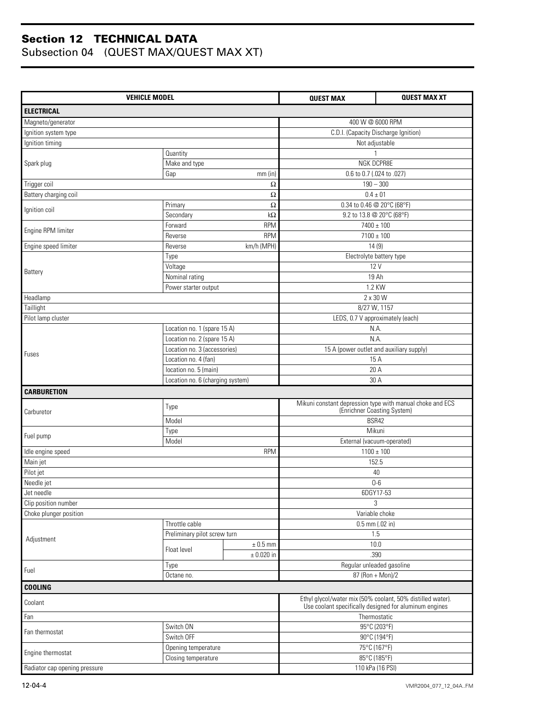| <b>VEHICLE MODEL</b>          |                                                           |                                                                                                                      | <b>QUEST MAX</b>                                          | <b>QUEST MAX XT</b> |
|-------------------------------|-----------------------------------------------------------|----------------------------------------------------------------------------------------------------------------------|-----------------------------------------------------------|---------------------|
| <b>ELECTRICAL</b>             |                                                           |                                                                                                                      |                                                           |                     |
| Magneto/generator             |                                                           |                                                                                                                      | 400 W @ 6000 RPM                                          |                     |
| Ignition system type          |                                                           |                                                                                                                      | C.D.I. (Capacity Discharge Ignition)                      |                     |
| Ignition timing               |                                                           |                                                                                                                      | Not adjustable                                            |                     |
|                               | Quantity                                                  |                                                                                                                      |                                                           |                     |
| Spark plug                    | Make and type                                             |                                                                                                                      | NGK DCPR8E                                                |                     |
|                               | Gap                                                       | $mm$ (in)                                                                                                            | 0.6 to 0.7 (.024 to .027)                                 |                     |
| Trigger coil                  |                                                           | $\Omega$                                                                                                             | $190 - 300$                                               |                     |
| Battery charging coil         |                                                           | $\Omega$                                                                                                             | $0.4 \pm 01$                                              |                     |
| Ignition coil                 | Primary                                                   | Ω                                                                                                                    | 0.34 to 0.46 @ 20°C (68°F)                                |                     |
|                               | Secondary                                                 | $k\Omega$                                                                                                            | 9.2 to 13.8 @ 20°C (68°F)                                 |                     |
| Engine RPM limiter            | Forward                                                   | <b>RPM</b>                                                                                                           | $7400 \pm 100$                                            |                     |
|                               | Reverse                                                   | <b>RPM</b>                                                                                                           | $7100 \pm 100$                                            |                     |
| Engine speed limiter          | Reverse                                                   | km/h (MPH)                                                                                                           | 14(9)                                                     |                     |
|                               | Type                                                      |                                                                                                                      | Electrolyte battery type                                  |                     |
| Battery                       | Voltage                                                   |                                                                                                                      | 12 V                                                      |                     |
|                               | Nominal rating                                            |                                                                                                                      | 19 Ah                                                     |                     |
|                               | Power starter output                                      |                                                                                                                      | 1.2 KW                                                    |                     |
| Headlamp                      |                                                           |                                                                                                                      | 2 x 30 W                                                  |                     |
| Taillight                     |                                                           |                                                                                                                      | 8/27 W, 1157                                              |                     |
| Pilot lamp cluster            |                                                           |                                                                                                                      | LEDS, 0.7 V approximately (each)                          |                     |
|                               | Location no. 1 (spare 15 A)                               |                                                                                                                      | N.A.                                                      |                     |
|                               | Location no. 2 (spare 15 A)                               |                                                                                                                      | N.A.                                                      |                     |
| Fuses                         | Location no. 3 (accessories)                              |                                                                                                                      | 15 A (power outlet and auxiliary supply)                  |                     |
|                               | Location no. 4 (fan)                                      |                                                                                                                      | 15 A                                                      |                     |
|                               | location no. 5 (main)<br>Location no. 6 (charging system) |                                                                                                                      | 20 A<br>30 A                                              |                     |
| <b>CARBURETION</b>            |                                                           |                                                                                                                      |                                                           |                     |
|                               |                                                           |                                                                                                                      | Mikuni constant depression type with manual choke and ECS |                     |
| Carburetor                    | Type                                                      |                                                                                                                      | (Enrichner Coasting System)                               |                     |
|                               | Model                                                     |                                                                                                                      | BSR42                                                     |                     |
| Fuel pump                     | Type                                                      |                                                                                                                      | Mikuni                                                    |                     |
|                               | Model                                                     |                                                                                                                      | External (vacuum-operated)                                |                     |
| Idle engine speed             |                                                           | <b>RPM</b>                                                                                                           | $1100 \pm 100$                                            |                     |
| Main jet                      |                                                           |                                                                                                                      | 152.5                                                     |                     |
| Pilot jet                     |                                                           |                                                                                                                      | 40                                                        |                     |
| Needle jet                    |                                                           |                                                                                                                      | $0-6$                                                     |                     |
| Jet needle                    |                                                           |                                                                                                                      | 6DGY17-53                                                 |                     |
| Clip position number          |                                                           |                                                                                                                      | 3                                                         |                     |
| Choke plunger position        |                                                           |                                                                                                                      | Variable choke                                            |                     |
|                               | Throttle cable                                            |                                                                                                                      | $0.5$ mm (.02 in)                                         |                     |
| Adjustment                    | Preliminary pilot screw turn                              |                                                                                                                      | 1.5                                                       |                     |
|                               | Float level                                               | $\pm$ 0.5 mm                                                                                                         | 10.0                                                      |                     |
|                               |                                                           | $\pm$ 0.020 in                                                                                                       | .390                                                      |                     |
| Fuel                          | Type                                                      |                                                                                                                      | Regular unleaded gasoline<br>87 (Ron + Mon)/2             |                     |
|                               | Octane no.                                                |                                                                                                                      |                                                           |                     |
| <b>COOLING</b>                |                                                           |                                                                                                                      |                                                           |                     |
| Coolant                       |                                                           | Ethyl glycol/water mix (50% coolant, 50% distilled water).<br>Use coolant specifically designed for aluminum engines |                                                           |                     |
| Fan                           |                                                           |                                                                                                                      | Thermostatic                                              |                     |
| Fan thermostat                | Switch ON                                                 |                                                                                                                      | 95°C (203°F)                                              |                     |
|                               | Switch OFF                                                |                                                                                                                      | 90°C (194°F)                                              |                     |
| Engine thermostat             | Opening temperature                                       |                                                                                                                      | 75°C (167°F)                                              |                     |
|                               | Closing temperature                                       |                                                                                                                      | 85°C (185°F)                                              |                     |
| Radiator cap opening pressure |                                                           |                                                                                                                      | 110 kPa (16 PSI)                                          |                     |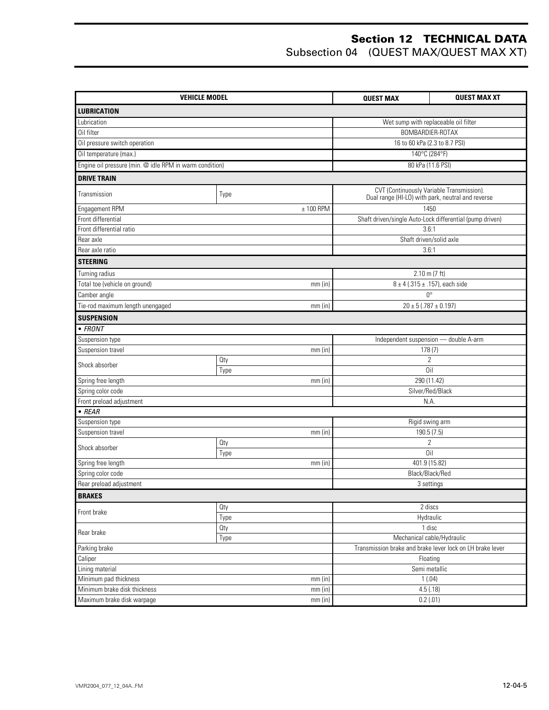| <b>VEHICLE MODEL</b>                                    |             | <b>QUEST MAX</b> | <b>QUEST MAX XT</b>                                       |
|---------------------------------------------------------|-------------|------------------|-----------------------------------------------------------|
| <b>LUBRICATION</b>                                      |             |                  |                                                           |
| Lubrication                                             |             |                  | Wet sump with replaceable oil filter                      |
| Oil filter                                              |             |                  | BOMBARDIER-ROTAX                                          |
| Oil pressure switch operation                           |             |                  | 16 to 60 kPa (2.3 to 8.7 PSI)                             |
| Oil temperature (max.)                                  |             |                  | 140°C (284°F)                                             |
| Engine oil pressure (min. @ idle RPM in warm condition) |             |                  | 80 kPa (11.6 PSI)                                         |
| <b>DRIVE TRAIN</b>                                      |             |                  |                                                           |
|                                                         |             |                  | CVT (Continuously Variable Transmission).                 |
| Transmission                                            | Type        |                  | Dual range (HI-LO) with park, neutral and reverse         |
| Engagement RPM                                          | $± 100$ RPM |                  | 1450                                                      |
| Front differential                                      |             |                  | Shaft driven/single Auto-Lock differential (pump driven)  |
| Front differential ratio                                |             |                  | 3.6:1                                                     |
| Rear axle                                               |             |                  | Shaft driven/solid axle                                   |
| Rear axle ratio                                         |             |                  | 3.6:1                                                     |
| <b>STEERING</b>                                         |             |                  |                                                           |
| Turning radius                                          |             |                  | $2.10 \text{ m}$ (7 ft)                                   |
| Total toe (vehicle on ground)                           | mm(in)      |                  | $8 \pm 4$ (.315 ± .157), each side                        |
| Camber angle                                            |             |                  | $0^{\circ}$                                               |
| Tie-rod maximum length unengaged                        | $mm$ (in)   |                  | $20 \pm 5$ (.787 $\pm$ 0.197)                             |
| <b>SUSPENSION</b>                                       |             |                  |                                                           |
| $\bullet$ FRONT                                         |             |                  |                                                           |
| Suspension type                                         |             |                  | Independent suspension - double A-arm                     |
| Suspension travel                                       | $mm$ (in)   |                  | 178(7)                                                    |
| Shock absorber                                          | Oty         |                  | $\overline{2}$                                            |
|                                                         | Type        |                  | Oil                                                       |
| Spring free length                                      | mm(in)      |                  | 290 (11.42)                                               |
| Spring color code                                       |             |                  | Silver/Red/Black                                          |
| Front preload adjustment                                |             |                  | N.A.                                                      |
| $\bullet$ REAR                                          |             |                  |                                                           |
| Suspension type<br>Suspension travel                    | $mm$ (in)   |                  | Rigid swing arm<br>190.5 (7.5)                            |
|                                                         | Oty         |                  | $\overline{2}$                                            |
| Shock absorber                                          | Type        |                  | Oil                                                       |
| Spring free length                                      | $mm$ (in)   |                  | 401.9 (15.82)                                             |
| Spring color code                                       |             |                  | Black/Black/Red                                           |
| Rear preload adjustment                                 |             |                  | 3 settings                                                |
| <b>BRAKES</b>                                           |             |                  |                                                           |
| Front brake                                             | Oty         |                  | 2 discs                                                   |
|                                                         | Type        |                  | Hydraulic                                                 |
| Rear brake                                              | Oty         |                  | 1 disc                                                    |
|                                                         | Type        |                  | Mechanical cable/Hydraulic                                |
| Parking brake                                           |             |                  | Transmission brake and brake lever lock on LH brake lever |
| Caliper                                                 |             |                  | Floating                                                  |
| Lining material                                         |             |                  | Semi metallic                                             |
| Minimum pad thickness                                   | $mm$ (in)   |                  | 1(.04)                                                    |
| Minimum brake disk thickness                            | $mm$ (in)   |                  | 4.5(.18)                                                  |
| Maximum brake disk warpage                              | $mm$ (in)   |                  | 0.2(.01)                                                  |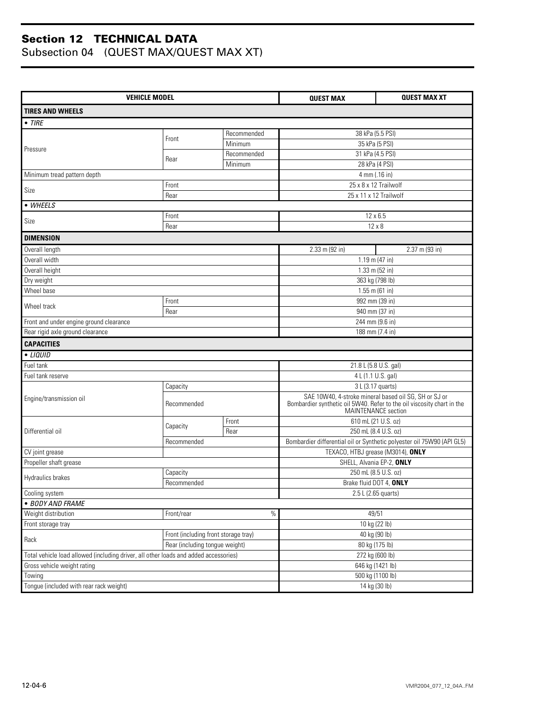| <b>VEHICLE MODEL</b>                                                                 |                                      |             | <b>QUEST MAX</b>                                                                              | <b>QUEST MAX XT</b> |  |
|--------------------------------------------------------------------------------------|--------------------------------------|-------------|-----------------------------------------------------------------------------------------------|---------------------|--|
| <b>TIRES AND WHEELS</b>                                                              |                                      |             |                                                                                               |                     |  |
| $\bullet$ TIRE                                                                       |                                      |             |                                                                                               |                     |  |
|                                                                                      |                                      | Recommended | 38 kPa (5.5 PSI)                                                                              |                     |  |
|                                                                                      | Front                                | Minimum     | 35 kPa (5 PSI)                                                                                |                     |  |
| Pressure                                                                             |                                      | Recommended | 31 kPa (4.5 PSI)                                                                              |                     |  |
|                                                                                      | Rear                                 | Minimum     | 28 kPa (4 PSI)                                                                                |                     |  |
| Minimum tread pattern depth                                                          |                                      |             | 4 mm (.16 in)                                                                                 |                     |  |
|                                                                                      | Front                                |             | 25 x 8 x 12 Trailwolf                                                                         |                     |  |
| Size                                                                                 | Rear                                 |             | 25 x 11 x 12 Trailwolf                                                                        |                     |  |
| • WHEELS                                                                             |                                      |             |                                                                                               |                     |  |
|                                                                                      | Front                                |             | 12 x 6.5                                                                                      |                     |  |
| Size                                                                                 | Rear                                 |             | $12 \times 8$                                                                                 |                     |  |
| <b>DIMENSION</b>                                                                     |                                      |             |                                                                                               |                     |  |
| Overall length                                                                       |                                      |             | 2.33 m (92 in)                                                                                | $2.37$ m (93 in)    |  |
| Overall width                                                                        |                                      |             | 1.19 m (47 in)                                                                                |                     |  |
| Overall height                                                                       |                                      |             | 1.33 m (52 in)                                                                                |                     |  |
| Dry weight                                                                           |                                      |             | 363 kg (798 lb)                                                                               |                     |  |
| Wheel base                                                                           |                                      |             | $1.55$ m (61 in)                                                                              |                     |  |
|                                                                                      | Front                                |             | 992 mm (39 in)                                                                                |                     |  |
| Wheel track                                                                          | Rear                                 |             | 940 mm (37 in)                                                                                |                     |  |
| Front and under engine ground clearance                                              |                                      |             | 244 mm (9.6 in)                                                                               |                     |  |
| Rear rigid axle ground clearance                                                     |                                      |             | 188 mm (7.4 in)                                                                               |                     |  |
| <b>CAPACITIES</b>                                                                    |                                      |             |                                                                                               |                     |  |
| • LIQUID                                                                             |                                      |             |                                                                                               |                     |  |
| Fuel tank                                                                            |                                      |             | 21.8 L (5.8 U.S. gal)                                                                         |                     |  |
| Fuel tank reserve                                                                    |                                      |             | 4 L (1.1 U.S. gal)                                                                            |                     |  |
|                                                                                      | Capacity                             |             | 3 L (3.17 quarts)                                                                             |                     |  |
| Engine/transmission oil                                                              | Recommended                          |             | SAE 10W40, 4-stroke mineral based oil SG, SH or SJ or                                         |                     |  |
|                                                                                      |                                      |             | Bombardier synthetic oil 5W40. Refer to the oil viscosity chart in the<br>MAINTENANCE section |                     |  |
|                                                                                      |                                      | Front       | 610 mL (21 U.S. oz)                                                                           |                     |  |
| Differential oil                                                                     | Capacity                             | Rear        | 250 mL (8.4 U.S. oz)                                                                          |                     |  |
|                                                                                      | Recommended                          |             | Bombardier differential oil or Synthetic polyester oil 75W90 (API GL5)                        |                     |  |
| CV joint grease                                                                      |                                      |             | TEXACO, HTBJ grease (M3014), ONLY                                                             |                     |  |
| Propeller shaft grease                                                               |                                      |             | SHELL, Alvania EP-2, ONLY                                                                     |                     |  |
|                                                                                      | Capacity                             |             | 250 mL (8.5 U.S. oz)                                                                          |                     |  |
| Hydraulics brakes                                                                    | Recommended                          |             | Brake fluid DOT 4, ONLY                                                                       |                     |  |
| Cooling system                                                                       |                                      |             | 2.5 L (2.65 quarts)                                                                           |                     |  |
| · BODY AND FRAME                                                                     |                                      |             |                                                                                               |                     |  |
| Weight distribution                                                                  | Front/rear                           | $\%$        | 49/51                                                                                         |                     |  |
| Front storage tray                                                                   |                                      |             | 10 kg (22 lb)                                                                                 |                     |  |
| Rack                                                                                 | Front (including front storage tray) |             | 40 kg (90 lb)                                                                                 |                     |  |
|                                                                                      | Rear (including tongue weight)       |             | 80 kg (175 lb)                                                                                |                     |  |
| Total vehicle load allowed (including driver, all other loads and added accessories) |                                      |             | 272 kg (600 lb)                                                                               |                     |  |
| Gross vehicle weight rating                                                          |                                      |             | 646 kg (1421 lb)                                                                              |                     |  |
| Towing                                                                               |                                      |             | 500 kg (1100 lb)                                                                              |                     |  |
| Tongue (included with rear rack weight)                                              |                                      |             | 14 kg (30 lb)                                                                                 |                     |  |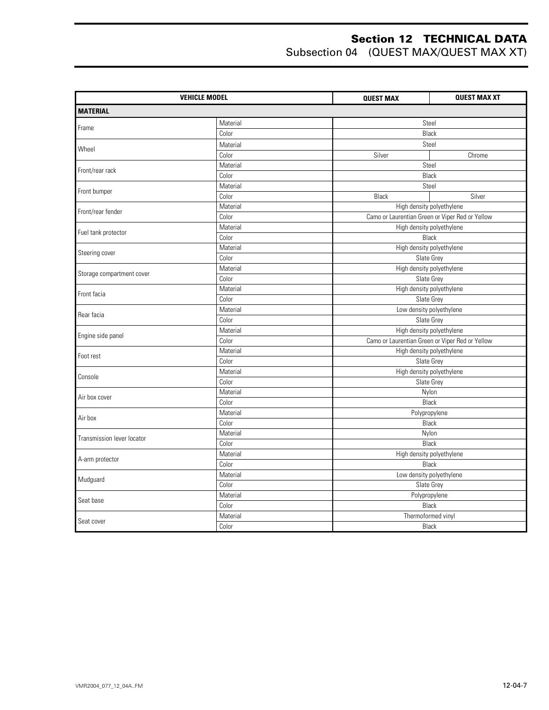|                            | <b>VEHICLE MODEL</b> | <b>QUEST MAX</b> | <b>QUEST MAX XT</b>                             |  |  |
|----------------------------|----------------------|------------------|-------------------------------------------------|--|--|
| <b>MATERIAL</b>            |                      |                  |                                                 |  |  |
|                            | Material             |                  | Steel                                           |  |  |
| Frame                      | Color                |                  | <b>Black</b>                                    |  |  |
|                            | Material             |                  | Steel                                           |  |  |
| Wheel                      | Color                | Silver           | Chrome                                          |  |  |
|                            | Material             |                  | Steel                                           |  |  |
| Front/rear rack            | Color                |                  | Black                                           |  |  |
|                            | Material             |                  | Steel                                           |  |  |
| Front bumper               | Color                | Black            | Silver                                          |  |  |
| Front/rear fender          | Material             |                  | High density polyethylene                       |  |  |
|                            | Color                |                  | Camo or Laurentian Green or Viper Red or Yellow |  |  |
| Fuel tank protector        | Material             |                  | High density polyethylene                       |  |  |
|                            | Color                |                  | <b>Black</b>                                    |  |  |
| Steering cover             | Material             |                  | High density polyethylene                       |  |  |
|                            | Color                |                  | Slate Grey                                      |  |  |
|                            | Material             |                  | High density polyethylene                       |  |  |
| Storage compartment cover  | Color                |                  | Slate Grey                                      |  |  |
| Front facia                | Material             |                  | High density polyethylene                       |  |  |
|                            | Color                |                  | Slate Grey                                      |  |  |
| Rear facia                 | Material             |                  | Low density polyethylene                        |  |  |
|                            | Color                |                  | Slate Grey                                      |  |  |
| Engine side panel          | Material             |                  | High density polyethylene                       |  |  |
|                            | Color                |                  | Camo or Laurentian Green or Viper Red or Yellow |  |  |
| Foot rest                  | Material             |                  | High density polyethylene                       |  |  |
|                            | Color                |                  | Slate Grey                                      |  |  |
| Console                    | Material             |                  | High density polyethylene                       |  |  |
|                            | Color                |                  | Slate Grey                                      |  |  |
| Air box cover              | Material             |                  | Nylon                                           |  |  |
|                            | Color                |                  | Black                                           |  |  |
| Air box                    | Material             |                  | Polypropylene                                   |  |  |
|                            | Color                |                  | Black                                           |  |  |
| Transmission lever locator | Material             |                  | Nylon                                           |  |  |
|                            | Color                |                  | Black                                           |  |  |
| A-arm protector            | Material             |                  | High density polyethylene                       |  |  |
|                            | Color                |                  | Black                                           |  |  |
| Mudguard                   | Material             |                  | Low density polyethylene                        |  |  |
|                            | Color                |                  | Slate Grey                                      |  |  |
| Seat base                  | Material             |                  | Polypropylene                                   |  |  |
|                            | Color                |                  | Black                                           |  |  |
|                            | Material             |                  | Thermoformed vinyl                              |  |  |
| Seat cover                 | Color                |                  | <b>Black</b>                                    |  |  |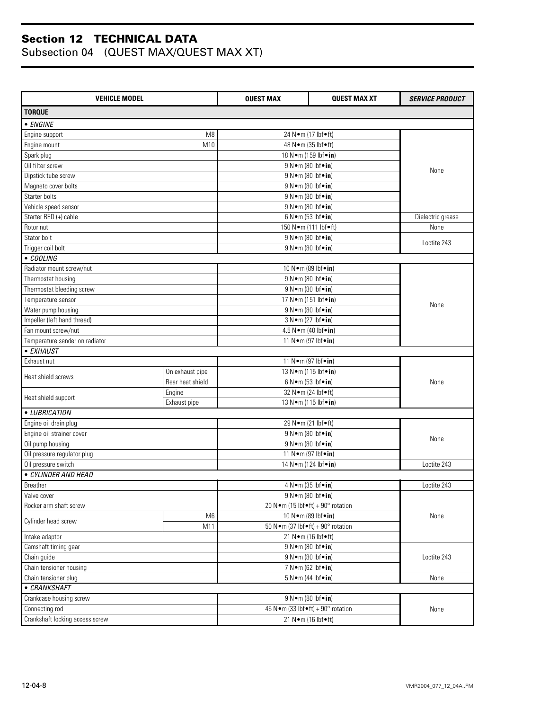| <b>VEHICLE MODEL</b>            |                  | <b>QUEST MAX</b>   | <b>QUEST MAX XT</b>                                   | <b>SERVICE PRODUCT</b> |
|---------------------------------|------------------|--------------------|-------------------------------------------------------|------------------------|
| <b>TORQUE</b>                   |                  |                    |                                                       |                        |
| • ENGINE                        |                  |                    |                                                       |                        |
| Engine support                  | M <sub>8</sub>   |                    | 24 N · m (17 lbf · ft)                                |                        |
| Engine mount                    | M10              |                    | 48 N • m (35 lbf • ft)                                |                        |
| Spark plug                      |                  |                    | 18 N · m (159 lbf · in)                               |                        |
| Oil filter screw                |                  |                    | 9 N · m (80 lbf · in)                                 |                        |
| Dipstick tube screw             |                  |                    | 9 N · m (80 lbf · in)                                 | None                   |
| Magneto cover bolts             |                  |                    | $9 N \cdot m (80 lbf \cdot in)$                       |                        |
| Starter bolts                   |                  |                    | 9 N · m (80 lbf · in)                                 |                        |
| Vehicle speed sensor            |                  |                    | 9 N · m (80 lbf · in)                                 |                        |
| Starter RED (+) cable           |                  |                    | 6 N · m (53 lbf · in)                                 | Dielectric grease      |
| Rotor nut                       |                  |                    | 150 N•m (111 lbf•ft)                                  | None                   |
| Stator bolt                     |                  |                    | 9 N · m (80 lbf · in)                                 |                        |
| Trigger coil bolt               |                  |                    | 9 N•m (80 lbf•in)                                     | Loctite 243            |
| • COOLING                       |                  |                    |                                                       |                        |
| Radiator mount screw/nut        |                  |                    | 10 N · m (89 lbf · in)                                |                        |
| Thermostat housing              |                  |                    | 9 N · m (80 lbf · in)                                 |                        |
| Thermostat bleeding screw       |                  |                    | 9 N · m (80 lbf · in)                                 |                        |
| Temperature sensor              |                  |                    | 17 N · m (151 lbf · in)                               |                        |
| Water pump housing              |                  |                    | 9 N•m (80 lbf•in)                                     | None                   |
| Impeller (left hand thread)     |                  |                    | 3 N•m (27 lbf•in)                                     |                        |
| Fan mount screw/nut             |                  |                    | 4.5 N•m (40 lbf•in)                                   |                        |
| Temperature sender on radiator  |                  |                    | 11 N • m (97 lbf • in)                                |                        |
| • EXHAUST                       |                  |                    |                                                       |                        |
| Exhaust nut                     |                  |                    | 11 N • m (97 lbf • in)                                |                        |
|                                 | On exhaust pipe  |                    | 13 N · m (115 lbf · in)                               |                        |
| Heat shield screws              | Rear heat shield |                    | 6 N • m (53 lbf • in)                                 | None                   |
|                                 | Engine           |                    | 32 N•m (24 lbf•ft)                                    |                        |
| Heat shield support             | Exhaust pipe     |                    | 13 N · m (115 lbf · in)                               |                        |
| • LUBRICATION                   |                  |                    |                                                       |                        |
| Engine oil drain plug           |                  |                    | 29 N • m (21 lbf • ft)                                |                        |
| Engine oil strainer cover       |                  |                    | 9 N•m (80 lbf•in)                                     |                        |
| Oil pump housing                |                  |                    | 9 N · m (80 lbf · in)                                 | None                   |
| Oil pressure regulator plug     |                  |                    | 11 N • m (97 lbf • in)                                |                        |
| Oil pressure switch             |                  |                    | 14 N·m (124 lbf•in)                                   |                        |
| · CYLINDER AND HEAD             |                  |                    |                                                       | Loctite 243            |
| <b>Breather</b>                 |                  |                    | 4 N · m (35 lbf · in)                                 | Loctite 243            |
| Valve cover                     |                  |                    | 9 N · m (80 lbf · in)                                 |                        |
| Rocker arm shaft screw          |                  |                    | 20 N•m (15 lbf•ft) + 90° rotation                     |                        |
|                                 | M <sub>6</sub>   |                    | 10 N • m (89 lbf • in)                                | None                   |
| Cylinder head screw             | M11              |                    | 50 N $\bullet$ m (37 lbf $\bullet$ ft) + 90° rotation |                        |
| Intake adaptor                  |                  |                    | 21 N•m (16 lbf•ft)                                    |                        |
| Camshaft timing gear            |                  |                    | 9 N • m (80 lbf • in)                                 |                        |
| Chain guide                     |                  |                    | 9 N • m (80 lbf • in)                                 |                        |
| Chain tensioner housing         |                  |                    | 7 N • m (62 lbf • in)                                 |                        |
| Chain tensioner plug            |                  |                    | $5 N \cdot m$ (44 lbf $\cdot in$ )                    | None                   |
| • CRANKSHAFT                    |                  |                    |                                                       |                        |
| Crankcase housing screw         |                  |                    | 9 N • m (80 lbf • in)                                 |                        |
| Connecting rod                  |                  |                    | 45 N · m (33 lbf • ft) + 90° rotation                 | None                   |
| Crankshaft locking access screw |                  | 21 N•m (16 lbf•ft) |                                                       |                        |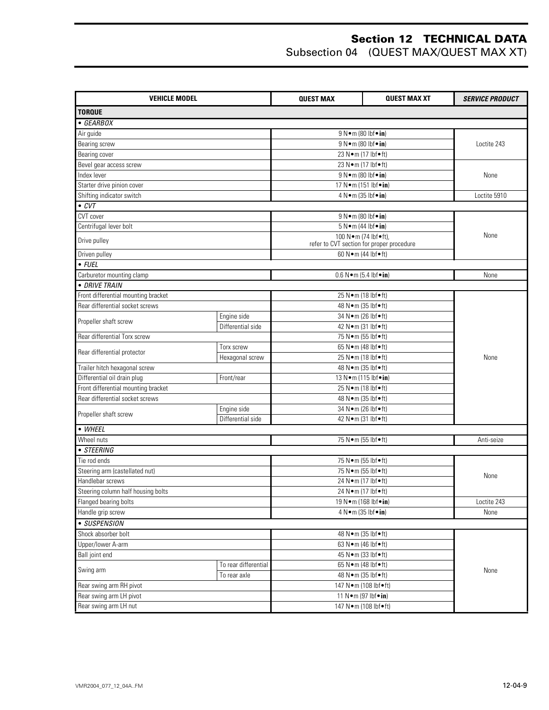| <b>VEHICLE MODEL</b>                |                      | <b>QUEST MAX</b>         | <b>QUEST MAX XT</b>                                               | <b>SERVICE PRODUCT</b> |
|-------------------------------------|----------------------|--------------------------|-------------------------------------------------------------------|------------------------|
| <b>TORQUE</b>                       |                      |                          |                                                                   |                        |
| $\bullet$ GEARBOX                   |                      |                          |                                                                   |                        |
| Air guide                           |                      |                          | 9 N · m (80 lbf · in)                                             |                        |
| Bearing screw                       |                      |                          | 9 N • m (80 lbf • in)                                             | Loctite 243            |
| Bearing cover                       |                      |                          | 23 N•m (17 lbf•ft)                                                |                        |
| Bevel gear access screw             |                      |                          | 23 N•m (17 lbf•ft)                                                |                        |
| Index lever                         |                      |                          | 9 N · m (80 lbf · in)                                             | None                   |
| Starter drive pinion cover          |                      |                          | 17 N·m (151 lbf•in)                                               |                        |
| Shifting indicator switch           |                      |                          | 4 N · m (35 lbf · in)                                             | Loctite 5910           |
| $\bullet$ CVT                       |                      |                          |                                                                   |                        |
| CVT cover                           |                      |                          | 9 N • m (80 lbf • in)                                             |                        |
| Centrifugal lever bolt              |                      |                          | $5 N \cdot m$ (44 lbf $\cdot$ in)                                 |                        |
| Drive pulley                        |                      |                          | 100 N•m (74 lbf•ft),<br>refer to CVT section for proper procedure | None                   |
| Driven pulley                       |                      |                          | 60 N · m (44 lbf • ft)                                            |                        |
| $\bullet$ FUEL                      |                      |                          |                                                                   |                        |
| Carburetor mounting clamp           |                      |                          | $0.6 N \cdot m$ (5.4 lbf $\cdot in$ )                             | None                   |
| • DRIVE TRAIN                       |                      |                          |                                                                   |                        |
| Front differential mounting bracket |                      |                          | 25 N•m (18 lbf•ft)                                                |                        |
| Rear differential socket screws     |                      |                          | 48 N · m (35 lbf • ft)                                            |                        |
|                                     | Engine side          |                          | 34 N•m (26 lbf•ft)                                                |                        |
| Propeller shaft screw               | Differential side    |                          | 42 N • m (31 lbf • ft)                                            |                        |
| Rear differential Torx screw        |                      | 75 N•m (55 lbf•ft)       |                                                                   |                        |
|                                     | Torx screw           |                          | 65 N•m (48 lbf•ft)                                                |                        |
| Rear differential protector         | Hexagonal screw      |                          | 25 N•m (18 lbf•ft)                                                | None                   |
| Trailer hitch hexagonal screw       |                      | 48 N · m (35 lbf • ft)   |                                                                   |                        |
| Differential oil drain plug         | Front/rear           | 13 N · m (115 lbf · in)  |                                                                   |                        |
| Front differential mounting bracket |                      | 25 N•m (18 lbf•ft)       |                                                                   |                        |
| Rear differential socket screws     |                      | 48 N • m (35 lbf • ft)   |                                                                   |                        |
| Propeller shaft screw               | Engine side          |                          | 34 N•m (26 lbf•ft)                                                |                        |
|                                     | Differential side    |                          | 42 N • m (31 lbf • ft)                                            |                        |
| • WHEEL                             |                      |                          |                                                                   |                        |
| Wheel nuts                          |                      |                          | 75 N•m (55 lbf•ft)                                                | Anti-seize             |
| • STEERING                          |                      |                          |                                                                   |                        |
| Tie rod ends                        |                      |                          | 75 N•m (55 lbf•ft)                                                |                        |
| Steering arm (castellated nut)      |                      | 75 N•m (55 lbf•ft)       |                                                                   | None                   |
| Handlebar screws                    |                      |                          | 24 N•m (17 lbf•ft)                                                |                        |
| Steering column half housing bolts  |                      |                          | 24 N · m (17 lbf · ft)                                            | Loctite 243            |
| Flanged bearing bolts               |                      |                          | 19 N · m (168 lbf · in)                                           |                        |
| Handle grip screw                   |                      |                          | 4 N•m (35 lbf•in)                                                 | None                   |
| • SUSPENSION                        |                      |                          |                                                                   |                        |
| Shock absorber bolt                 |                      |                          | 48 N • m (35 lbf • ft)                                            |                        |
| Upper/lower A-arm                   |                      |                          | 63 N•m (46 lbf•ft)                                                |                        |
| Ball joint end                      |                      |                          | 45 N • m (33 lbf • ft)                                            |                        |
| Swing arm                           | To rear differential |                          | 65 N•m (48 lbf•ft)                                                |                        |
|                                     | To rear axle         |                          | 48 N • m (35 lbf • ft)                                            | None                   |
| Rear swing arm RH pivot             |                      |                          | 147 N·m (108 lbf•ft)                                              |                        |
| Rear swing arm LH pivot             |                      |                          | 11 N • m (97 lbf • in)                                            |                        |
| Rear swing arm LH nut               |                      | 147 N · m (108 lbf · ft) |                                                                   |                        |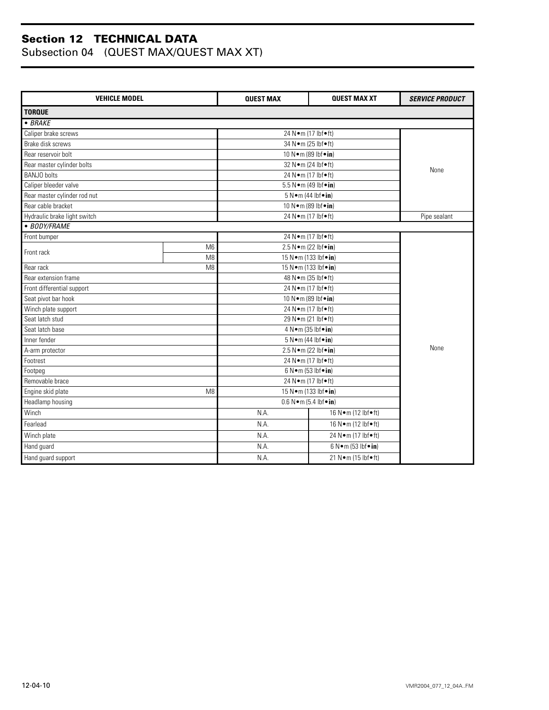| <b>VEHICLE MODEL</b>         |                | <b>QUEST MAX</b>                     | <b>QUEST MAX XT</b>                | <b>SERVICE PRODUCT</b> |  |
|------------------------------|----------------|--------------------------------------|------------------------------------|------------------------|--|
| <b>TORQUE</b>                |                |                                      |                                    |                        |  |
| $-BRAKE$                     |                |                                      |                                    |                        |  |
| Caliper brake screws         |                |                                      | 24 N•m (17 lbf•ft)                 |                        |  |
| Brake disk screws            |                |                                      | 34 N • m (25 lbf • ft)             |                        |  |
| Rear reservoir bolt          |                |                                      | 10 N • m (89 lbf • in)             |                        |  |
| Rear master cylinder bolts   |                |                                      | 32 Nom (24 lbfoft)                 | None                   |  |
| <b>BANJO</b> bolts           |                |                                      | 24 N•m (17 lbf•ft)                 |                        |  |
| Caliper bleeder valve        |                |                                      | 5.5 N · m (49 lbf · in)            |                        |  |
| Rear master cylinder rod nut |                |                                      | $5 N \cdot m$ (44 lbf $\cdot in$ ) |                        |  |
| Rear cable bracket           |                |                                      | 10 N · m (89 lbf · in)             |                        |  |
| Hydraulic brake light switch |                |                                      | 24 N•m (17 lbf•ft)                 | Pipe sealant           |  |
| • BODY/FRAME                 |                |                                      |                                    |                        |  |
| Front bumper                 |                |                                      | 24 N•m (17 lbf•ft)                 |                        |  |
| Front rack                   | M <sub>6</sub> |                                      | 2.5 N•m (22 lbf•in)                |                        |  |
|                              | M <sub>8</sub> |                                      | 15 N · m (133 lbf · in)            |                        |  |
| Rear rack                    | M <sub>8</sub> | 15 N • m (133 lbf • in)              |                                    |                        |  |
| Rear extension frame         |                | 48 N • m (35 lbf • ft)               |                                    |                        |  |
| Front differential support   |                | 24 N•m (17 lbf•ft)                   |                                    |                        |  |
| Seat pivot bar hook          |                | 10 N · m (89 lbf · in)               |                                    |                        |  |
| Winch plate support          |                | 24 N•m (17 lbf•ft)                   |                                    |                        |  |
| Seat latch stud              |                | 29 N • m (21 lbf • ft)               |                                    |                        |  |
| Seat latch base              |                | 4 N • m (35 lbf • in)                |                                    |                        |  |
| Inner fender                 |                | 5 N · m (44 lbf · in)                |                                    |                        |  |
| A-arm protector              |                | 2.5 N • m (22 lbf • in)              | None                               |                        |  |
| Footrest                     |                | 24 N•m (17 lbf•ft)                   |                                    |                        |  |
| Footpeg                      |                | 6 N • m (53 lbf • in)                |                                    |                        |  |
| Removable brace              |                | 24 N•m (17 lbf•ft)                   |                                    |                        |  |
| Engine skid plate<br>M8      |                | 15 N · m (133 lbf · in)              |                                    |                        |  |
| Headlamp housing             |                | $0.6 N \cdot m$ (5.4 lbf $\cdot$ in) |                                    |                        |  |
| Winch                        |                | 16 N • m (12 lbf • ft)<br>N.A.       |                                    |                        |  |
| Fearlead                     |                | 16 N•m (12 lbf•ft)<br>N.A.           |                                    |                        |  |
| Winch plate                  |                | N.A.<br>24 N•m (17 lbf•ft)           |                                    |                        |  |
| Hand guard                   |                | N.A.                                 | $6 N \cdot m$ (53 lbf $\cdot in$ ) |                        |  |
| Hand guard support           |                | N.A.                                 |                                    |                        |  |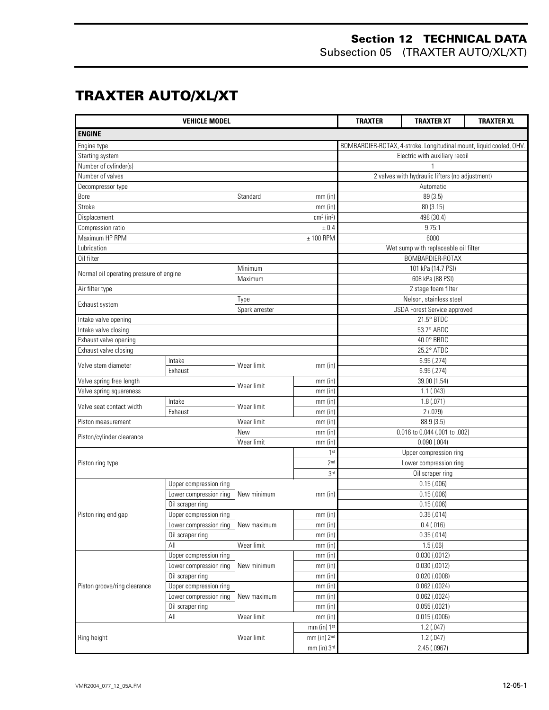Subsection 05 (TRAXTER AUTO/XL/XT)

## **TRAXTER AUTO/XL/XT**

|                                         | <b>VEHICLE MODEL</b>   |                |                          | <b>TRAXTER</b><br><b>TRAXTER XT</b><br><b>TRAXTER XL</b> |                                                                     |  |
|-----------------------------------------|------------------------|----------------|--------------------------|----------------------------------------------------------|---------------------------------------------------------------------|--|
| <b>ENGINE</b>                           |                        |                |                          |                                                          |                                                                     |  |
| Engine type                             |                        |                |                          |                                                          | BOMBARDIER-ROTAX, 4-stroke. Longitudinal mount, liquid cooled, OHV. |  |
| Starting system                         |                        |                |                          | Electric with auxiliary recoil                           |                                                                     |  |
| Number of cylinder(s)                   |                        |                |                          |                                                          |                                                                     |  |
| Number of valves                        |                        |                |                          |                                                          | 2 valves with hydraulic lifters (no adjustment)                     |  |
| Decompressor type                       |                        |                |                          |                                                          | Automatic                                                           |  |
| Bore                                    |                        | Standard       | $mm$ (in)                |                                                          | 89 (3.5)                                                            |  |
| Stroke                                  |                        |                | $mm$ (in)                |                                                          | 80 (3.15)                                                           |  |
| Displacement                            |                        |                | $cm3$ (in <sup>3</sup> ) |                                                          | 498 (30.4)                                                          |  |
| Compression ratio                       |                        |                | ± 0.4                    |                                                          | 9.75:1                                                              |  |
| Maximum HP RPM                          |                        |                | $± 100$ RPM              |                                                          | 6000                                                                |  |
| Lubrication                             |                        |                |                          |                                                          | Wet sump with replaceable oil filter                                |  |
| Oil filter                              |                        |                |                          |                                                          | BOMBARDIER-ROTAX                                                    |  |
|                                         |                        | Minimum        |                          |                                                          | 101 kPa (14.7 PSI)                                                  |  |
| Normal oil operating pressure of engine |                        | Maximum        |                          |                                                          | 608 kPa (88 PSI)                                                    |  |
| Air filter type                         |                        |                |                          |                                                          | 2 stage foam filter                                                 |  |
|                                         |                        | Type           |                          |                                                          | Nelson, stainless steel                                             |  |
| Exhaust system                          |                        | Spark arrester |                          |                                                          | <b>USDA Forest Service approved</b>                                 |  |
| Intake valve opening                    |                        |                |                          |                                                          | 21.5° BTDC                                                          |  |
| Intake valve closing                    |                        |                |                          |                                                          | 53.7° ABDC                                                          |  |
| Exhaust valve opening                   |                        |                |                          |                                                          | 40.0° BBDC                                                          |  |
| Exhaust valve closing                   |                        |                |                          |                                                          | 25.2° ATDC                                                          |  |
|                                         | Intake                 |                |                          | 6.95 (.274)                                              |                                                                     |  |
| Valve stem diameter                     | Exhaust                | Wear limit     | $mm$ (in)                |                                                          | 6.95 (.274)                                                         |  |
| Valve spring free length                |                        |                | $mm$ (in)                |                                                          | 39.00 (1.54)                                                        |  |
| Valve spring squareness                 |                        | Wear limit     | $mm$ (in)                | 1.1(.043)                                                |                                                                     |  |
|                                         | Intake                 |                | $mm$ (in)                | 1.8(.071)                                                |                                                                     |  |
| Valve seat contact width                | Exhaust                | Wear limit     | $mm$ (in)                | 2(.079)                                                  |                                                                     |  |
| Piston measurement                      |                        | Wear limit     | $mm$ (in)                | 88.9 (3.5)                                               |                                                                     |  |
|                                         |                        | New            | $mm$ (in)                |                                                          | 0.016 to 0.044 (.001 to .002)                                       |  |
| Piston/cylinder clearance               |                        | Wear limit     | $mm$ (in)                |                                                          | 0.090(.004)                                                         |  |
|                                         |                        |                | 1 <sup>st</sup>          |                                                          | Upper compression ring                                              |  |
| Piston ring type                        |                        |                | 2 <sub>nd</sub>          |                                                          | Lower compression ring                                              |  |
|                                         |                        |                | 3rd                      |                                                          | Oil scraper ring                                                    |  |
|                                         | Upper compression ring |                |                          |                                                          | 0.15(.006)                                                          |  |
|                                         | Lower compression ring | New minimum    | $mm$ (in)                | 0.15(.006)                                               |                                                                     |  |
|                                         | Oil scraper ring       |                |                          |                                                          | 0.15(.006)                                                          |  |
| Piston ring end gap                     | Upper compression ring |                | mm (in)                  |                                                          | 0.35(.014)                                                          |  |
|                                         | Lower compression ring | New maximum    | mm (in)                  |                                                          | 0.4(0.016)                                                          |  |
|                                         | Oil scraper ring       |                | mm(in)                   |                                                          | $\overline{0.35}$ (.014)                                            |  |
|                                         | All                    | Wear limit     | $mm$ (in)                | 1.5(.06)                                                 |                                                                     |  |
|                                         | Upper compression ring |                | $mm$ (in)                |                                                          | $0.030$ $(.0012)$                                                   |  |
|                                         | Lower compression ring | New minimum    | $mm$ (in)                |                                                          | $0.030$ $(.0012)$                                                   |  |
|                                         | Oil scraper ring       |                | $mm$ (in)                |                                                          | $0.020$ (.0008)                                                     |  |
| Piston groove/ring clearance            | Upper compression ring |                | $mm$ (in)                |                                                          | $0.062$ (.0024)                                                     |  |
|                                         | Lower compression ring | New maximum    | $mm$ (in)                | $0.062$ (.0024)                                          |                                                                     |  |
|                                         | Oil scraper ring       |                | $mm$ (in)                |                                                          | 0.055(.0021)                                                        |  |
|                                         | All                    | Wear limit     | $mm$ (in)                |                                                          | $\overline{0.015}$ (.0006)                                          |  |
|                                         |                        |                | mm (in) 1st              |                                                          | 1.2(.047)                                                           |  |
| Ring height                             |                        | Wear limit     | mm (in) 2 <sup>nd</sup>  |                                                          | 1.2(.047)                                                           |  |
|                                         |                        |                | mm (in) 3rd              |                                                          | 2.45(.0967)                                                         |  |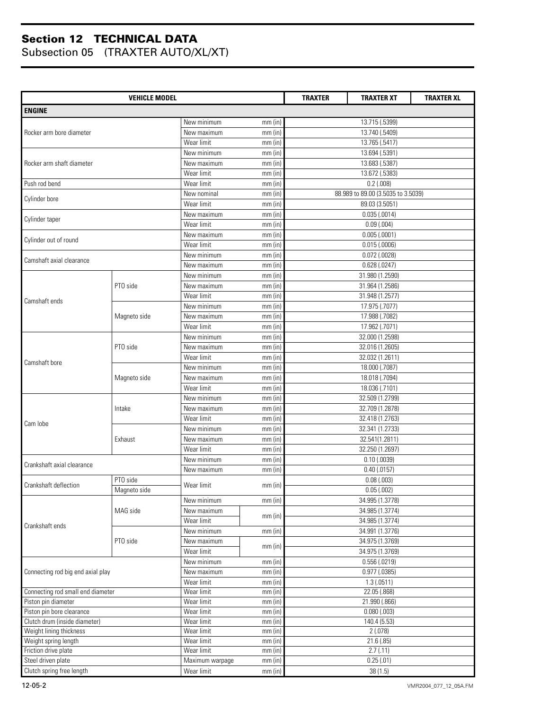| <b>VEHICLE MODEL</b>                                     |              |                          |                        | <b>TRAXTER</b><br><b>TRAXTER XT</b><br><b>TRAXTER XL</b> |                                                    |  |
|----------------------------------------------------------|--------------|--------------------------|------------------------|----------------------------------------------------------|----------------------------------------------------|--|
| <b>ENGINE</b>                                            |              |                          |                        |                                                          |                                                    |  |
|                                                          |              | New minimum              | $mm$ (in)              |                                                          | 13.715 (.5399)                                     |  |
| Rocker arm bore diameter                                 |              | New maximum              | mm (in)                | 13.740 (.5409)                                           |                                                    |  |
|                                                          |              | Wear limit               | $mm$ (in)              |                                                          | 13.765 (.5417)                                     |  |
|                                                          |              | New minimum              | $mm$ (in)              |                                                          | 13.694 (.5391)                                     |  |
| Rocker arm shaft diameter                                |              | New maximum              |                        |                                                          | 13.683 (.5387)                                     |  |
|                                                          |              |                          | $mm$ (in)              |                                                          |                                                    |  |
| Push rod bend                                            |              | Wear limit<br>Wear limit | $mm$ (in)              |                                                          | 13.672 (.5383)                                     |  |
|                                                          |              | New nominal              | $mm$ (in)<br>$mm$ (in) |                                                          | $0.2$ (.008)<br>88.989 to 89.00 (3.5035 to 3.5039) |  |
| Cylinder bore                                            |              | Wear limit               | $mm$ (in)              |                                                          | 89.03 (3.5051)                                     |  |
|                                                          |              | New maximum              | $mm$ (in)              |                                                          | 0.035(.0014)                                       |  |
| Cylinder taper                                           |              | Wear limit               | $mm$ (in)              |                                                          | 0.09(.004)                                         |  |
|                                                          |              | New maximum              | $mm$ (in)              |                                                          | 0.005(.0001)                                       |  |
| Cylinder out of round                                    |              | Wear limit               | $mm$ (in)              |                                                          | $0.015$ $(.0006)$                                  |  |
|                                                          |              | New minimum              |                        |                                                          |                                                    |  |
| Camshaft axial clearance                                 |              |                          | $mm$ (in)              |                                                          | $0.072$ (.0028)                                    |  |
|                                                          |              | New maximum              | $mm$ (in)              |                                                          | 0.628(.0247)                                       |  |
|                                                          |              | New minimum              | $mm$ (in)              |                                                          | 31.980 (1.2590)                                    |  |
|                                                          | PTO side     | New maximum              | $mm$ (in)              |                                                          | 31.964 (1.2586)                                    |  |
| Camshaft ends                                            |              | Wear limit               | $mm$ (in)              |                                                          | 31.948 (1.2577)                                    |  |
|                                                          |              | New minimum              | $mm$ (in)              |                                                          | 17.975 (.7077)                                     |  |
|                                                          | Magneto side | New maximum              | $mm$ (in)              |                                                          | 17.988 (.7082)                                     |  |
|                                                          |              | Wear limit               | $mm$ (in)              |                                                          | 17.962 (.7071)                                     |  |
|                                                          |              | New minimum              | mm (in)                |                                                          | 32.000 (1.2598)                                    |  |
|                                                          | PTO side     | New maximum              | $mm$ (in)              | 32.016 (1.2605)                                          |                                                    |  |
| Camshaft bore                                            |              | Wear limit               | $mm$ (in)              | 32.032 (1.2611)                                          |                                                    |  |
|                                                          |              | New minimum              | $mm$ (in)              | 18.000 (.7087)                                           |                                                    |  |
|                                                          | Magneto side | New maximum              | $mm$ (in)              | 18.018 (.7094)                                           |                                                    |  |
|                                                          |              | Wear limit               | $mm$ (in)              | 18.036 (.7101)                                           |                                                    |  |
|                                                          | Intake       | New minimum              | $mm$ (in)              | 32.509 (1.2799)                                          |                                                    |  |
|                                                          |              | New maximum              | $mm$ (in)              | 32.709 (1.2878)                                          |                                                    |  |
|                                                          |              | Wear limit               | $mm$ (in)              | 32.418 (1.2763)                                          |                                                    |  |
| Cam lobe                                                 | Exhaust      | New minimum              | $mm$ (in)              | 32.341 (1.2733)                                          |                                                    |  |
|                                                          |              | New maximum              | $mm$ (in)              | 32.541(1.2811)                                           |                                                    |  |
|                                                          |              | Wear limit               | $mm$ (in)              | 32.250 (1.2697)                                          |                                                    |  |
|                                                          |              | New minimum              | $mm$ (in)              |                                                          | $0.10$ (.0039)                                     |  |
| Crankshaft axial clearance                               |              | New maximum              | $mm$ (in)              |                                                          | $0.40$ (.0157)                                     |  |
|                                                          | PTO side     |                          |                        |                                                          | 0.08(0.003)                                        |  |
| Crankshaft deflection                                    | Magneto side | Wear limit               | $mm$ (in)              |                                                          | 0.05(0.002)                                        |  |
|                                                          |              | New minimum              | $mm$ (in)              |                                                          | 34.995 (1.3778)                                    |  |
|                                                          | MAG side     | New maximum              |                        |                                                          | 34.985 (1.3774)                                    |  |
|                                                          |              | Wear limit               | $mm$ (in)              |                                                          | 34.985 (1.3774)                                    |  |
| Crankshaft ends                                          |              | New minimum              | mm (in)                |                                                          | 34.991 (1.3776)                                    |  |
|                                                          | PTO side     | New maximum              |                        |                                                          | 34.975 (1.3769)                                    |  |
|                                                          |              | Wear limit               | $mm$ (in)              |                                                          | 34.975 (1.3769)                                    |  |
|                                                          |              | New minimum              |                        |                                                          | $0.556$ $(.0219)$                                  |  |
| Connecting rod big end axial play                        |              | New maximum              | mm (in)                |                                                          | $\overline{0.977}$ (.0385)                         |  |
|                                                          |              |                          | mm (in)                |                                                          |                                                    |  |
|                                                          |              | Wear limit<br>Wear limit | $mm$ (in)              |                                                          | 1.3(0511)                                          |  |
| Connecting rod small end diameter<br>Piston pin diameter |              | Wear limit               | $mm$ (in)              |                                                          | 22.05 (.868)<br>21.990 (.866)                      |  |
| Piston pin bore clearance                                |              | Wear limit               | $mm$ (in)              |                                                          | $0.080$ $(.003)$                                   |  |
| Clutch drum (inside diameter)                            |              | Wear limit               | $mm$ (in)              |                                                          | 140.4 (5.53)                                       |  |
| Weight lining thickness                                  |              | Wear limit               | $mm$ (in)              |                                                          | 2(.078)                                            |  |
| Weight spring length                                     |              | Wear limit               | mm (in)                |                                                          | 21.6 (.85)                                         |  |
| Friction drive plate                                     |              | Wear limit               | mm (in)<br>$mm$ (in)   |                                                          | 2.7(.11)                                           |  |
| Steel driven plate                                       |              | Maximum warpage          | $mm$ (in)              |                                                          | 0.25(.01)                                          |  |
| Clutch spring free length                                |              |                          |                        |                                                          |                                                    |  |
|                                                          |              | Wear limit               | $mm$ (in)              |                                                          | 38(1.5)                                            |  |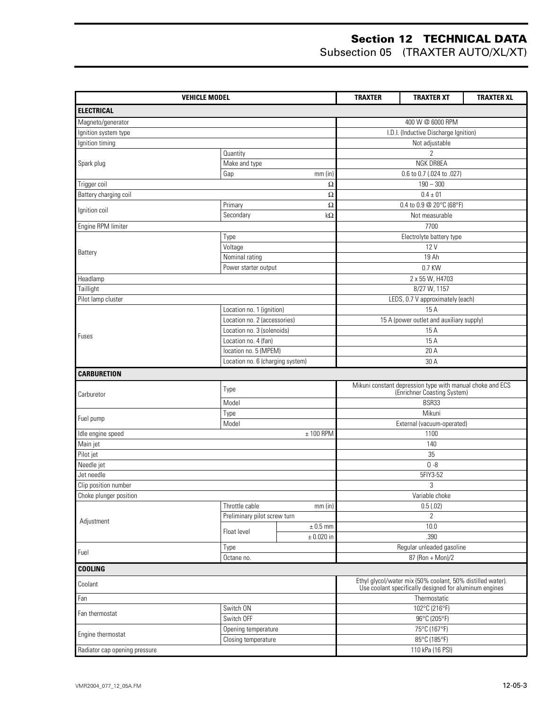| <b>VEHICLE MODEL</b>          |                                  |                | <b>TRAXTER</b><br><b>TRAXTER XL</b><br><b>TRAXTER XT</b>                                 |                                                                                                                      |  |  |
|-------------------------------|----------------------------------|----------------|------------------------------------------------------------------------------------------|----------------------------------------------------------------------------------------------------------------------|--|--|
| <b>ELECTRICAL</b>             |                                  |                |                                                                                          |                                                                                                                      |  |  |
| Magneto/generator             |                                  |                |                                                                                          | 400 W @ 6000 RPM                                                                                                     |  |  |
| Ignition system type          |                                  |                | I.D.I. (Inductive Discharge Ignition)                                                    |                                                                                                                      |  |  |
| Ignition timing               |                                  |                |                                                                                          | Not adjustable                                                                                                       |  |  |
|                               | Quantity                         |                |                                                                                          | 2                                                                                                                    |  |  |
| Spark plug                    | Make and type                    |                |                                                                                          | NGK DR8EA                                                                                                            |  |  |
|                               | Gap                              | $mm$ (in)      |                                                                                          | 0.6 to 0.7 (.024 to .027)                                                                                            |  |  |
| Trigger coil                  |                                  | Ω              |                                                                                          | $190 - 300$                                                                                                          |  |  |
| Battery charging coil         |                                  | Ω              |                                                                                          | $0.4 \pm 01$                                                                                                         |  |  |
| Ignition coil                 | Primary                          | Ω              |                                                                                          | 0.4 to 0.9 @ 20°C (68°F)                                                                                             |  |  |
|                               | Secondary                        | kΩ             |                                                                                          | Not measurable                                                                                                       |  |  |
| Engine RPM limiter            |                                  |                |                                                                                          | 7700                                                                                                                 |  |  |
|                               | Type                             |                |                                                                                          | Electrolyte battery type                                                                                             |  |  |
| Battery                       | Voltage                          |                |                                                                                          | 12V                                                                                                                  |  |  |
|                               | Nominal rating                   |                |                                                                                          | 19 Ah                                                                                                                |  |  |
|                               | Power starter output             |                |                                                                                          | 0.7 KW                                                                                                               |  |  |
| Headlamp                      |                                  |                |                                                                                          | 2 x 55 W, H4703                                                                                                      |  |  |
| Taillight                     |                                  |                |                                                                                          | 8/27 W, 1157                                                                                                         |  |  |
| Pilot lamp cluster            |                                  |                |                                                                                          | LEDS, 0.7 V approximately (each)                                                                                     |  |  |
|                               | Location no. 1 (ignition)        |                |                                                                                          | 15A                                                                                                                  |  |  |
|                               | Location no. 2 (accessories)     |                |                                                                                          | 15 A (power outlet and auxiliary supply)                                                                             |  |  |
| Fuses                         | Location no. 3 (solenoids)       |                | 15A                                                                                      |                                                                                                                      |  |  |
|                               | Location no. 4 (fan)             |                | 15 A                                                                                     |                                                                                                                      |  |  |
|                               | location no. 5 (MPEM)            |                | 20 A                                                                                     |                                                                                                                      |  |  |
|                               | Location no. 6 (charging system) |                |                                                                                          | 30 A                                                                                                                 |  |  |
| <b>CARBURETION</b>            |                                  |                |                                                                                          |                                                                                                                      |  |  |
| Carburetor                    | Type                             |                | Mikuni constant depression type with manual choke and ECS<br>(Enrichner Coasting System) |                                                                                                                      |  |  |
|                               | Model                            |                | BSR33                                                                                    |                                                                                                                      |  |  |
| Fuel pump                     | Type                             |                | Mikuni                                                                                   |                                                                                                                      |  |  |
|                               | Model                            |                |                                                                                          | External (vacuum-operated)                                                                                           |  |  |
| Idle engine speed             |                                  | $± 100$ RPM    | 1100                                                                                     |                                                                                                                      |  |  |
| Main jet                      |                                  |                | 140                                                                                      |                                                                                                                      |  |  |
| Pilot jet                     |                                  |                | 35                                                                                       |                                                                                                                      |  |  |
| Needle jet                    |                                  |                | $0 - 8$                                                                                  |                                                                                                                      |  |  |
| Jet needle                    |                                  |                |                                                                                          | 5FIY3-52                                                                                                             |  |  |
| Clip position number          |                                  |                |                                                                                          | 3                                                                                                                    |  |  |
| Choke plunger position        | Throttle cable                   | $mm$ (in)      |                                                                                          | Variable choke<br>0.5(0.02)                                                                                          |  |  |
|                               | Preliminary pilot screw turn     |                |                                                                                          | $\overline{2}$                                                                                                       |  |  |
| Adjustment                    |                                  | $\pm$ 0.5 mm   |                                                                                          | 10.0                                                                                                                 |  |  |
|                               | Float level                      | $\pm$ 0.020 in |                                                                                          | .390                                                                                                                 |  |  |
|                               | Type                             |                |                                                                                          | Regular unleaded gasoline                                                                                            |  |  |
| Fuel                          | Octane no.                       |                |                                                                                          | 87 (Ron + Mon)/2                                                                                                     |  |  |
| <b>COOLING</b>                |                                  |                |                                                                                          |                                                                                                                      |  |  |
| Coolant                       |                                  |                |                                                                                          | Ethyl glycol/water mix (50% coolant, 50% distilled water).<br>Use coolant specifically designed for aluminum engines |  |  |
| Fan                           |                                  |                |                                                                                          | Thermostatic                                                                                                         |  |  |
|                               | Switch ON                        |                |                                                                                          | 102°C (216°F)                                                                                                        |  |  |
| Fan thermostat                | Switch OFF                       |                | 96°C (205°F)                                                                             |                                                                                                                      |  |  |
|                               | Opening temperature              |                | 75°C (167°F)                                                                             |                                                                                                                      |  |  |
| Engine thermostat             | Closing temperature              |                | 85°C (185°F)                                                                             |                                                                                                                      |  |  |
| Radiator cap opening pressure |                                  |                |                                                                                          | 110 kPa (16 PSI)                                                                                                     |  |  |
|                               |                                  |                |                                                                                          |                                                                                                                      |  |  |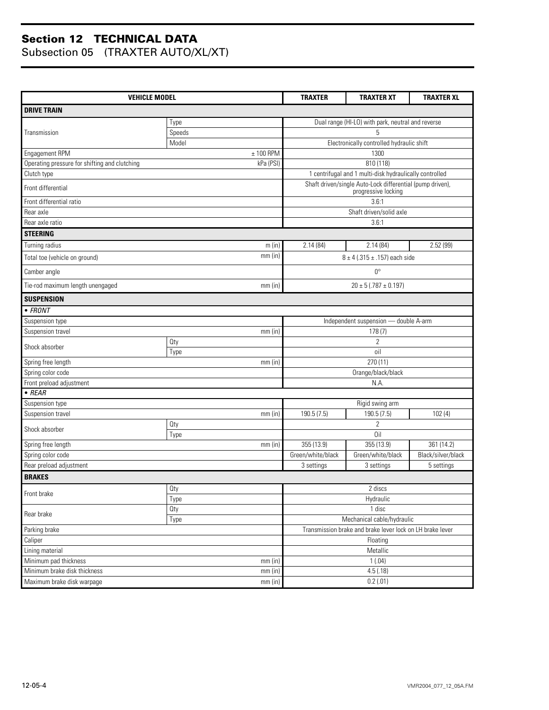| <b>VEHICLE MODEL</b>                          | <b>TRAXTER</b> | <b>TRAXTER XT</b>                                 | <b>TRAXTER XL</b>                                                                |                    |  |
|-----------------------------------------------|----------------|---------------------------------------------------|----------------------------------------------------------------------------------|--------------------|--|
| <b>DRIVE TRAIN</b>                            |                |                                                   |                                                                                  |                    |  |
|                                               | Type           | Dual range (HI-LO) with park, neutral and reverse |                                                                                  |                    |  |
| Transmission                                  | Speeds         |                                                   | 5                                                                                |                    |  |
|                                               | Model          |                                                   | Electronically controlled hydraulic shift                                        |                    |  |
| Engagement RPM                                | $± 100$ RPM    |                                                   | 1300                                                                             |                    |  |
| Operating pressure for shifting and clutching | kPa (PSI)      |                                                   | 810 (118)                                                                        |                    |  |
| Clutch type                                   |                |                                                   | 1 centrifugal and 1 multi-disk hydraulically controlled                          |                    |  |
| Front differential                            |                |                                                   | Shaft driven/single Auto-Lock differential (pump driven),<br>progressive locking |                    |  |
| Front differential ratio                      |                |                                                   | 3.6:1                                                                            |                    |  |
| Rear axle                                     |                |                                                   | Shaft driven/solid axle                                                          |                    |  |
| Rear axle ratio                               |                |                                                   | 3.6:1                                                                            |                    |  |
| <b>STEERING</b>                               |                |                                                   |                                                                                  |                    |  |
| Turning radius                                | m (in)         | 2.14(84)                                          | 2.14(84)                                                                         | 2.52 (99)          |  |
| Total toe (vehicle on ground)                 | $mm$ (in)      |                                                   | $8 \pm 4$ (.315 ± .157) each side                                                |                    |  |
| Camber angle                                  |                |                                                   | $0^{\circ}$                                                                      |                    |  |
| Tie-rod maximum length unengaged              | $mm$ (in)      |                                                   | $20 \pm 5$ (.787 $\pm$ 0.197)                                                    |                    |  |
| <b>SUSPENSION</b>                             |                |                                                   |                                                                                  |                    |  |
| • FRONT                                       |                |                                                   |                                                                                  |                    |  |
| Suspension type                               |                |                                                   | Independent suspension - double A-arm                                            |                    |  |
| Suspension travel                             | $mm$ (in)      | 178(7)                                            |                                                                                  |                    |  |
| Shock absorber                                | Oty            |                                                   | 2                                                                                |                    |  |
|                                               | Type           |                                                   | oil                                                                              |                    |  |
| Spring free length                            | $mm$ (in)      |                                                   | 270 (11)                                                                         |                    |  |
| Spring color code                             |                |                                                   | Orange/black/black                                                               |                    |  |
| Front preload adjustment                      |                |                                                   | N.A.                                                                             |                    |  |
| $\overline{\bullet}$ REAR                     |                |                                                   |                                                                                  |                    |  |
| Suspension type                               |                | Rigid swing arm                                   |                                                                                  |                    |  |
| Suspension travel                             | $mm$ (in)      | 190.5 (7.5)                                       | 190.5 (7.5)                                                                      | 102(4)             |  |
| Shock absorber                                | Oty            |                                                   | $\overline{2}$                                                                   |                    |  |
|                                               | Type           |                                                   | Oil                                                                              |                    |  |
| Spring free length                            | $mm$ (in)      | 355 (13.9)                                        | 355 (13.9)                                                                       | 361 (14.2)         |  |
| Spring color code<br>Rear preload adjustment  |                | Green/white/black                                 | Green/white/black                                                                | Black/silver/black |  |
|                                               |                | 3 settings                                        | 3 settings                                                                       | 5 settings         |  |
| <b>BRAKES</b>                                 |                |                                                   |                                                                                  |                    |  |
| Front brake                                   | Qty            |                                                   | 2 discs                                                                          |                    |  |
|                                               | Type           |                                                   | Hydraulic                                                                        |                    |  |
| Rear brake                                    | Oty<br>Type    | 1 disc<br>Mechanical cable/hydraulic              |                                                                                  |                    |  |
| Parking brake                                 |                |                                                   | Transmission brake and brake lever lock on LH brake lever                        |                    |  |
| Caliper                                       | Floating       |                                                   |                                                                                  |                    |  |
| Lining material                               |                |                                                   | Metallic                                                                         |                    |  |
| Minimum pad thickness                         | $mm$ (in)      |                                                   | 1(.04)                                                                           |                    |  |
| Minimum brake disk thickness                  | $mm$ (in)      |                                                   | 4.5(.18)                                                                         |                    |  |
| Maximum brake disk warpage                    | mm (in)        |                                                   | 0.2(.01)                                                                         |                    |  |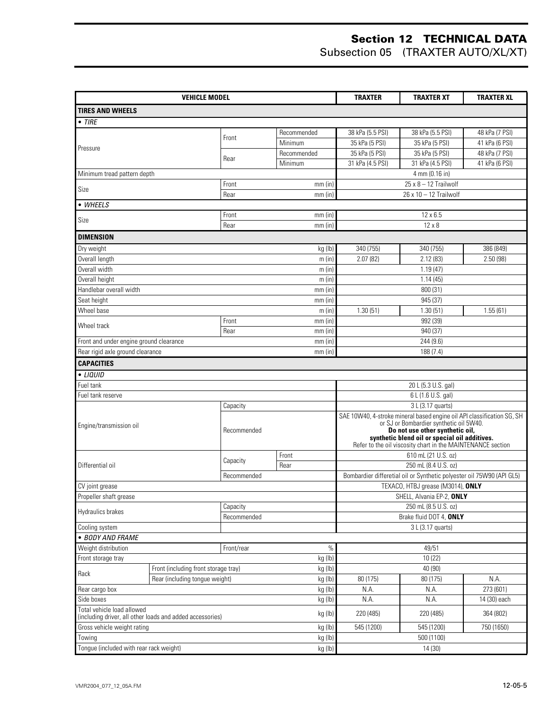| <b>VEHICLE MODEL</b>                                                           |  |             | <b>TRAXTER</b> | <b>TRAXTER XT</b>                                                                                                 | <b>TRAXTER XL</b>                                                     |                |
|--------------------------------------------------------------------------------|--|-------------|----------------|-------------------------------------------------------------------------------------------------------------------|-----------------------------------------------------------------------|----------------|
| <b>TIRES AND WHEELS</b>                                                        |  |             |                |                                                                                                                   |                                                                       |                |
| $\bullet$ TIRE                                                                 |  |             |                |                                                                                                                   |                                                                       |                |
|                                                                                |  |             | Recommended    | 38 kPa (5.5 PSI)                                                                                                  | 38 kPa (5.5 PSI)                                                      | 48 kPa (7 PSI) |
|                                                                                |  | Front       | Minimum        | 35 kPa (5 PSI)                                                                                                    | 35 kPa (5 PSI)                                                        | 41 kPa (6 PSI) |
| Pressure                                                                       |  |             | Recommended    | 35 kPa (5 PSI)                                                                                                    | 35 kPa (5 PSI)                                                        | 48 kPa (7 PSI) |
|                                                                                |  | Rear        | Minimum        | 31 kPa (4.5 PSI)                                                                                                  | 31 kPa (4.5 PSI)                                                      | 41 kPa (6 PSI) |
| Minimum tread pattern depth                                                    |  |             |                |                                                                                                                   | 4 mm (0.16 in)                                                        |                |
| Size                                                                           |  | Front       | $mm$ (in)      |                                                                                                                   | $25 \times 8 - 12$ Trailwolf                                          |                |
|                                                                                |  | Rear        | $mm$ (in)      |                                                                                                                   | 26 x 10 - 12 Trailwolf                                                |                |
| • WHEELS                                                                       |  |             |                |                                                                                                                   |                                                                       |                |
| Size                                                                           |  | Front       | $mm$ (in)      |                                                                                                                   | 12 x 6.5                                                              |                |
|                                                                                |  | Rear        | $mm$ (in)      |                                                                                                                   | $12 \times 8$                                                         |                |
| <b>DIMENSION</b>                                                               |  |             |                |                                                                                                                   |                                                                       |                |
| Dry weight                                                                     |  |             | kg (lb)        | 340 (755)                                                                                                         | 340 (755)                                                             | 386 (849)      |
| Overall length                                                                 |  |             | m(in)          | 2.07(82)                                                                                                          | 2.12(83)                                                              | 2.50(98)       |
| Overall width                                                                  |  |             | m (in)         |                                                                                                                   | 1.19(47)                                                              |                |
| Overall height                                                                 |  |             | m (in)         |                                                                                                                   | 1.14(45)                                                              |                |
| Handlebar overall width                                                        |  |             | $mm$ (in)      |                                                                                                                   | 800 (31)                                                              |                |
| Seat height                                                                    |  |             | $mm$ (in)      |                                                                                                                   | 945 (37)                                                              |                |
| Wheel base                                                                     |  |             | m (in)         | 1.30(51)                                                                                                          | 1.30(51)                                                              | 1.55(61)       |
| Wheel track                                                                    |  | Front       | $mm$ (in)      | 992 (39)                                                                                                          |                                                                       |                |
|                                                                                |  | Rear        | $mm$ (in)      | 940 (37)<br>244 (9.6)                                                                                             |                                                                       |                |
| Front and under engine ground clearance                                        |  |             | $mm$ (in)      |                                                                                                                   |                                                                       |                |
| Rear rigid axle ground clearance                                               |  |             | $mm$ (in)      |                                                                                                                   | 188 (7.4)                                                             |                |
| <b>CAPACITIES</b>                                                              |  |             |                |                                                                                                                   |                                                                       |                |
| • LIQUID                                                                       |  |             |                |                                                                                                                   |                                                                       |                |
| Fuel tank                                                                      |  |             |                | 20 L (5.3 U.S. gal)<br>6 L (1.6 U.S. gal)                                                                         |                                                                       |                |
| Fuel tank reserve                                                              |  |             |                |                                                                                                                   |                                                                       |                |
|                                                                                |  | Capacity    |                | 3 L (3.17 quarts)                                                                                                 |                                                                       |                |
| Engine/transmission oil                                                        |  |             |                | SAE 10W40, 4-stroke mineral based engine oil API classification SG, SH<br>or SJ or Bombardier synthetic oil 5W40. |                                                                       |                |
|                                                                                |  | Recommended |                | Do not use other synthetic oil,                                                                                   |                                                                       |                |
|                                                                                |  |             |                | synthetic blend oil or special oil additives.<br>Refer to the oil viscosity chart in the MAINTENANCE section      |                                                                       |                |
|                                                                                |  |             | Front          |                                                                                                                   | 610 mL (21 U.S. oz)                                                   |                |
| Differential oil                                                               |  | Capacity    | Rear           |                                                                                                                   | 250 mL (8.4 U.S. oz)                                                  |                |
|                                                                                |  | Recommended |                |                                                                                                                   | Bombardier differetial oil or Synthetic polyester oil 75W90 (API GL5) |                |
| CV joint grease                                                                |  |             |                | TEXACO, HTBJ grease (M3014), ONLY                                                                                 |                                                                       |                |
| Propeller shaft grease                                                         |  |             |                |                                                                                                                   | SHELL, Alvania EP-2, ONLY                                             |                |
| Hydraulics brakes                                                              |  | Capacity    |                |                                                                                                                   | 250 mL (8.5 U.S. oz)                                                  |                |
|                                                                                |  | Recommended |                |                                                                                                                   | Brake fluid DOT 4, ONLY                                               |                |
| Cooling system                                                                 |  |             |                |                                                                                                                   | 3 L (3.17 quarts)                                                     |                |
| · BODY AND FRAME                                                               |  |             |                |                                                                                                                   |                                                                       |                |
| Weight distribution<br>Front/rear<br>$\%$                                      |  |             | 49/51          |                                                                                                                   |                                                                       |                |
| kg (lb)<br>Front storage tray<br>kg (lb)                                       |  |             | 10(22)         |                                                                                                                   |                                                                       |                |
| Front (including front storage tray)<br>Rack<br>Rear (including tonque weight) |  | kg (lb)     | 80 (175)       | 40 (90)<br>80 (175)                                                                                               | N.A.                                                                  |                |
| Rear cargo box<br>kg (lb)                                                      |  | N.A.        | N.A.           | 273 (601)                                                                                                         |                                                                       |                |
| Side boxes<br>kg (lb)                                                          |  |             | N.A.           | N.A.                                                                                                              | 14 (30) each                                                          |                |
| Total vehicle load allowed                                                     |  |             |                |                                                                                                                   |                                                                       |                |
| (including driver, all other loads and added accessories)                      |  |             | kg (lb)        | 220 (485)                                                                                                         | 220 (485)                                                             | 364 (802)      |
| Gross vehicle weight rating                                                    |  |             | kg (lb)        | 545 (1200)                                                                                                        | 545 (1200)                                                            | 750 (1650)     |
| Towing                                                                         |  |             | kg (lb)        |                                                                                                                   | 500 (1100)                                                            |                |
| Tongue (included with rear rack weight)                                        |  |             | kg (lb)        | 14 (30)                                                                                                           |                                                                       |                |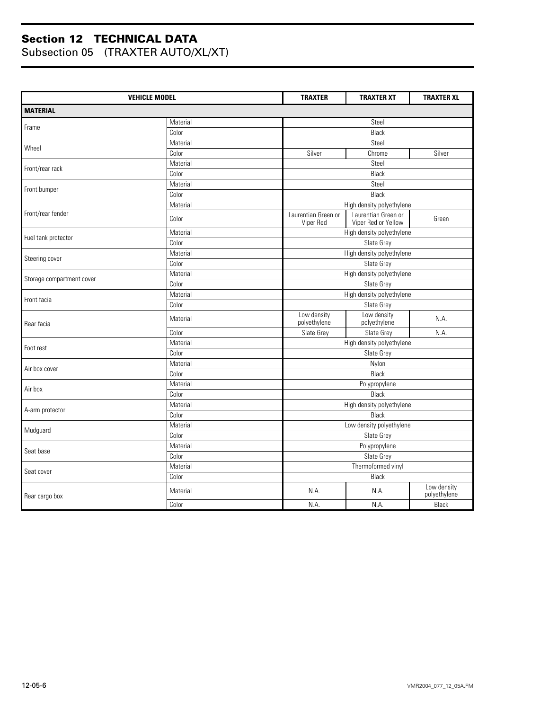| <b>VEHICLE MODEL</b>      |                                       | <b>TRAXTER</b>                   | <b>TRAXTER XT</b>                          | <b>TRAXTER XL</b>           |  |  |  |
|---------------------------|---------------------------------------|----------------------------------|--------------------------------------------|-----------------------------|--|--|--|
| <b>MATERIAL</b>           |                                       |                                  |                                            |                             |  |  |  |
|                           | Material                              |                                  | Steel                                      |                             |  |  |  |
| Frame                     | Color                                 |                                  | Black                                      |                             |  |  |  |
| Wheel                     | Material                              |                                  | Steel                                      |                             |  |  |  |
|                           | Color                                 | Silver                           | Chrome                                     | Silver                      |  |  |  |
|                           | Material                              |                                  | Steel                                      |                             |  |  |  |
| Front/rear rack           | Color                                 |                                  | Black                                      |                             |  |  |  |
|                           | Material                              |                                  | Steel                                      |                             |  |  |  |
| Front bumper              | Color                                 |                                  | Black                                      |                             |  |  |  |
|                           | Material                              |                                  | High density polyethylene                  |                             |  |  |  |
| Front/rear fender         | Color                                 | Laurentian Green or<br>Viper Red | Laurentian Green or<br>Viper Red or Yellow | Green                       |  |  |  |
|                           | Material                              |                                  | High density polyethylene                  |                             |  |  |  |
| Fuel tank protector       | Color                                 |                                  | Slate Grey                                 |                             |  |  |  |
|                           | Material                              |                                  | High density polyethylene                  |                             |  |  |  |
| Steering cover            | Color                                 |                                  | Slate Grey                                 |                             |  |  |  |
|                           | High density polyethylene<br>Material |                                  |                                            |                             |  |  |  |
| Storage compartment cover | Color                                 |                                  | Slate Grey                                 |                             |  |  |  |
|                           | Material                              |                                  | High density polyethylene                  |                             |  |  |  |
| Front facia               | Color                                 |                                  | Slate Grey                                 |                             |  |  |  |
| Rear facia                | Material                              | Low density<br>polyethylene      | Low density<br>polyethylene                | N.A.                        |  |  |  |
|                           | Color                                 | Slate Grey                       | Slate Grey                                 | N.A.                        |  |  |  |
| Foot rest                 | Material                              |                                  | High density polyethylene                  |                             |  |  |  |
|                           | Color                                 |                                  | Slate Grey                                 |                             |  |  |  |
| Air box cover             | Material                              |                                  | Nylon                                      |                             |  |  |  |
|                           | Color                                 |                                  | Black                                      |                             |  |  |  |
| Air box                   | Material                              |                                  | Polypropylene                              |                             |  |  |  |
|                           | Color                                 |                                  | Black                                      |                             |  |  |  |
|                           | Material                              |                                  | High density polyethylene                  |                             |  |  |  |
| A-arm protector           | Color                                 |                                  | Black                                      |                             |  |  |  |
| Mudguard                  | Material                              |                                  | Low density polyethylene                   |                             |  |  |  |
|                           | Color                                 |                                  | Slate Grey                                 |                             |  |  |  |
| Seat base                 | Material                              |                                  | Polypropylene                              |                             |  |  |  |
|                           | Color                                 |                                  | Slate Grey                                 |                             |  |  |  |
| Seat cover                | Material                              |                                  | Thermoformed vinyl                         |                             |  |  |  |
|                           | Color                                 |                                  | <b>Black</b>                               |                             |  |  |  |
| Rear cargo box            | Material                              | N.A.                             | N.A.                                       | Low density<br>polyethylene |  |  |  |
|                           | Color                                 | N.A.                             | N.A.                                       | Black                       |  |  |  |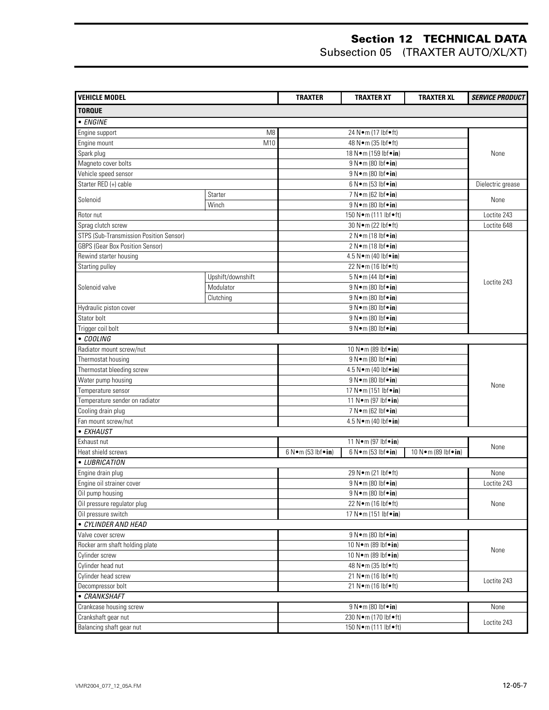| <b>VEHICLE MODEL</b>                    |                        | <b>TRAXTER</b>                                                                                   | <b>TRAXTER XT</b>               | <b>TRAXTER XL</b>      | <b>SERVICE PRODUCT</b> |
|-----------------------------------------|------------------------|--------------------------------------------------------------------------------------------------|---------------------------------|------------------------|------------------------|
| <b>TORQUE</b>                           |                        |                                                                                                  |                                 |                        |                        |
| • ENGINE                                |                        |                                                                                                  |                                 |                        |                        |
| Engine support                          | 24 N · m (17 lbf · ft) |                                                                                                  |                                 |                        |                        |
| Engine mount                            | M <sub>8</sub><br>M10  |                                                                                                  | 48 N • m (35 lbf • ft)          |                        |                        |
| Spark plug                              |                        |                                                                                                  | 18 N · m (159 lbf · in)         |                        | None                   |
| Magneto cover bolts                     |                        |                                                                                                  | 9 N · m (80 lbf · in)           |                        |                        |
| Vehicle speed sensor                    |                        |                                                                                                  | 9 N · m (80 lbf · in)           |                        |                        |
| Starter RED (+) cable                   |                        |                                                                                                  | 6 N • m (53 lbf • in)           |                        | Dielectric grease      |
|                                         | Starter                |                                                                                                  | 7 N•m (62 lbf•in)               |                        |                        |
| Solenoid<br>Winch                       |                        |                                                                                                  | 9 N•m (80 lbf•in)               |                        | None                   |
| Rotor nut                               |                        |                                                                                                  | 150 N · m (111 lbf · ft)        |                        | Loctite 243            |
| Sprag clutch screw                      |                        |                                                                                                  | 30 N · m (22 lbf · ft)          |                        | Loctite 648            |
| STPS (Sub-Transmission Position Sensor) |                        |                                                                                                  | 2 N•m (18 lbf•in)               |                        |                        |
| <b>GBPS (Gear Box Position Sensor)</b>  |                        |                                                                                                  | 2 N•m (18 lbf•in)               |                        |                        |
| Rewind starter housing                  |                        |                                                                                                  | 4.5 N•m (40 lbf•in)             |                        |                        |
| Starting pulley                         |                        |                                                                                                  | 22 N • m (16 lbf • ft)          |                        |                        |
|                                         | Upshift/downshift      |                                                                                                  | 5 N•m (44 lbf•in)               |                        |                        |
| Solenoid valve                          | Modulator              |                                                                                                  | 9 N • m (80 lbf • in)           |                        | Loctite 243            |
|                                         | Clutching              |                                                                                                  | 9 N•m (80 lbf•in)               |                        |                        |
|                                         |                        |                                                                                                  |                                 |                        |                        |
| Hydraulic piston cover                  |                        |                                                                                                  | 9 N · m (80 lbf · in)           |                        |                        |
| Stator bolt                             |                        | 9 N · m (80 lbf · in)                                                                            |                                 |                        |                        |
| Trigger coil bolt<br>$\bullet$ COOLING  |                        |                                                                                                  | 9 N•m (80 lbf•in)               |                        |                        |
|                                         |                        |                                                                                                  |                                 |                        |                        |
| Radiator mount screw/nut                |                        | 10 N · m (89 lbf · in)                                                                           |                                 |                        |                        |
| Thermostat housing                      |                        | 9 N · m (80 lbf · in)<br>4.5 N•m (40 lbf•in)<br>9 N • m (80 lbf • in)<br>17 N • m (151 lbf • in) |                                 |                        | None                   |
| Thermostat bleeding screw               |                        |                                                                                                  |                                 |                        |                        |
| Water pump housing                      |                        |                                                                                                  |                                 |                        |                        |
| Temperature sensor                      |                        |                                                                                                  |                                 |                        |                        |
| Temperature sender on radiator          |                        | 11 N•m (97 lbf•in)                                                                               |                                 |                        |                        |
| Cooling drain plug                      |                        | 7 N • m (62 lbf • in)                                                                            |                                 |                        |                        |
| Fan mount screw/nut                     |                        |                                                                                                  | 4.5 N•m (40 lbf•in)             |                        |                        |
| • EXHAUST                               |                        |                                                                                                  |                                 |                        |                        |
| Exhaust nut                             |                        |                                                                                                  | 11 N•m (97 lbf•in)              |                        | None                   |
| Heat shield screws                      |                        | 6 N • m (53 lbf • in)                                                                            | 6 N•m (53 lbf•in)               | 10 N · m (89 lbf · in) |                        |
| • LUBRICATION                           |                        |                                                                                                  |                                 |                        |                        |
| Engine drain plug                       |                        |                                                                                                  | 29 N • m (21 lbf • ft)          |                        | None                   |
| Engine oil strainer cover               |                        |                                                                                                  | 9 N • m (80 lbf • in)           |                        | Loctite 243            |
| Oil pump housing                        |                        | $9 N m (80 lbf in)$                                                                              |                                 |                        |                        |
| Oil pressure regulator plug             |                        | 22 N•m (16 lbf•ft)                                                                               |                                 |                        | None                   |
| Oil pressure switch                     |                        |                                                                                                  | 17 N • m (151 lbf • in)         |                        |                        |
| • CYLINDER AND HEAD                     |                        |                                                                                                  |                                 |                        |                        |
| Valve cover screw                       |                        |                                                                                                  | $9 N \cdot m (80 lbf \cdot in)$ |                        |                        |
| Rocker arm shaft holding plate          |                        |                                                                                                  | 10 N • m (89 lbf • in)          |                        | None                   |
| Cylinder screw                          |                        | 10 N · m (89 lbf · in)                                                                           |                                 |                        |                        |
| Cylinder head nut                       |                        |                                                                                                  | 48 N • m (35 lbf • ft)          |                        |                        |
| Cylinder head screw                     |                        | 21 Nom (16 lbfoft)                                                                               |                                 |                        | Loctite 243            |
| Decompressor bolt                       |                        |                                                                                                  | 21 N•m (16 lbf•ft)              |                        |                        |
| • CRANKSHAFT                            |                        |                                                                                                  |                                 |                        |                        |
| Crankcase housing screw                 |                        |                                                                                                  | 9 N•m (80 lbf•in)               |                        | None                   |
| Crankshaft gear nut                     |                        |                                                                                                  | 230 N·m (170 lbf•ft)            |                        | Loctite 243            |
| Balancing shaft gear nut                |                        |                                                                                                  | 150 N•m (111 lbf•ft)            |                        |                        |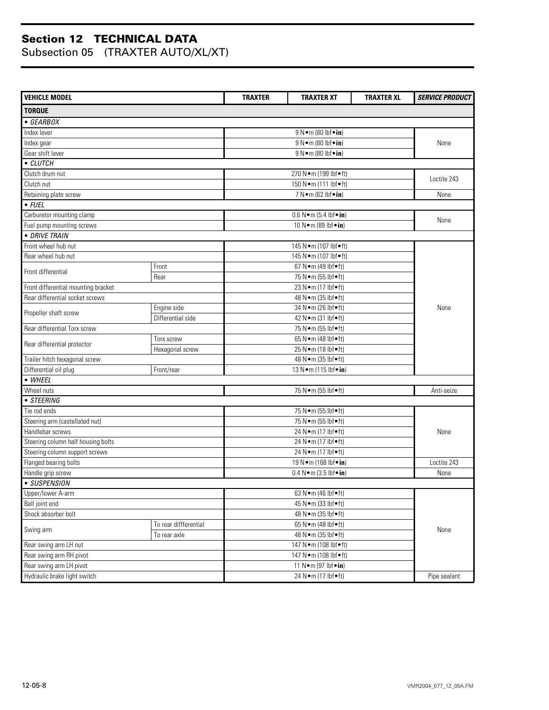| <b>VEHICLE MODEL</b>                                                                             |                               | <b>TRAXTER</b>          | <b>TRAXTER XT</b>                        | <b>TRAXTER XL</b> | <b>SERVICE PRODUCT</b> |  |
|--------------------------------------------------------------------------------------------------|-------------------------------|-------------------------|------------------------------------------|-------------------|------------------------|--|
| <b>TORQUE</b>                                                                                    |                               |                         |                                          |                   |                        |  |
| • GEARBOX                                                                                        |                               |                         |                                          |                   |                        |  |
| Index lever                                                                                      |                               |                         | 9 N • m (80 lbf • in)                    |                   |                        |  |
| Index gear                                                                                       |                               |                         | 9 N • m (80 lbf • in)                    |                   | None                   |  |
| Gear shift lever                                                                                 |                               |                         | 9 N • m (80 lbf • in)                    |                   |                        |  |
| • CLUTCH                                                                                         |                               |                         |                                          |                   |                        |  |
| Clutch drum nut                                                                                  |                               |                         | 270 N·m (199 lbf•ft)                     |                   |                        |  |
| Clutch nut                                                                                       |                               |                         | 150 N · m (111 lbf • ft)                 |                   | Loctite 243            |  |
| Retaining plate screw                                                                            |                               |                         | $\overline{7 N}$ m (62 lbf $\bullet$ in) |                   | None                   |  |
| $\overline{\bullet}$ FUEL                                                                        |                               |                         |                                          |                   |                        |  |
| Carburetor mounting clamp                                                                        |                               |                         | $0.6 N \cdot m (5.4 lbf \cdot in)$       |                   |                        |  |
| Fuel pump mounting screws                                                                        |                               |                         | 10 N • m (89 lbf • in)                   |                   | None                   |  |
| • DRIVE TRAIN                                                                                    |                               |                         |                                          |                   |                        |  |
| Front wheel hub nut                                                                              |                               |                         | 145 N · m (107 lbf · ft)                 |                   |                        |  |
| Rear wheel hub nut                                                                               |                               |                         | 145 N·m (107 lbf•ft)                     |                   |                        |  |
| Front differential                                                                               | Front                         |                         | 67 N•m (49 lbf•ft)                       |                   |                        |  |
|                                                                                                  | Rear                          |                         | 75 N•m (55 lbf•ft)                       |                   |                        |  |
| Front differential mounting bracket                                                              |                               |                         | 23 N•m (17 lbf•ft)                       |                   |                        |  |
| Rear differential socket screws                                                                  |                               |                         | 48 N • m (35 lbf • ft)                   |                   |                        |  |
|                                                                                                  | Engine side                   | 34 N · m (26 lbf · ft)  |                                          |                   | None                   |  |
| Propeller shaft screw                                                                            | Differential side             | 42 N • m (31 lbf • ft)  |                                          |                   |                        |  |
| Rear differential Torx screw                                                                     |                               | 75 N•m (55 lbf•ft)      |                                          |                   |                        |  |
| Rear differential protector                                                                      | Torx screw                    |                         | 65 N•m (48 lbf•ft)                       |                   |                        |  |
|                                                                                                  | Hexagonal screw               | 25 N•m (18 lbf•ft)      |                                          |                   |                        |  |
|                                                                                                  | Trailer hitch hexagonal screw |                         | 48 N • m (35 lbf • ft)                   |                   |                        |  |
| Differential oil plug                                                                            | Front/rear                    |                         | 13 N · m (115 lbf · in)                  |                   |                        |  |
| • WHEEL                                                                                          |                               |                         |                                          |                   |                        |  |
| Wheel nuts                                                                                       |                               |                         | 75 N•m (55 lbf•ft)                       |                   | Anti-seize             |  |
| • STEERING                                                                                       |                               |                         |                                          |                   |                        |  |
| Tie rod ends                                                                                     |                               | 75 N•m (55 lbf•ft)      |                                          |                   |                        |  |
| Steering arm (castellated nut)                                                                   |                               | 75 N•m (55 lbf•ft)      |                                          |                   |                        |  |
| Handlebar screws                                                                                 |                               |                         | 24 N•m (17 lbf•ft)                       |                   | None                   |  |
| Steering column half housing bolts                                                               |                               |                         | 24 N•m (17 lbf•ft)                       |                   |                        |  |
| Steering column support screws                                                                   |                               | 24 N · m (17 lbf · ft)  |                                          |                   |                        |  |
| Flanged bearing bolts                                                                            |                               | 19 N • m (168 lbf • in) |                                          |                   | Loctite 243            |  |
| Handle grip screw                                                                                |                               |                         | $0.4 N \cdot m$ (3.5 lbf $\cdot$ in)     |                   | None                   |  |
| • SUSPENSION                                                                                     |                               |                         |                                          |                   |                        |  |
| Upper/lower A-arm<br>Ball joint end<br>Shock absorber bolt<br>To rear diffferential<br>Swing arm |                               |                         | 63 N•m (46 lbf•ft)                       |                   |                        |  |
|                                                                                                  |                               |                         | 45 N • m (33 lbf • ft)                   |                   |                        |  |
|                                                                                                  |                               |                         | 48 N • m (35 lbf • ft)                   |                   |                        |  |
|                                                                                                  |                               | 65 N•m (48 lbf•ft)      |                                          |                   | None                   |  |
| To rear axle                                                                                     |                               | 48 N • m (35 lbf • ft)  |                                          |                   |                        |  |
| Rear swing arm LH nut                                                                            |                               | 147 N·m (108 lbf•ft)    |                                          |                   |                        |  |
| Rear swing arm RH pivot                                                                          |                               | 147 N·m (108 lbf•ft)    |                                          |                   |                        |  |
| Rear swing arm LH pivot                                                                          |                               | 11 N • m (97 lbf • in)  |                                          |                   |                        |  |
| Hydraulic brake light switch                                                                     |                               |                         | 24 N•m (17 lbf•ft)                       |                   | Pipe sealant           |  |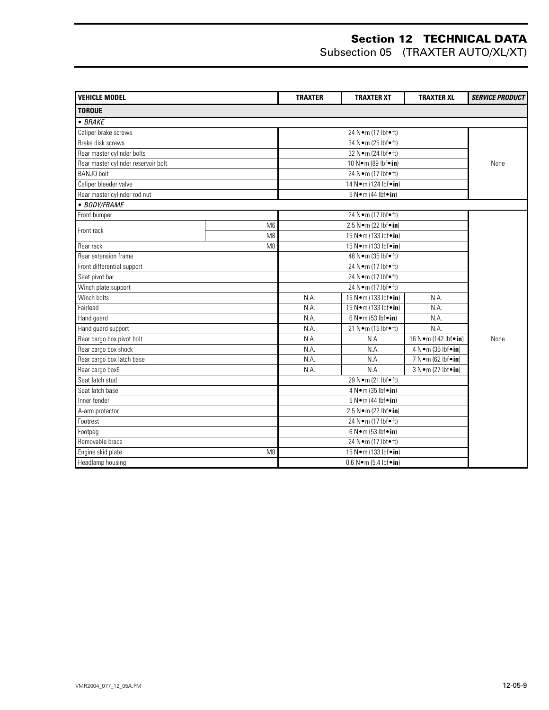| <b>VEHICLE MODEL</b>                |                | <b>TRAXTER</b>                          | <b>TRAXTER XT</b>                            | <b>TRAXTER XL</b>     | <b>SERVICE PRODUCT</b> |
|-------------------------------------|----------------|-----------------------------------------|----------------------------------------------|-----------------------|------------------------|
| <b>TORQUE</b>                       |                |                                         |                                              |                       |                        |
| $\bullet$ BRAKE                     |                |                                         |                                              |                       |                        |
| Caliper brake screws                |                |                                         | 24 N•m (17 lbf•ft)                           |                       |                        |
| Brake disk screws                   |                |                                         | 34 N · m (25 lbf · ft)                       |                       |                        |
| Rear master cylinder bolts          |                |                                         | 32 Nom (24 lbfoft)                           |                       |                        |
| Rear master cylinder reservoir bolt |                |                                         | 10 N · m (89 lbf · in)                       |                       | None                   |
| <b>BANJO</b> bolt                   |                |                                         | 24 N•m (17 lbf•ft)                           |                       |                        |
| Caliper bleeder valve               |                |                                         | 14 N • m (124 lbf • in)                      |                       |                        |
| Rear master cylinder rod nut        |                |                                         | 5 N•m (44 lbf•in)                            |                       |                        |
| • BODY/FRAME                        |                |                                         |                                              |                       |                        |
| Front bumper                        |                |                                         | 24 N·m (17 lbf•ft)                           |                       |                        |
| Front rack                          | M <sub>6</sub> |                                         | 2.5 N•m (22 lbf•in)                          |                       |                        |
|                                     | M <sub>8</sub> |                                         | 15 N • m (133 lbf • in)                      |                       |                        |
| Rear rack                           | M <sub>8</sub> |                                         | 15 N · m (133 lbf · in)                      |                       |                        |
| Rear extension frame                |                | 48 N • m (35 lbf • ft)                  |                                              |                       |                        |
| Front differential support          |                | 24 Nom (17 lbfoft)                      |                                              |                       |                        |
| Seat pivot bar                      |                | 24 N•m (17 lbf•ft)                      |                                              |                       |                        |
| Winch plate support                 |                |                                         | 24 N•m (17 lbf•ft)                           |                       |                        |
| Winch bolts                         |                | N.A.<br>15 N • m (133 lbf • in)<br>N.A. |                                              |                       |                        |
| Fairlead                            |                | N.A.                                    | 15 N • m (133 lbf • in)                      | N.A.                  |                        |
| Hand guard                          |                | N.A.                                    | $\overline{6 N \cdot m}$ (53 lbf $\cdot$ in) | N.A.                  |                        |
| Hand guard support                  |                | N.A.                                    | 21 N · m (15 lbf • ft)                       | N.A.                  |                        |
| Rear cargo box pivot bolt           |                | N.A.                                    | N.A.                                         | 16 N•m (142 lbf•in)   | None                   |
| Rear cargo box shock                |                | N.A.                                    | N.A.                                         | 4 N • m (35 lbf • in) |                        |
| Rear cargo box latch base           |                | N.A.                                    | N.A.                                         | 7 N • m (62 lbf • in) |                        |
| Rear cargo box6                     |                | N.A.                                    | N.A.                                         | 3 N•m (27 lbf•in)     |                        |
| Seat latch stud                     |                |                                         | 29 N • m (21 lbf • ft)                       |                       |                        |
| Seat latch base                     |                |                                         | 4 N • m (35 lbf • in)                        |                       |                        |
| Inner fender                        |                | 5 N•m (44 lbf•in)                       |                                              |                       |                        |
| A-arm protector                     |                |                                         | 2.5 N•m (22 lbf•in)                          |                       |                        |
| Footrest                            |                |                                         | 24 N•m (17 lbf•ft)                           |                       |                        |
| Footpeg                             |                | 6 N•m (53 lbf•in)                       |                                              |                       |                        |
| Removable brace                     |                | 24 N•m (17 lbf•ft)                      |                                              |                       |                        |
| Engine skid plate                   | M <sub>8</sub> | 15 N • m (133 lbf • in)                 |                                              |                       |                        |
| Headlamp housing                    |                |                                         | $0.6 N \cdot m (5.4 lbf \cdot in)$           |                       |                        |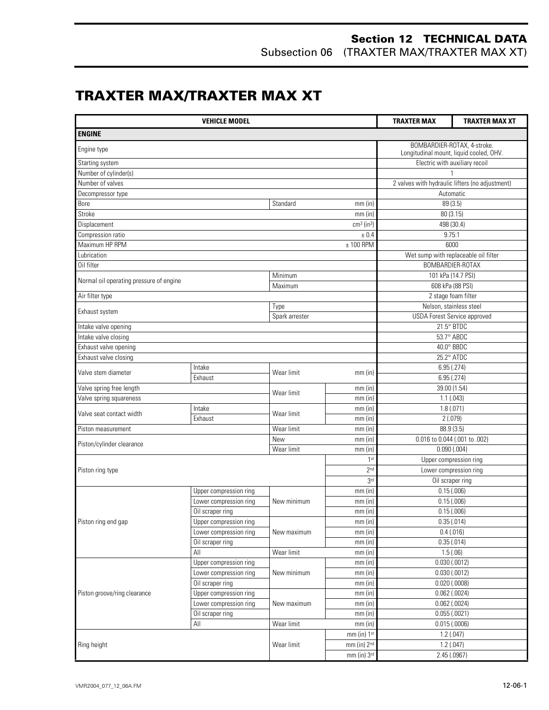Subsection 06 (TRAXTER MAX/TRAXTER MAX XT)

## **TRAXTER MAX/TRAXTER MAX XT**

|                                         | <b>TRAXTER MAX</b>     | TRAXTER MAX XT                                                         |                          |                                                 |                               |  |
|-----------------------------------------|------------------------|------------------------------------------------------------------------|--------------------------|-------------------------------------------------|-------------------------------|--|
| <b>ENGINE</b>                           |                        |                                                                        |                          |                                                 |                               |  |
| Engine type                             |                        | BOMBARDIER-ROTAX, 4-stroke.<br>Longitudinal mount, liquid cooled, OHV. |                          |                                                 |                               |  |
| Starting system                         |                        |                                                                        |                          | Electric with auxiliary recoil                  |                               |  |
| Number of cylinder(s)                   |                        |                                                                        |                          |                                                 |                               |  |
| Number of valves                        |                        |                                                                        |                          | 2 valves with hydraulic lifters (no adjustment) |                               |  |
| Decompressor type                       |                        |                                                                        |                          | Automatic                                       |                               |  |
| Bore                                    |                        | Standard                                                               | mm (in)                  | 89 (3.5)                                        |                               |  |
| Stroke                                  |                        |                                                                        | $mm$ (in)                | 80 (3.15)                                       |                               |  |
| Displacement                            |                        |                                                                        | $cm3$ (in <sup>3</sup> ) | 498 (30.4)                                      |                               |  |
| Compression ratio                       |                        |                                                                        |                          | 9.75:1                                          |                               |  |
| Maximum HP RPM                          |                        |                                                                        | ± 0.4<br>$± 100$ RPM     | 6000                                            |                               |  |
| Lubrication                             |                        |                                                                        |                          |                                                 |                               |  |
|                                         |                        |                                                                        |                          | Wet sump with replaceable oil filter            |                               |  |
| Oil filter                              |                        |                                                                        |                          | BOMBARDIER-ROTAX                                |                               |  |
| Normal oil operating pressure of engine |                        | Minimum                                                                |                          | 101 kPa (14.7 PSI)                              |                               |  |
|                                         |                        | Maximum                                                                |                          | 608 kPa (88 PSI)                                |                               |  |
| Air filter type                         |                        |                                                                        |                          |                                                 | 2 stage foam filter           |  |
| Exhaust system                          |                        | Type                                                                   |                          | Nelson, stainless steel                         |                               |  |
|                                         |                        | Spark arrester                                                         |                          | <b>USDA Forest Service approved</b>             |                               |  |
| Intake valve opening                    |                        |                                                                        |                          | 21.5° BTDC                                      |                               |  |
| Intake valve closing                    |                        |                                                                        |                          | 53.7° ABDC                                      |                               |  |
| Exhaust valve opening                   |                        |                                                                        |                          | 40.0° BBDC                                      |                               |  |
| Exhaust valve closing                   |                        |                                                                        |                          | 25.2° ATDC                                      |                               |  |
| Valve stem diameter                     | Intake                 | Wear limit                                                             | $mm$ (in)                | 6.95(.274)                                      |                               |  |
|                                         | Exhaust                |                                                                        |                          | 6.95(.274)                                      |                               |  |
| Valve spring free length                |                        | Wear limit                                                             | $mm$ (in)                | 39.00 (1.54)                                    |                               |  |
| Valve spring squareness                 |                        |                                                                        | mm(in)                   | 1.1(.043)                                       |                               |  |
| Valve seat contact width                | Intake                 | Wear limit                                                             | $mm$ (in)                | 1.8(0.071)                                      |                               |  |
|                                         | Exhaust                |                                                                        | $mm$ (in)                | 2(.079)                                         |                               |  |
| Piston measurement                      |                        | Wear limit                                                             | $mm$ (in)                | 88.9 (3.5)                                      |                               |  |
| Piston/cylinder clearance               |                        | New                                                                    | $mm$ (in)                |                                                 | 0.016 to 0.044 (.001 to .002) |  |
|                                         |                        | Wear limit                                                             | $mm$ (in)                | 0.090(.004)                                     |                               |  |
|                                         |                        |                                                                        | 1 <sup>st</sup>          | Upper compression ring                          |                               |  |
| Piston ring type                        |                        |                                                                        | 2 <sub>nd</sub>          | Lower compression ring                          |                               |  |
|                                         |                        |                                                                        | 3 <sub>rd</sub>          | Oil scraper ring                                |                               |  |
|                                         | Upper compression ring |                                                                        | $mm$ (in)                | 0.15(.006)                                      |                               |  |
|                                         | Lower compression ring | New minimum                                                            | $mm$ (in)                | 0.15(.006)                                      |                               |  |
|                                         | Oil scraper ring       |                                                                        | $mm$ (in)                | 0.15(.006)                                      |                               |  |
| Piston ring end gap                     | Upper compression ring |                                                                        | $mm$ (in)                | 0.35(.014)                                      |                               |  |
|                                         | Lower compression ring | New maximum                                                            | mm (in)                  | 0.4(0.016)                                      |                               |  |
|                                         | Oil scraper ring       |                                                                        | $mm$ (in)                | 0.35(.014)                                      |                               |  |
|                                         | All                    | Wear limit                                                             | $mm$ (in)                | 1.5(.06)                                        |                               |  |
|                                         | Upper compression ring |                                                                        | $mm$ (in)                | $0.030$ $(.0012)$                               |                               |  |
|                                         | Lower compression ring | New minimum                                                            | $mm$ (in)                | $0.030$ (.0012)                                 |                               |  |
|                                         | Oil scraper ring       |                                                                        | $mm$ (in)                | $0.020$ (.0008)                                 |                               |  |
| Piston groove/ring clearance            | Upper compression ring |                                                                        | $mm$ (in)                | $0.062$ (.0024)                                 |                               |  |
|                                         | Lower compression ring | New maximum                                                            | $mm$ (in)                | $0.062$ (.0024)                                 |                               |  |
|                                         | Oil scraper ring       |                                                                        | $mm$ (in)                | $0.055$ $(.0021)$                               |                               |  |
|                                         | All                    | Wear limit                                                             | $mm$ (in)                | 0.015(.0006)                                    |                               |  |
|                                         |                        |                                                                        | mm (in) 1st              |                                                 | 1.2(.047)                     |  |
| Ring height                             |                        | Wear limit                                                             | mm (in) 2nd              | 1.2(.047)                                       |                               |  |
|                                         |                        |                                                                        | mm (in) 3rd              | 2.45 (.0967)                                    |                               |  |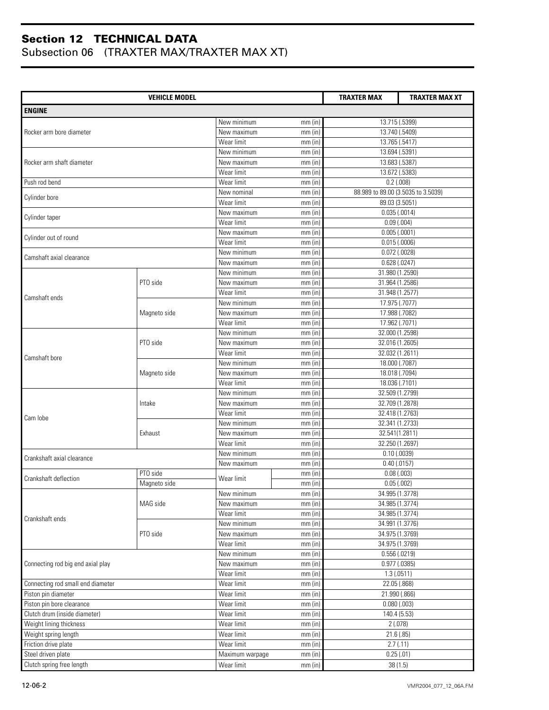|                                   | <b>TRAXTER MAX</b> | <b>TRAXTER MAX XT</b>             |           |                                    |  |
|-----------------------------------|--------------------|-----------------------------------|-----------|------------------------------------|--|
| <b>ENGINE</b>                     |                    |                                   |           |                                    |  |
|                                   |                    | New minimum                       | $mm$ (in) | 13.715 (.5399)                     |  |
| Rocker arm bore diameter          |                    | New maximum                       | $mm$ (in) | 13.740 (.5409)                     |  |
|                                   |                    | Wear limit                        | $mm$ (in) | 13.765 (.5417)                     |  |
|                                   |                    | New minimum                       | $mm$ (in) | 13.694 (.5391)                     |  |
| Rocker arm shaft diameter         |                    | New maximum                       | $mm$ (in) | 13.683 (.5387)                     |  |
|                                   |                    | Wear limit                        | $mm$ (in) | 13.672 (.5383)                     |  |
| Push rod bend                     |                    | Wear limit                        | $mm$ (in) | $0.2$ (.008)                       |  |
|                                   |                    | New nominal                       | $mm$ (in) | 88.989 to 89.00 (3.5035 to 3.5039) |  |
| Cylinder bore                     |                    | Wear limit                        | $mm$ (in) | 89.03 (3.5051)                     |  |
|                                   |                    | New maximum                       | mm(in)    | 0.035(.0014)                       |  |
| Cylinder taper                    |                    | Wear limit                        | $mm$ (in) | 0.09(0.004)                        |  |
|                                   |                    | New maximum                       | $mm$ (in) | 0.005(0.0001)                      |  |
| Cylinder out of round             |                    | Wear limit                        | mm (in)   | 0.015(.0006)                       |  |
|                                   |                    | New minimum                       | $mm$ (in) | $0.072$ (.0028)                    |  |
| Camshaft axial clearance          |                    | New maximum                       | $mm$ (in) | 0.628(.0247)                       |  |
|                                   |                    | New minimum                       | $mm$ (in) | 31.980 (1.2590)                    |  |
|                                   | PTO side           | New maximum                       | $mm$ (in) | 31.964 (1.2586)                    |  |
|                                   |                    | Wear limit                        | $mm$ (in) | 31.948 (1.2577)                    |  |
| Camshaft ends                     |                    | New minimum                       |           | 17.975 (.7077)                     |  |
|                                   |                    |                                   | $mm$ (in) | 17.988 (.7082)                     |  |
|                                   | Magneto side       | New maximum                       | $mm$ (in) |                                    |  |
|                                   |                    | Wear limit                        | $mm$ (in) | 17.962 (.7071)                     |  |
| Camshaft bore                     |                    | $\overline{\mathsf{New}}$ minimum | $mm$ (in) | 32.000 (1.2598)                    |  |
|                                   | PTO side           | New maximum                       | $mm$ (in) | 32.016 (1.2605)                    |  |
|                                   |                    | Wear limit                        | $mm$ (in) | 32.032 (1.2611)                    |  |
|                                   |                    | New minimum                       | $mm$ (in) | 18.000 (.7087)                     |  |
|                                   | Magneto side       | New maximum                       | $mm$ (in) | 18.018 (.7094)                     |  |
|                                   |                    | Wear limit                        | $mm$ (in) | 18.036 (.7101)                     |  |
|                                   |                    | New minimum                       | $mm$ (in) | 32.509 (1.2799)                    |  |
|                                   | Intake             | New maximum                       | $mm$ (in) | 32.709 (1.2878)                    |  |
| Cam lobe                          |                    | Wear limit                        | $mm$ (in) | 32.418 (1.2763)                    |  |
|                                   |                    | New minimum                       | $mm$ (in) | 32.341 (1.2733)                    |  |
|                                   | Exhaust            | New maximum                       | $mm$ (in) | 32.541(1.2811)                     |  |
|                                   |                    | Wear limit                        | $mm$ (in) | 32.250 (1.2697)                    |  |
| Crankshaft axial clearance        |                    | New minimum                       | $mm$ (in) | $0.10$ (.0039)                     |  |
|                                   |                    | New maximum                       | $mm$ (in) | $0.40$ (.0157)                     |  |
| Crankshaft deflection             | PTO side           | Wear limit                        | $mm$ (in) | 0.08(0.003)                        |  |
|                                   | Magneto side       |                                   | mm(in)    | 0.05(0.002)                        |  |
|                                   |                    | New minimum                       | mm (in)   | 34.995 (1.3778)                    |  |
|                                   | MAG side           | New maximum                       | $mm$ (in) | 34.985 (1.3774)                    |  |
| Crankshaft ends                   |                    | Wear limit                        | mm (in)   | 34.985 (1.3774)                    |  |
|                                   |                    | New minimum                       | $mm$ (in) | 34.991 (1.3776)                    |  |
|                                   | PTO side           | New maximum                       | $mm$ (in) | 34.975 (1.3769)                    |  |
|                                   |                    | Wear limit                        | mm(in)    | 34.975 (1.3769)                    |  |
|                                   |                    | New minimum                       | mm(in)    | $0.556$ $(.0219)$                  |  |
| Connecting rod big end axial play |                    | New maximum                       | $mm$ (in) | $0.977$ (.0385)                    |  |
|                                   |                    | Wear limit                        | mm (in)   | 1.3(0.0511)                        |  |
| Connecting rod small end diameter |                    | Wear limit                        | $mm$ (in) | 22.05 (.868)                       |  |
| Piston pin diameter               |                    | Wear limit                        | mm(in)    | 21.990 (.866)                      |  |
| Piston pin bore clearance         |                    | Wear limit                        | $mm$ (in) | $0.080$ $(.003)$                   |  |
| Clutch drum (inside diameter)     |                    | Wear limit                        | $mm$ (in) | 140.4 (5.53)                       |  |
| Weight lining thickness           |                    | Wear limit                        | $mm$ (in) | 2(.078)                            |  |
| Weight spring length              |                    | Wear limit                        | mm(in)    | 21.6(.85)                          |  |
| Friction drive plate              |                    | Wear limit                        | $mm$ (in) | 2.7(0.11)                          |  |
| Steel driven plate                |                    | Maximum warpage                   | $mm$ (in) | 0.25(.01)                          |  |
| Clutch spring free length         |                    | Wear limit                        | $mm$ (in) | 38(1.5)                            |  |
|                                   |                    |                                   |           |                                    |  |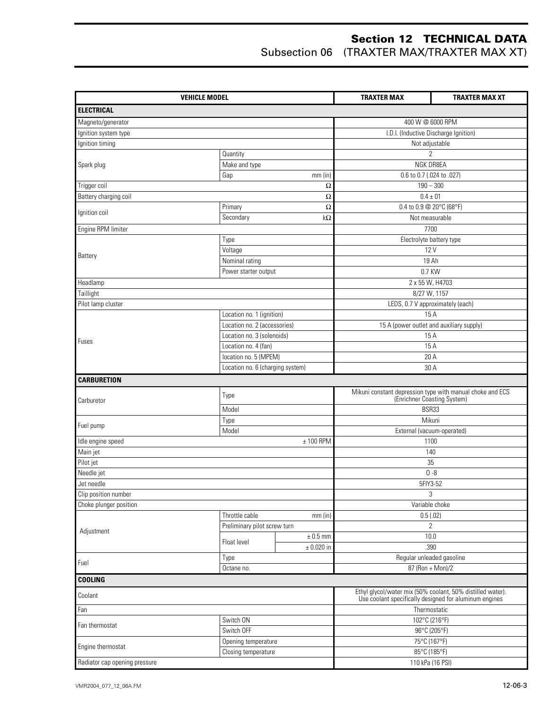| <b>VEHICLE MODEL</b>          |                                                           |                | <b>TRAXTER MAX</b>                              | <b>TRAXTER MAX XT</b>                                                                                                |  |
|-------------------------------|-----------------------------------------------------------|----------------|-------------------------------------------------|----------------------------------------------------------------------------------------------------------------------|--|
| <b>ELECTRICAL</b>             |                                                           |                |                                                 |                                                                                                                      |  |
| Magneto/generator             |                                                           |                |                                                 | 400 W @ 6000 RPM                                                                                                     |  |
| Ignition system type          |                                                           |                | I.D.I. (Inductive Discharge Ignition)           |                                                                                                                      |  |
| Ignition timing               |                                                           |                |                                                 | Not adjustable                                                                                                       |  |
|                               | Quantity                                                  |                |                                                 | $\overline{2}$                                                                                                       |  |
| Spark plug                    | Make and type                                             |                | NGK DR8EA                                       |                                                                                                                      |  |
|                               | Gap                                                       | $mm$ (in)      |                                                 | 0.6 to 0.7 (.024 to .027)                                                                                            |  |
| Trigger coil                  |                                                           | $\Omega$       |                                                 | $190 - 300$                                                                                                          |  |
| Battery charging coil         |                                                           | Ω              |                                                 | $0.4 \pm 01$                                                                                                         |  |
| Ignition coil                 | Primary<br>$\Omega$                                       |                |                                                 | 0.4 to 0.9 @ 20°C (68°F)                                                                                             |  |
|                               | Secondary                                                 | $k\Omega$      |                                                 | Not measurable                                                                                                       |  |
| Engine RPM limiter            |                                                           |                |                                                 | 7700                                                                                                                 |  |
|                               | Type                                                      |                |                                                 | Electrolyte battery type                                                                                             |  |
| Battery                       | Voltage                                                   |                |                                                 | 12 V                                                                                                                 |  |
|                               | Nominal rating                                            |                |                                                 | 19 Ah                                                                                                                |  |
|                               | Power starter output                                      |                |                                                 | 0.7 KW                                                                                                               |  |
| Headlamp                      |                                                           |                |                                                 | 2 x 55 W, H4703                                                                                                      |  |
| Taillight                     |                                                           |                |                                                 | 8/27 W, 1157                                                                                                         |  |
| Pilot lamp cluster            |                                                           |                |                                                 | LEDS, 0.7 V approximately (each)<br>15A                                                                              |  |
|                               | Location no. 1 (ignition)<br>Location no. 2 (accessories) |                |                                                 |                                                                                                                      |  |
|                               | Location no. 3 (solenoids)                                |                | 15 A (power outlet and auxiliary supply)<br>15A |                                                                                                                      |  |
| Fuses                         | Location no. 4 (fan)                                      |                | 15A                                             |                                                                                                                      |  |
|                               | location no. 5 (MPEM)                                     |                | 20 A                                            |                                                                                                                      |  |
|                               | Location no. 6 (charging system)                          |                |                                                 | 30 A                                                                                                                 |  |
| <b>CARBURETION</b>            |                                                           |                |                                                 |                                                                                                                      |  |
|                               |                                                           |                |                                                 |                                                                                                                      |  |
| Carburetor                    | Type                                                      |                |                                                 | Mikuni constant depression type with manual choke and ECS<br>(Enrichner Coasting System)                             |  |
|                               | Model                                                     |                | BSR33                                           |                                                                                                                      |  |
| Fuel pump                     | Type                                                      |                | Mikuni                                          |                                                                                                                      |  |
|                               | Model                                                     |                | External (vacuum-operated)                      |                                                                                                                      |  |
| Idle engine speed             |                                                           | $± 100$ RPM    |                                                 | 1100                                                                                                                 |  |
| Main jet                      |                                                           |                | 140                                             |                                                                                                                      |  |
| Pilot jet                     |                                                           |                |                                                 | 35                                                                                                                   |  |
| Needle jet                    |                                                           |                |                                                 | $0 - 8$                                                                                                              |  |
| Jet needle                    |                                                           |                |                                                 | 5FIY3-52                                                                                                             |  |
| Clip position number          |                                                           |                |                                                 | 3                                                                                                                    |  |
| Choke plunger position        |                                                           |                |                                                 | Variable choke                                                                                                       |  |
|                               | Throttle cable<br>Preliminary pilot screw turn            | mm(in)         |                                                 | 0.5(.02)<br>$\overline{2}$                                                                                           |  |
| Adjustment                    |                                                           | $\pm$ 0.5 mm   |                                                 | 10.0                                                                                                                 |  |
|                               | Float level                                               | $\pm$ 0.020 in |                                                 | .390                                                                                                                 |  |
|                               | Type                                                      |                |                                                 | Regular unleaded gasoline                                                                                            |  |
| Fuel                          | Octane no.                                                |                |                                                 | 87 (Ron + Mon)/2                                                                                                     |  |
| <b>COOLING</b>                |                                                           |                |                                                 |                                                                                                                      |  |
| Coolant                       |                                                           |                |                                                 | Ethyl glycol/water mix (50% coolant, 50% distilled water).<br>Use coolant specifically designed for aluminum engines |  |
| Fan                           |                                                           |                |                                                 | Thermostatic                                                                                                         |  |
|                               | Switch ON                                                 |                |                                                 | 102°C (216°F)                                                                                                        |  |
| Fan thermostat                | Switch OFF                                                |                |                                                 | 96°C (205°F)                                                                                                         |  |
|                               | Opening temperature                                       |                |                                                 | 75°C (167°F)                                                                                                         |  |
| Engine thermostat             | Closing temperature                                       |                |                                                 | 85°C (185°F)                                                                                                         |  |
| Radiator cap opening pressure |                                                           |                |                                                 | 110 kPa (16 PSI)                                                                                                     |  |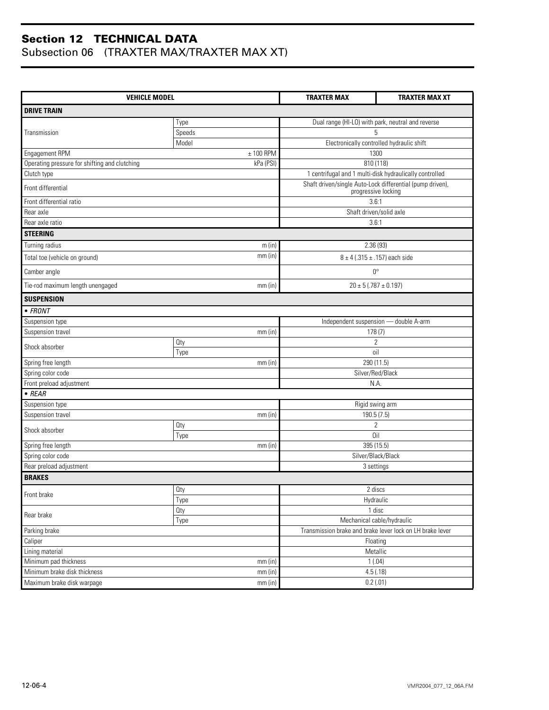| <b>VEHICLE MODEL</b>                          | <b>TRAXTER MAX</b> | <b>TRAXTER MAX XT</b>                                                            |                               |  |
|-----------------------------------------------|--------------------|----------------------------------------------------------------------------------|-------------------------------|--|
| <b>DRIVE TRAIN</b>                            |                    |                                                                                  |                               |  |
|                                               | Type               | Dual range (HI-LO) with park, neutral and reverse                                |                               |  |
| Transmission                                  | Speeds             | 5                                                                                |                               |  |
|                                               | Model              | Electronically controlled hydraulic shift                                        |                               |  |
| Engagement RPM                                | $± 100$ RPM        | 1300                                                                             |                               |  |
| Operating pressure for shifting and clutching | kPa (PSI)          | 810 (118)                                                                        |                               |  |
| Clutch type                                   |                    | 1 centrifugal and 1 multi-disk hydraulically controlled                          |                               |  |
| Front differential                            |                    | Shaft driven/single Auto-Lock differential (pump driven),<br>progressive locking |                               |  |
| Front differential ratio                      |                    | 3.6:1                                                                            |                               |  |
| Rear axle                                     |                    | Shaft driven/solid axle                                                          |                               |  |
| Rear axle ratio                               |                    | 3.6:1                                                                            |                               |  |
| <b>STEERING</b>                               |                    |                                                                                  |                               |  |
| Turning radius                                | m(in)              | 2.36(93)                                                                         |                               |  |
| Total toe (vehicle on ground)                 | mm(in)             |                                                                                  | 8 ± 4 (.315 ± .157) each side |  |
| Camber angle                                  |                    | $0^{\circ}$                                                                      |                               |  |
| Tie-rod maximum length unengaged              | $mm$ (in)          | $20 \pm 5$ (.787 $\pm$ 0.197)                                                    |                               |  |
| <b>SUSPENSION</b>                             |                    |                                                                                  |                               |  |
| $\bullet$ FRONT                               |                    |                                                                                  |                               |  |
| Suspension type                               |                    | Independent suspension -                                                         | - double A-arm                |  |
| Suspension travel                             | $mm$ (in)          | 178(7)                                                                           |                               |  |
| Shock absorber                                | <b>Qty</b>         | 2                                                                                |                               |  |
|                                               | Type               | oil                                                                              |                               |  |
| Spring free length                            | $mm$ (in)          | 290 (11.5)                                                                       |                               |  |
| Spring color code                             |                    | Silver/Red/Black                                                                 |                               |  |
| Front preload adjustment                      |                    | N.A.                                                                             |                               |  |
| $\bullet$ REAR                                |                    |                                                                                  |                               |  |
| Suspension type                               |                    | Rigid swing arm                                                                  |                               |  |
| Suspension travel                             | mm(in)             | 190.5 (7.5)                                                                      |                               |  |
| Shock absorber                                | Oty                | $\overline{2}$<br>Oil                                                            |                               |  |
| Spring free length                            | Type<br>$mm$ (in)  | 395 (15.5)                                                                       |                               |  |
| Spring color code                             |                    | Silver/Black/Black                                                               |                               |  |
| Rear preload adjustment                       |                    | 3 settings                                                                       |                               |  |
| <b>BRAKES</b>                                 |                    |                                                                                  |                               |  |
|                                               | Oty                | 2 discs                                                                          |                               |  |
| Front brake                                   | Type               | Hydraulic                                                                        |                               |  |
|                                               | Oty                | 1 disc                                                                           |                               |  |
| Rear brake<br>Type                            |                    | Mechanical cable/hydraulic                                                       |                               |  |
| Parking brake                                 |                    | Transmission brake and brake lever lock on LH brake lever                        |                               |  |
| Caliper                                       |                    | Floating                                                                         |                               |  |
| Lining material                               |                    | Metallic                                                                         |                               |  |
| Minimum pad thickness                         | mm (in)            | 1(.04)                                                                           |                               |  |
| Minimum brake disk thickness                  | mm (in)            | 4.5(.18)                                                                         |                               |  |
| Maximum brake disk warpage                    | mm (in)            | 0.2(.01)                                                                         |                               |  |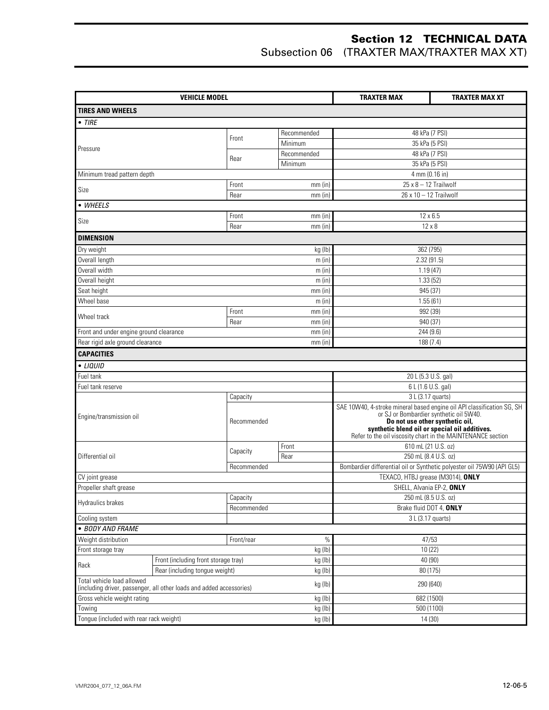| <b>VEHICLE MODEL</b>                                                 |                                                                                   |                   | <b>TRAXTER MAX</b>  | <b>TRAXTER MAX XT</b>                                                                                                                                                                                                                                             |  |
|----------------------------------------------------------------------|-----------------------------------------------------------------------------------|-------------------|---------------------|-------------------------------------------------------------------------------------------------------------------------------------------------------------------------------------------------------------------------------------------------------------------|--|
| <b>TIRES AND WHEELS</b>                                              |                                                                                   |                   |                     |                                                                                                                                                                                                                                                                   |  |
| $\bullet$ TIRE                                                       |                                                                                   |                   |                     |                                                                                                                                                                                                                                                                   |  |
|                                                                      |                                                                                   | Recommended       |                     | 48 kPa (7 PSI)                                                                                                                                                                                                                                                    |  |
|                                                                      |                                                                                   | Front             | Minimum             | 35 kPa (5 PSI)                                                                                                                                                                                                                                                    |  |
| Pressure                                                             |                                                                                   |                   | Recommended         | 48 kPa (7 PSI)                                                                                                                                                                                                                                                    |  |
|                                                                      |                                                                                   | Rear              | Minimum             | 35 kPa (5 PSI)                                                                                                                                                                                                                                                    |  |
| Minimum tread pattern depth                                          |                                                                                   |                   |                     | 4 mm (0.16 in)                                                                                                                                                                                                                                                    |  |
|                                                                      |                                                                                   | Front             | $mm$ (in)           | $25 \times 8 - 12$ Trailwolf                                                                                                                                                                                                                                      |  |
| Size                                                                 |                                                                                   | Rear              | $mm$ (in)           | 26 x 10 - 12 Trailwolf                                                                                                                                                                                                                                            |  |
| • WHEELS                                                             |                                                                                   |                   |                     |                                                                                                                                                                                                                                                                   |  |
| Size                                                                 |                                                                                   | Front             | $mm$ (in)           | $12 \times 6.5$                                                                                                                                                                                                                                                   |  |
|                                                                      |                                                                                   | Rear              | $mm$ (in)           | $12 \times 8$                                                                                                                                                                                                                                                     |  |
| <b>DIMENSION</b>                                                     |                                                                                   |                   |                     |                                                                                                                                                                                                                                                                   |  |
| Dry weight                                                           |                                                                                   |                   | kg (lb)             | 362 (795)                                                                                                                                                                                                                                                         |  |
| Overall length                                                       |                                                                                   |                   | m (in)              | 2.32(91.5)                                                                                                                                                                                                                                                        |  |
| Overall width                                                        |                                                                                   |                   | m(in)               | 1.19(47)                                                                                                                                                                                                                                                          |  |
| Overall height                                                       |                                                                                   |                   | m(in)               | 1.33(52)                                                                                                                                                                                                                                                          |  |
| Seat height                                                          |                                                                                   |                   | $mm$ (in)           | 945 (37)                                                                                                                                                                                                                                                          |  |
| Wheel base                                                           |                                                                                   |                   | m(in)               | 1.55(61)                                                                                                                                                                                                                                                          |  |
| Wheel track                                                          |                                                                                   | Front             | $mm$ (in)           | 992 (39)                                                                                                                                                                                                                                                          |  |
|                                                                      |                                                                                   | Rear<br>$mm$ (in) |                     | 940 (37)                                                                                                                                                                                                                                                          |  |
| Front and under engine ground clearance                              |                                                                                   |                   | $mm$ (in)           | 244 (9.6)                                                                                                                                                                                                                                                         |  |
| Rear rigid axle ground clearance                                     |                                                                                   |                   | $mm$ (in)           | 188 (7.4)                                                                                                                                                                                                                                                         |  |
| <b>CAPACITIES</b>                                                    |                                                                                   |                   |                     |                                                                                                                                                                                                                                                                   |  |
| • LIQUID                                                             |                                                                                   |                   |                     |                                                                                                                                                                                                                                                                   |  |
| Fuel tank                                                            |                                                                                   |                   |                     | 20 L (5.3 U.S. gal)                                                                                                                                                                                                                                               |  |
| Fuel tank reserve                                                    |                                                                                   |                   |                     | 6 L (1.6 U.S. gal)                                                                                                                                                                                                                                                |  |
|                                                                      |                                                                                   | Capacity          |                     | 3 L (3.17 quarts)                                                                                                                                                                                                                                                 |  |
| Engine/transmission oil                                              |                                                                                   | Recommended       |                     | SAE 10W40, 4-stroke mineral based engine oil API classification SG, SH or SJ or Bombardier synthetic oil 5W40.<br>Do not use other synthetic oil,<br>synthetic blend oil or special oil additives.<br>Refer to the oil viscosity chart in the MAINTENANCE section |  |
|                                                                      |                                                                                   | Capacity          | Front               | 610 mL (21 U.S. oz)                                                                                                                                                                                                                                               |  |
| Differential oil                                                     |                                                                                   |                   | Rear                | 250 mL (8.4 U.S. oz)                                                                                                                                                                                                                                              |  |
|                                                                      |                                                                                   | Recommended       |                     | Bombardier differential oil or Synthetic polyester oil 75W90 (API GL5)                                                                                                                                                                                            |  |
| CV joint grease                                                      |                                                                                   |                   |                     | TEXACO, HTBJ grease (M3014), ONLY                                                                                                                                                                                                                                 |  |
| Propeller shaft grease                                               |                                                                                   |                   |                     | SHELL, Alvania EP-2, ONLY                                                                                                                                                                                                                                         |  |
| Hydraulics brakes                                                    |                                                                                   | Capacity          |                     | 250 mL (8.5 U.S. oz)                                                                                                                                                                                                                                              |  |
|                                                                      |                                                                                   | Recommended       |                     | Brake fluid DOT 4, ONLY                                                                                                                                                                                                                                           |  |
| Cooling system                                                       |                                                                                   |                   |                     | 3 L (3.17 quarts)                                                                                                                                                                                                                                                 |  |
| · BODY AND FRAME                                                     |                                                                                   |                   |                     |                                                                                                                                                                                                                                                                   |  |
| Weight distribution<br>$\%$<br>Front/rear                            |                                                                                   |                   | 47/53               |                                                                                                                                                                                                                                                                   |  |
| kg (lb)<br>Front storage tray                                        |                                                                                   | 10 (22)           |                     |                                                                                                                                                                                                                                                                   |  |
| Rack                                                                 | Front (including front storage tray)<br>kg (lb)<br>Rear (including tongue weight) |                   | 40 (90)<br>80 (175) |                                                                                                                                                                                                                                                                   |  |
| Total vehicle load allowed                                           |                                                                                   |                   | kg (lb)             |                                                                                                                                                                                                                                                                   |  |
| (including driver, passenger, all other loads and added accessories) |                                                                                   |                   | kg (lb)             | 290 (640)                                                                                                                                                                                                                                                         |  |
| Gross vehicle weight rating                                          |                                                                                   |                   | kg (lb)             | 682 (1500)                                                                                                                                                                                                                                                        |  |
| Towing                                                               |                                                                                   |                   | kg (lb)             | 500 (1100)                                                                                                                                                                                                                                                        |  |
| Tongue (included with rear rack weight)                              |                                                                                   |                   | kg (lb)             | 14(30)                                                                                                                                                                                                                                                            |  |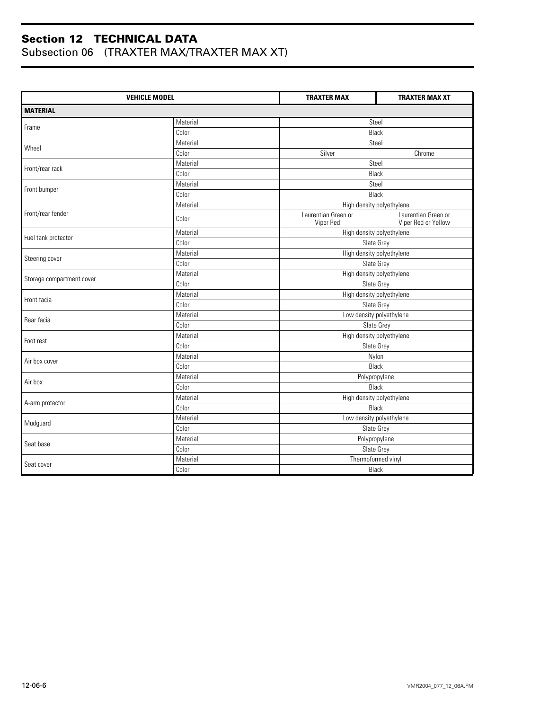|                           | <b>VEHICLE MODEL</b> | <b>TRAXTER MAX</b>               | <b>TRAXTER MAX XT</b>                      |
|---------------------------|----------------------|----------------------------------|--------------------------------------------|
| <b>MATERIAL</b>           |                      |                                  |                                            |
|                           | Material             |                                  | Steel                                      |
| Frame                     | Color                |                                  | Black                                      |
| Wheel                     | Material             |                                  | Steel                                      |
|                           | Color                | Silver                           | Chrome                                     |
|                           | Material             |                                  | Steel                                      |
| Front/rear rack           | Color                |                                  | Black                                      |
|                           | Material             |                                  | Steel                                      |
| Front bumper              | Color                |                                  | Black                                      |
|                           | Material             |                                  | High density polyethylene                  |
| Front/rear fender         | Color                | Laurentian Green or<br>Viper Red | Laurentian Green or<br>Viper Red or Yellow |
|                           | Material             |                                  | High density polyethylene                  |
| Fuel tank protector       | Color                |                                  | Slate Grey                                 |
|                           | Material             |                                  | High density polyethylene                  |
| Steering cover            | Color                |                                  | Slate Grey                                 |
|                           | Material             |                                  | High density polyethylene                  |
| Storage compartment cover | Color                |                                  | Slate Grey                                 |
| Front facia               | Material             |                                  | High density polyethylene                  |
|                           | Color                |                                  | Slate Grey                                 |
| Rear facia                | Material             |                                  | Low density polyethylene                   |
|                           | Color                |                                  | Slate Grey                                 |
| Foot rest                 | Material             |                                  | High density polyethylene                  |
|                           | Color                |                                  | Slate Grey                                 |
| Air box cover             | Material             |                                  | Nylon                                      |
|                           | Color                |                                  | Black                                      |
| Air box                   | Material             |                                  | Polypropylene                              |
|                           | Color                |                                  | Black                                      |
| A-arm protector           | Material             |                                  | High density polyethylene                  |
|                           | Color                |                                  | Black                                      |
| Mudguard                  | Material             |                                  | Low density polyethylene                   |
|                           | Color                |                                  | Slate Grey                                 |
| Seat base                 | Material             |                                  | Polypropylene                              |
|                           | Color                |                                  | Slate Grey                                 |
| Seat cover                | Material             |                                  | Thermoformed vinyl                         |
|                           | Color                |                                  | Black                                      |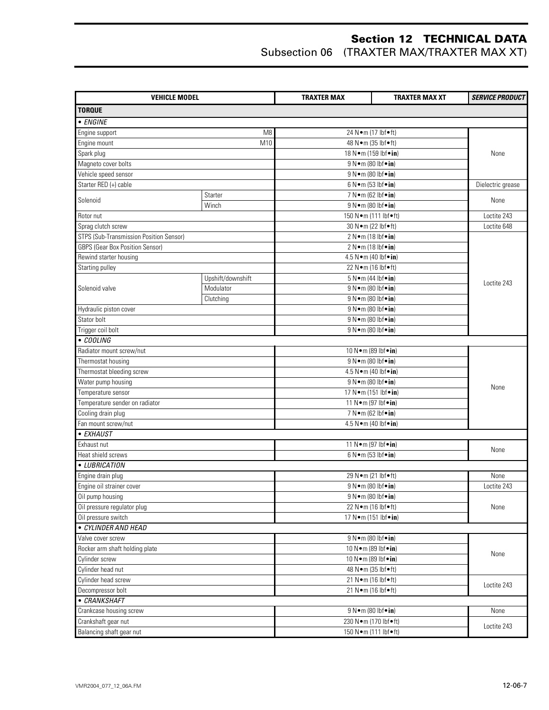| <b>VEHICLE MODEL</b>                    |                   | <b>TRAXTER MAX</b>                                                                                  | <b>TRAXTER MAX XT</b>                               | <b>SERVICE PRODUCT</b> |  |
|-----------------------------------------|-------------------|-----------------------------------------------------------------------------------------------------|-----------------------------------------------------|------------------------|--|
| <b>TORQUE</b>                           |                   |                                                                                                     |                                                     |                        |  |
| • ENGINE                                |                   |                                                                                                     |                                                     |                        |  |
| Engine support                          | M <sub>8</sub>    |                                                                                                     | 24 N•m (17 lbf•ft)                                  |                        |  |
| Engine mount                            | M10               |                                                                                                     | 48 N • m (35 lbf • ft)                              |                        |  |
| Spark plug                              |                   |                                                                                                     | 18 N · m (159 lbf · in)                             | None                   |  |
| Magneto cover bolts                     |                   |                                                                                                     | 9 N · m (80 lbf · in)                               |                        |  |
| Vehicle speed sensor                    |                   |                                                                                                     | 9 N • m (80 lbf • in)                               |                        |  |
| Starter RED (+) cable                   |                   |                                                                                                     | 6 N • m (53 lbf • in)                               | Dielectric grease      |  |
| Starter                                 |                   |                                                                                                     | 7 N • m (62 lbf • in)                               |                        |  |
| Solenoid                                | Winch             | 9 N · m (80 lbf · in)                                                                               |                                                     | None                   |  |
| Rotor nut                               |                   |                                                                                                     | 150 N · m (111 lbf · ft)                            | Loctite 243            |  |
| Sprag clutch screw                      |                   |                                                                                                     | 30 N · m (22 lbf • ft)                              | Loctite 648            |  |
| STPS (Sub-Transmission Position Sensor) |                   |                                                                                                     | 2 N•m (18 lbf•in)                                   |                        |  |
| <b>GBPS (Gear Box Position Sensor)</b>  |                   |                                                                                                     | 2 N•m (18 lbf•in)                                   |                        |  |
| Rewind starter housing                  |                   |                                                                                                     | 4.5 N • m (40 lbf • in)                             |                        |  |
| Starting pulley                         |                   |                                                                                                     | $\overline{22}$ N $\bullet$ m (16 lbf $\bullet$ ft) |                        |  |
|                                         | Upshift/downshift |                                                                                                     | $5 N \cdot m$ (44 lbf $\cdot in$ )                  |                        |  |
| Solenoid valve                          | Modulator         |                                                                                                     | 9 N • m (80 lbf • in)                               | Loctite 243            |  |
|                                         |                   |                                                                                                     | 9 N • m (80 lbf • in)                               |                        |  |
| Hydraulic piston cover                  | Clutching         |                                                                                                     |                                                     |                        |  |
|                                         |                   |                                                                                                     | 9 N • m (80 lbf • in)                               |                        |  |
| Stator bolt                             |                   | 9 N · m (80 lbf · in)<br>9 N · m (80 lbf · in)                                                      |                                                     |                        |  |
| Trigger coil bolt<br>• COOLING          |                   |                                                                                                     |                                                     |                        |  |
|                                         |                   |                                                                                                     |                                                     |                        |  |
| Radiator mount screw/nut                |                   | 10 N · m (89 lbf · in)<br>9 N • m (80 lbf • in)<br>4.5 N • m (40 lbf • in)                          |                                                     |                        |  |
| Thermostat housing                      |                   |                                                                                                     |                                                     |                        |  |
| Thermostat bleeding screw               |                   |                                                                                                     |                                                     |                        |  |
| Water pump housing                      |                   | 9 N · m (80 lbf · in)<br>17 N · m (151 lbf · in)<br>11 N • m (97 lbf • in)<br>7 N • m (62 lbf • in) |                                                     | None                   |  |
| Temperature sensor                      |                   |                                                                                                     |                                                     |                        |  |
| Temperature sender on radiator          |                   |                                                                                                     |                                                     |                        |  |
| Cooling drain plug                      |                   |                                                                                                     |                                                     |                        |  |
| Fan mount screw/nut                     |                   |                                                                                                     | 4.5 N • m (40 lbf • in)                             |                        |  |
| • EXHAUST                               |                   |                                                                                                     |                                                     |                        |  |
| Exhaust nut                             |                   | 11 N · m (97 lbf · in)<br>6 N • m (53 lbf • in)                                                     |                                                     | None                   |  |
| Heat shield screws                      |                   |                                                                                                     |                                                     |                        |  |
| • LUBRICATION                           |                   |                                                                                                     |                                                     |                        |  |
| Engine drain plug                       |                   |                                                                                                     | 29 N • m (21 lbf • ft)                              | None                   |  |
| Engine oil strainer cover               |                   |                                                                                                     | 9 N · m (80 lbf · in)                               | Loctite 243            |  |
| Oil pump housing                        |                   |                                                                                                     | 9 N • m (80 lbf • in)                               |                        |  |
| Oil pressure regulator plug             |                   | 22 N•m (16 lbf•ft)                                                                                  |                                                     | None                   |  |
| Oil pressure switch                     |                   |                                                                                                     | 17 N · m (151 lbf · in)                             |                        |  |
| • CYLINDER AND HEAD                     |                   |                                                                                                     |                                                     |                        |  |
| Valve cover screw                       |                   |                                                                                                     | 9 N • m (80 lbf • in)                               |                        |  |
| Rocker arm shaft holding plate          |                   |                                                                                                     | 10 N•m (89 lbf•in)                                  | None                   |  |
| Cylinder screw                          |                   | 10 N•m (89 lbf•in)                                                                                  |                                                     |                        |  |
| Cylinder head nut                       |                   |                                                                                                     | 48 N • m (35 lbf • ft)                              |                        |  |
| Cylinder head screw                     |                   | 21 N•m (16 lbf•ft)                                                                                  |                                                     | Loctite 243            |  |
| Decompressor bolt                       |                   |                                                                                                     | 21 N•m (16 lbf•ft)                                  |                        |  |
| • CRANKSHAFT                            |                   |                                                                                                     |                                                     |                        |  |
| Crankcase housing screw                 |                   |                                                                                                     | 9 N • m (80 lbf • in)                               | None                   |  |
| Crankshaft gear nut                     |                   |                                                                                                     | 230 N · m (170 lbf • ft)                            | Loctite 243            |  |
| Balancing shaft gear nut                |                   | 150 N•m (111 lbf•ft)                                                                                |                                                     |                        |  |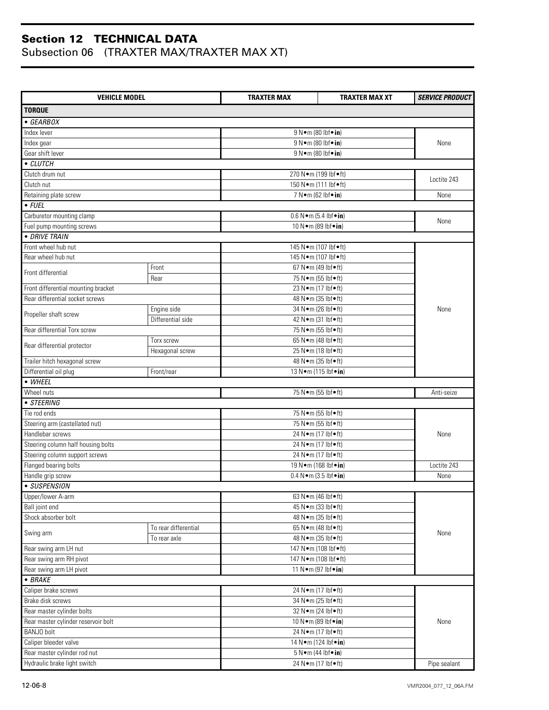| <b>VEHICLE MODEL</b>                                              |                      | <b>TRAXTER MAX</b>                     | <b>TRAXTER MAX XT</b>              | <b>SERVICE PRODUCT</b> |  |
|-------------------------------------------------------------------|----------------------|----------------------------------------|------------------------------------|------------------------|--|
| <b>TORQUE</b>                                                     |                      |                                        |                                    |                        |  |
| $\bullet$ GEARBOX                                                 |                      |                                        |                                    |                        |  |
| Index lever                                                       |                      | $9 N \cdot m$ (80 lbf $\cdot$ in)      |                                    |                        |  |
| Index gear                                                        |                      | 9 N • m (80 lbf • in)                  |                                    | None                   |  |
| Gear shift lever                                                  |                      |                                        | $9 N \cdot m (80 h f \cdot in)$    |                        |  |
| • CLUTCH                                                          |                      |                                        |                                    |                        |  |
| Clutch drum nut                                                   |                      |                                        | 270 N · m (199 lbf · ft)           |                        |  |
| Clutch nut                                                        |                      |                                        | 150 N · m (111 lbf · ft)           | Loctite 243            |  |
| Retaining plate screw                                             |                      |                                        | 7 N•m (62 lbf•in)                  | None                   |  |
| $\bullet$ FUEL                                                    |                      |                                        |                                    |                        |  |
| Carburetor mounting clamp                                         |                      |                                        | $0.6 N \cdot m (5.4 lbf \cdot in)$ |                        |  |
| Fuel pump mounting screws                                         |                      |                                        | 10 N · m (89 lbf · in)             | None                   |  |
| • DRIVE TRAIN                                                     |                      |                                        |                                    |                        |  |
| Front wheel hub nut                                               |                      |                                        | 145 N · m (107 lbf · ft)           |                        |  |
| Rear wheel hub nut                                                |                      |                                        | 145 N · m (107 lbf · ft)           |                        |  |
|                                                                   | Front                |                                        | 67 N•m (49 lbf•ft)                 |                        |  |
| Front differential                                                | Rear                 |                                        | 75 N • m (55 lbf • ft)             |                        |  |
| Front differential mounting bracket                               |                      |                                        | 23 N•m (17 lbf•ft)                 |                        |  |
| Rear differential socket screws                                   |                      |                                        | 48 N · m (35 lbf • ft)             |                        |  |
|                                                                   | Engine side          |                                        | 34 N•m (26 lbf•ft)                 | None                   |  |
| Propeller shaft screw                                             | Differential side    |                                        | 42 N • m (31 lbf • ft)             |                        |  |
| Rear differential Torx screw                                      |                      |                                        | 75 N • m (55 lbf • ft)             |                        |  |
|                                                                   | Torx screw           |                                        | 65 N•m (48 lbf•ft)                 |                        |  |
| Rear differential protector                                       | Hexagonal screw      |                                        | 25 N•m (18 lbf•ft)                 |                        |  |
| Trailer hitch hexagonal screw                                     |                      |                                        | 48 N · m (35 lbf · ft)             |                        |  |
| Differential oil plug                                             | Front/rear           |                                        | 13 N • m (115 lbf • in)            |                        |  |
| • WHEEL                                                           |                      |                                        |                                    |                        |  |
| Wheel nuts                                                        |                      |                                        | 75 N • m (55 lbf • ft)             | Anti-seize             |  |
| • STEERING                                                        |                      |                                        |                                    |                        |  |
| Tie rod ends                                                      |                      |                                        | 75 N • m (55 lbf • ft)             |                        |  |
| Steering arm (castellated nut)                                    |                      | 75 N • m (55 lbf • ft)                 |                                    |                        |  |
| Handlebar screws                                                  |                      | 24 N•m (17 lbf•ft)                     |                                    | None                   |  |
| Steering column half housing bolts                                |                      | 24 N•m (17 lbf•ft)                     |                                    |                        |  |
| Steering column support screws                                    |                      |                                        | 24 N•m (17 lbf•ft)                 |                        |  |
| Flanged bearing bolts                                             |                      | 19 N · m (168 lbf · in)                |                                    | Loctite 243            |  |
| Handle grip screw                                                 |                      | $0.4 N \cdot m (3.5 lbf \cdot in)$     |                                    | None                   |  |
| · SUSPENSION                                                      |                      |                                        |                                    |                        |  |
| Upper/lower A-arm                                                 |                      |                                        | 63 N•m (46 lbf•ft)                 |                        |  |
| Ball joint end                                                    |                      |                                        | 45 N • m (33 lbf • ft)             |                        |  |
| Shock absorber bolt                                               |                      |                                        | 48 N · m (35 lbf • ft)             |                        |  |
|                                                                   | To rear differential |                                        | 65 N•m (48 lbf•ft)                 |                        |  |
| Swing arm                                                         | To rear axle         |                                        | 48 N • m (35 lbf • ft)             | None                   |  |
| Rear swing arm LH nut                                             |                      |                                        | 147 N · m (108 lbf · ft)           |                        |  |
| Rear swing arm RH pivot                                           |                      |                                        | 147 N•m (108 lbf•ft)               |                        |  |
| Rear swing arm LH pivot                                           |                      |                                        | 11 N•m (97 lbf•in)                 |                        |  |
| $-BRAKE$                                                          |                      |                                        |                                    |                        |  |
| Caliper brake screws                                              |                      |                                        | 24 N • m (17 lbf • ft)             |                        |  |
| Brake disk screws                                                 |                      |                                        | 34 N • m (25 lbf • ft)             |                        |  |
| Rear master cylinder bolts<br>Rear master cylinder reservoir bolt |                      | 32 N•m (24 lbf•ft)                     |                                    |                        |  |
|                                                                   |                      |                                        | 10 N•m (89 lbf•in)                 | None                   |  |
| BANJO bolt                                                        |                      |                                        | 24 N • m (17 lbf • ft)             |                        |  |
| Caliper bleeder valve                                             |                      |                                        | 14 N • m (124 lbf • in)            |                        |  |
| Rear master cylinder rod nut                                      |                      |                                        | $5 N \cdot m$ (44 lbf $\cdot$ in)  |                        |  |
| Hydraulic brake light switch                                      |                      | 24 N • m (17 lbf • ft)<br>Pipe sealant |                                    |                        |  |